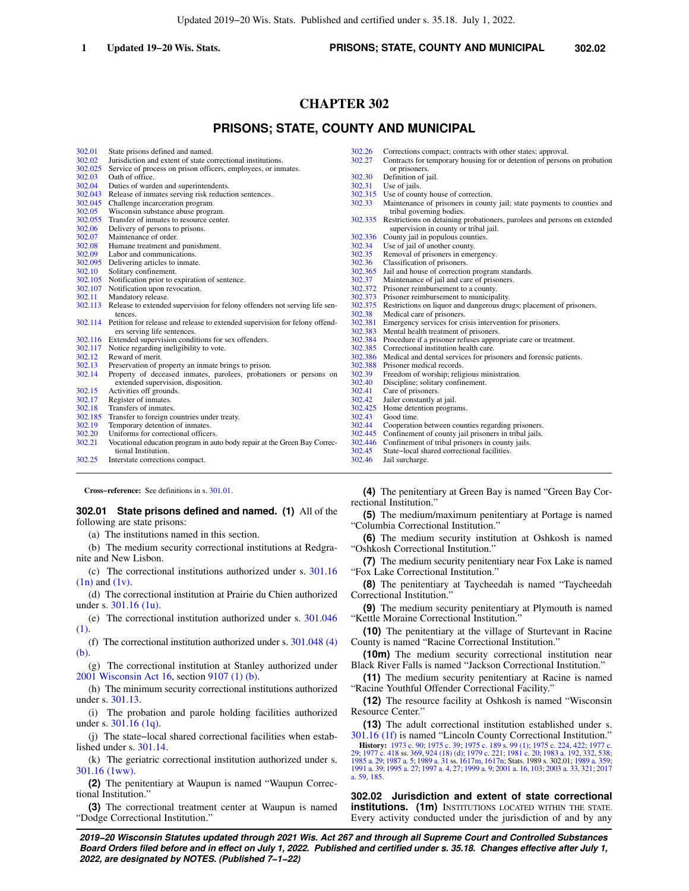# **CHAPTER 302**

# **PRISONS; STATE, COUNTY AND MUNICIPAL**

| 302.01  | State prisons defined and named.                                                    | 302.26  | Corrections compact; contracts with other states; approval.                      |
|---------|-------------------------------------------------------------------------------------|---------|----------------------------------------------------------------------------------|
| 302.02  | Jurisdiction and extent of state correctional institutions.                         | 302.27  | Contracts for temporary housing for or detention of persons on probation         |
| 302.025 | Service of process on prison officers, employees, or inmates.                       |         | or prisoners.                                                                    |
| 302.03  | Oath of office.                                                                     | 302.30  | Definition of jail.                                                              |
| 302.04  | Duties of warden and superintendents.                                               | 302.31  | Use of jails.                                                                    |
| 302.043 | Release of inmates serving risk reduction sentences.                                | 302.315 | Use of county house of correction.                                               |
| 302.045 | Challenge incarceration program.                                                    | 302.33  | Maintenance of prisoners in county jail; state payments to counties and          |
| 302.05  | Wisconsin substance abuse program.                                                  |         | tribal governing bodies.                                                         |
| 302.055 | Transfer of inmates to resource center.                                             |         | 302.335 Restrictions on detaining probationers, parolees and persons on extended |
| 302.06  | Delivery of persons to prisons.                                                     |         | supervision in county or tribal jail.                                            |
| 302.07  | Maintenance of order.                                                               |         | 302.336 County jail in populous counties.                                        |
| 302.08  | Humane treatment and punishment.                                                    | 302.34  | Use of jail of another county.                                                   |
| 302.09  | Labor and communications.                                                           | 302.35  | Removal of prisoners in emergency.                                               |
|         | 302.095 Delivering articles to inmate.                                              | 302.36  | Classification of prisoners.                                                     |
| 302.10  | Solitary confinement.                                                               |         | 302.365 Jail and house of correction program standards.                          |
| 302.105 | Notification prior to expiration of sentence.                                       | 302.37  | Maintenance of jail and care of prisoners.                                       |
| 302.107 | Notification upon revocation.                                                       |         | 302.372 Prisoner reimbursement to a county.                                      |
| 302.11  | Mandatory release.                                                                  |         | 302.373 Prisoner reimbursement to municipality.                                  |
| 302.113 | Release to extended supervision for felony offenders not serving life sen-          |         | 302.375 Restrictions on liquor and dangerous drugs; placement of prisoners.      |
|         | tences.                                                                             | 302.38  | Medical care of prisoners.                                                       |
|         | 302.114 Petition for release and release to extended supervision for felony offend- | 302.381 | Emergency services for crisis intervention for prisoners.                        |
|         | ers serving life sentences.                                                         | 302.383 | Mental health treatment of prisoners.                                            |
|         | 302.116 Extended supervision conditions for sex offenders.                          |         | 302.384 Procedure if a prisoner refuses appropriate care or treatment.           |
| 302.117 | Notice regarding ineligibility to vote.                                             |         | 302.385 Correctional institution health care.                                    |
| 302.12  | Reward of merit.                                                                    |         | 302.386 Medical and dental services for prisoners and forensic patients.         |
| 302.13  | Preservation of property an inmate brings to prison.                                |         | 302.388 Prisoner medical records.                                                |
| 302.14  | Property of deceased inmates, parolees, probationers or persons on                  | 302.39  | Freedom of worship; religious ministration.                                      |
|         | extended supervision, disposition.                                                  | 302.40  | Discipline; solitary confinement.                                                |
| 302.15  | Activities off grounds.                                                             | 302.41  | Care of prisoners.                                                               |
| 302.17  | Register of inmates.                                                                | 302.42  | Jailer constantly at jail.                                                       |
| 302.18  | Transfers of inmates.                                                               | 302.425 | Home detention programs.                                                         |
| 302.185 | Transfer to foreign countries under treaty.                                         | 302.43  | Good time.                                                                       |
| 302.19  | Temporary detention of inmates.                                                     | 302.44  | Cooperation between counties regarding prisoners.                                |
| 302.20  | Uniforms for correctional officers.                                                 | 302.445 | Confinement of county jail prisoners in tribal jails.                            |
| 302.21  | Vocational education program in auto body repair at the Green Bay Correc-           | 302.446 | Confinement of tribal prisoners in county jails.                                 |
|         | tional Institution.                                                                 | 302.45  | State-local shared correctional facilities.                                      |
| 302.25  | Interstate corrections compact.                                                     | 302.46  | Jail surcharge.                                                                  |
|         |                                                                                     |         |                                                                                  |

**Cross−reference:** See definitions in s. [301.01](https://docs.legis.wisconsin.gov/document/statutes/301.01).

**302.01 State prisons defined and named. (1)** All of the following are state prisons:

(a) The institutions named in this section.

(b) The medium security correctional institutions at Redgranite and New Lisbon.

(c) The correctional institutions authorized under s. [301.16](https://docs.legis.wisconsin.gov/document/statutes/301.16(1n))  $(1n)$  and  $(1v)$ .

(d) The correctional institution at Prairie du Chien authorized under s. [301.16 \(1u\).](https://docs.legis.wisconsin.gov/document/statutes/301.16(1u))

(e) The correctional institution authorized under s. [301.046](https://docs.legis.wisconsin.gov/document/statutes/301.046(1)) [\(1\)](https://docs.legis.wisconsin.gov/document/statutes/301.046(1)).

(f) The correctional institution authorized under s. [301.048 \(4\)](https://docs.legis.wisconsin.gov/document/statutes/301.048(4)(b)) [\(b\)](https://docs.legis.wisconsin.gov/document/statutes/301.048(4)(b)).

(g) The correctional institution at Stanley authorized under [2001 Wisconsin Act 16,](https://docs.legis.wisconsin.gov/document/acts/2001/16) section [9107 \(1\) \(b\).](https://docs.legis.wisconsin.gov/document/acts/2001/16,%20s.%209107)

(h) The minimum security correctional institutions authorized under s. [301.13.](https://docs.legis.wisconsin.gov/document/statutes/301.13)

(i) The probation and parole holding facilities authorized under s. [301.16 \(1q\).](https://docs.legis.wisconsin.gov/document/statutes/301.16(1q))

(j) The state−local shared correctional facilities when established under s. [301.14.](https://docs.legis.wisconsin.gov/document/statutes/301.14)

(k) The geriatric correctional institution authorized under s. [301.16 \(1ww\).](https://docs.legis.wisconsin.gov/document/statutes/301.16(1ww))

**(2)** The penitentiary at Waupun is named "Waupun Correctional Institution."

**(3)** The correctional treatment center at Waupun is named "Dodge Correctional Institution."

**(4)** The penitentiary at Green Bay is named "Green Bay Correctional Institution.

**(5)** The medium/maximum penitentiary at Portage is named "Columbia Correctional Institution."

**(6)** The medium security institution at Oshkosh is named "Oshkosh Correctional Institution."

**(7)** The medium security penitentiary near Fox Lake is named "Fox Lake Correctional Institution."

**(8)** The penitentiary at Taycheedah is named "Taycheedah Correctional Institution."

**(9)** The medium security penitentiary at Plymouth is named "Kettle Moraine Correctional Institution."

**(10)** The penitentiary at the village of Sturtevant in Racine County is named "Racine Correctional Institution."

**(10m)** The medium security correctional institution near Black River Falls is named "Jackson Correctional Institution."

**(11)** The medium security penitentiary at Racine is named "Racine Youthful Offender Correctional Facility."

**(12)** The resource facility at Oshkosh is named "Wisconsin Resource Center."

**(13)** The adult correctional institution established under s. [301.16 \(1f\)](https://docs.legis.wisconsin.gov/document/statutes/301.16(1f)) is named "Lincoln County Correctional Institution."

**History:** [1973 c. 90](https://docs.legis.wisconsin.gov/document/acts/1973/90); [1975 c. 39](https://docs.legis.wisconsin.gov/document/acts/1975/39); [1975 c. 189](https://docs.legis.wisconsin.gov/document/acts/1975/189) s. [99 \(1\);](https://docs.legis.wisconsin.gov/document/acts/1975/189,%20s.%2099) [1975 c. 224](https://docs.legis.wisconsin.gov/document/acts/1975/224), [422](https://docs.legis.wisconsin.gov/document/acts/1975/422); [1977 c.](https://docs.legis.wisconsin.gov/document/acts/1977/29) [29](https://docs.legis.wisconsin.gov/document/acts/1977/29); [1977 c. 418](https://docs.legis.wisconsin.gov/document/acts/1977/418) ss. [369](https://docs.legis.wisconsin.gov/document/acts/1977/418,%20s.%20369), [924 \(18\) \(d\);](https://docs.legis.wisconsin.gov/document/acts/1977/418,%20s.%20924) [1979 c. 221](https://docs.legis.wisconsin.gov/document/acts/1979/221); [1981 c. 20](https://docs.legis.wisconsin.gov/document/acts/1981/20); [1983 a. 192,](https://docs.legis.wisconsin.gov/document/acts/1983/192) [332,](https://docs.legis.wisconsin.gov/document/acts/1983/332) [538](https://docs.legis.wisconsin.gov/document/acts/1983/538);<br>[1985 a. 29](https://docs.legis.wisconsin.gov/document/acts/1985/29); [1987 a. 5;](https://docs.legis.wisconsin.gov/document/acts/1987/5) [1989 a. 31](https://docs.legis.wisconsin.gov/document/acts/1989/31) ss. [1617m,](https://docs.legis.wisconsin.gov/document/acts/1989/31,%20s.%201617m) [1617n](https://docs.legis.wisconsin.gov/document/acts/1989/31,%20s.%201617n); Stats. 1989 s. 302.01; [1989 a. 359](https://docs.legis.wisconsin.gov/document/acts/1989/359);<br>[1991 a. 39](https://docs.legis.wisconsin.gov/document/acts/1991/39); [1995 a. 27;](https://docs.legis.wisconsin.gov/document/acts/1995/27) [1997 a. 4,](https://docs.legis.wisconsin.gov/document/acts/1997/4) [27;](https://docs.legis.wisconsin.gov/document/acts/1997/27) 1999 a. [a. 59,](https://docs.legis.wisconsin.gov/document/acts/2017/59) [185.](https://docs.legis.wisconsin.gov/document/acts/2017/185)

**302.02 Jurisdiction and extent of state correctional institutions. (1m)** INSTITUTIONS LOCATED WITHIN THE STATE. Every activity conducted under the jurisdiction of and by any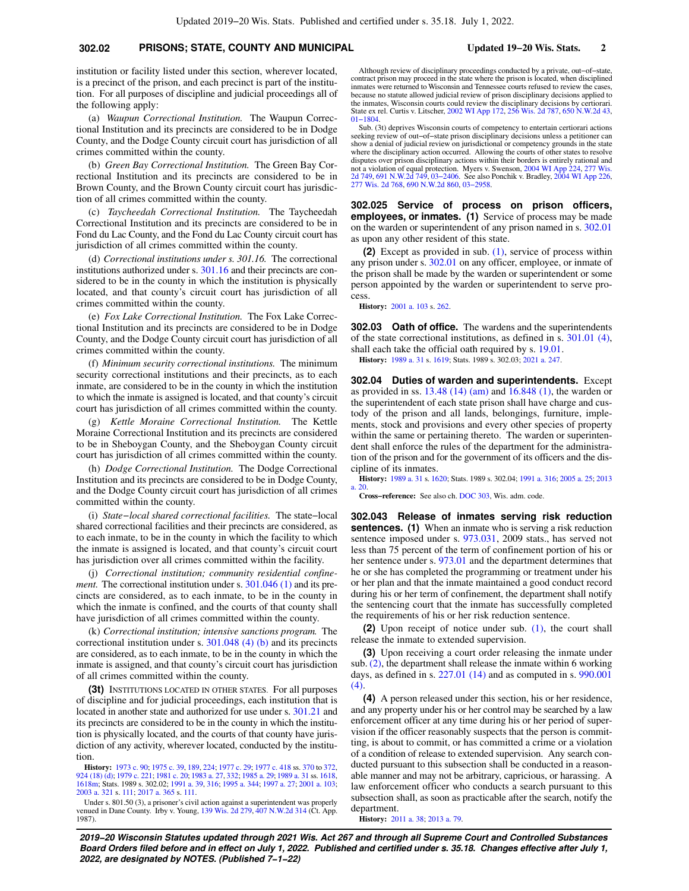### **302.02 PRISONS; STATE, COUNTY AND MUNICIPAL Updated 19−20 Wis. Stats. 2**

institution or facility listed under this section, wherever located, is a precinct of the prison, and each precinct is part of the institution. For all purposes of discipline and judicial proceedings all of the following apply:

(a) *Waupun Correctional Institution.* The Waupun Correctional Institution and its precincts are considered to be in Dodge County, and the Dodge County circuit court has jurisdiction of all crimes committed within the county.

(b) *Green Bay Correctional Institution.* The Green Bay Correctional Institution and its precincts are considered to be in Brown County, and the Brown County circuit court has jurisdiction of all crimes committed within the county.

(c) *Taycheedah Correctional Institution.* The Taycheedah Correctional Institution and its precincts are considered to be in Fond du Lac County, and the Fond du Lac County circuit court has jurisdiction of all crimes committed within the county.

(d) *Correctional institutions under s. 301.16.* The correctional institutions authorized under s. [301.16](https://docs.legis.wisconsin.gov/document/statutes/301.16) and their precincts are considered to be in the county in which the institution is physically located, and that county's circuit court has jurisdiction of all crimes committed within the county.

(e) *Fox Lake Correctional Institution.* The Fox Lake Correctional Institution and its precincts are considered to be in Dodge County, and the Dodge County circuit court has jurisdiction of all crimes committed within the county.

(f) *Minimum security correctional institutions.* The minimum security correctional institutions and their precincts, as to each inmate, are considered to be in the county in which the institution to which the inmate is assigned is located, and that county's circuit court has jurisdiction of all crimes committed within the county.

(g) *Kettle Moraine Correctional Institution.* The Kettle Moraine Correctional Institution and its precincts are considered to be in Sheboygan County, and the Sheboygan County circuit court has jurisdiction of all crimes committed within the county.

(h) *Dodge Correctional Institution.* The Dodge Correctional Institution and its precincts are considered to be in Dodge County, and the Dodge County circuit court has jurisdiction of all crimes committed within the county.

(i) *State−local shared correctional facilities.* The state−local shared correctional facilities and their precincts are considered, as to each inmate, to be in the county in which the facility to which the inmate is assigned is located, and that county's circuit court has jurisdiction over all crimes committed within the facility.

(j) *Correctional institution; community residential confinement.* The correctional institution under s. [301.046 \(1\)](https://docs.legis.wisconsin.gov/document/statutes/301.046(1)) and its precincts are considered, as to each inmate, to be in the county in which the inmate is confined, and the courts of that county shall have jurisdiction of all crimes committed within the county.

(k) *Correctional institution; intensive sanctions program.* The correctional institution under s. [301.048 \(4\) \(b\)](https://docs.legis.wisconsin.gov/document/statutes/301.048(4)(b)) and its precincts are considered, as to each inmate, to be in the county in which the inmate is assigned, and that county's circuit court has jurisdiction of all crimes committed within the county.

**(3t)** INSTITUTIONS LOCATED IN OTHER STATES. For all purposes of discipline and for judicial proceedings, each institution that is located in another state and authorized for use under s. [301.21](https://docs.legis.wisconsin.gov/document/statutes/301.21) and its precincts are considered to be in the county in which the institution is physically located, and the courts of that county have jurisdiction of any activity, wherever located, conducted by the institution.

**History:** [1973 c. 90](https://docs.legis.wisconsin.gov/document/acts/1973/90); [1975 c. 39,](https://docs.legis.wisconsin.gov/document/acts/1975/39) [189](https://docs.legis.wisconsin.gov/document/acts/1975/189), [224](https://docs.legis.wisconsin.gov/document/acts/1975/224); [1977 c. 29](https://docs.legis.wisconsin.gov/document/acts/1977/29); [1977 c. 418](https://docs.legis.wisconsin.gov/document/acts/1977/418) ss. [370](https://docs.legis.wisconsin.gov/document/acts/1977/418,%20s.%20370) to [372](https://docs.legis.wisconsin.gov/document/acts/1977/418,%20s.%20372), [924 \(18\) \(d\);](https://docs.legis.wisconsin.gov/document/acts/1977/418,%20s.%20924) [1979 c. 221](https://docs.legis.wisconsin.gov/document/acts/1979/221); [1981 c. 20;](https://docs.legis.wisconsin.gov/document/acts/1981/20) [1983 a. 27](https://docs.legis.wisconsin.gov/document/acts/1983/27), [332;](https://docs.legis.wisconsin.gov/document/acts/1983/332) [1985 a. 29](https://docs.legis.wisconsin.gov/document/acts/1985/29); [1989 a. 31](https://docs.legis.wisconsin.gov/document/acts/1989/31) ss. [1618](https://docs.legis.wisconsin.gov/document/acts/1989/31,%20s.%201618), [1618m](https://docs.legis.wisconsin.gov/document/acts/1989/31,%20s.%201618m); Stats. 1989 s. 302.02; [1991 a. 39,](https://docs.legis.wisconsin.gov/document/acts/1991/39) [316](https://docs.legis.wisconsin.gov/document/acts/1991/316); 1 [2003 a. 321](https://docs.legis.wisconsin.gov/document/acts/2003/321) s. [111;](https://docs.legis.wisconsin.gov/document/acts/2003/321,%20s.%20111) [2017 a. 365](https://docs.legis.wisconsin.gov/document/acts/2017/365) s. [111](https://docs.legis.wisconsin.gov/document/acts/2017/365,%20s.%20111).

Under s. 801.50 (3), a prisoner's civil action against a superintendent was properly venued in Dane County. Irby v. Young, [139 Wis. 2d 279,](https://docs.legis.wisconsin.gov/document/courts/139%20Wis.%202d%20279) [407 N.W.2d 314](https://docs.legis.wisconsin.gov/document/courts/407%20N.W.2d%20314) (Ct. App. 1987).

Although review of disciplinary proceedings conducted by a private, out−of−state, contract prison may proceed in the state where the prison is located, when disciplined inmates were returned to Wisconsin and Tennessee courts refused to review the cases, because no statute allowed judicial review of prison disciplinary decisions applied to the inmates, Wisconsin courts could review the disciplinary decisions by certiorari. State ex rel. Curtis v. Litscher, [2002 WI App 172,](https://docs.legis.wisconsin.gov/document/courts/2002%20WI%20App%20172) [256 Wis. 2d 787,](https://docs.legis.wisconsin.gov/document/courts/256%20Wis.%202d%20787) [650 N.W.2d 43](https://docs.legis.wisconsin.gov/document/courts/650%20N.W.2d%2043), [01−1804.](https://docs.legis.wisconsin.gov/document/wicourtofappeals/01-1804)

Sub. (3t) deprives Wisconsin courts of competency to entertain certiorari actions seeking review of out−of−state prison disciplinary decisions unless a petitioner can show a denial of judicial review on jurisdictional or competency grounds in the state where the disciplinary action occurred. Allowing the courts of other states to resolve disputes over prison disciplinary actions within their borders is entirely rational and not a violation of equal protection. Myers v. Swenson, [2004 WI App 224](https://docs.legis.wisconsin.gov/document/courts/2004%20WI%20App%20224), [277 Wis.](https://docs.legis.wisconsin.gov/document/courts/277%20Wis.%202d%20749) [2d 749](https://docs.legis.wisconsin.gov/document/courts/277%20Wis.%202d%20749), [691 N.W.2d 749,](https://docs.legis.wisconsin.gov/document/courts/691%20N.W.2d%20749) [03−2406.](https://docs.legis.wisconsin.gov/document/wicourtofappeals/03-2406) See also Ponchik v. Bradley, [2004 WI App 226](https://docs.legis.wisconsin.gov/document/courts/2004%20WI%20App%20226), [277 Wis. 2d 768](https://docs.legis.wisconsin.gov/document/courts/277%20Wis.%202d%20768), [690 N.W.2d 860,](https://docs.legis.wisconsin.gov/document/courts/690%20N.W.2d%20860) [03−2958.](https://docs.legis.wisconsin.gov/document/wicourtofappeals/03-2958)

**302.025 Service of process on prison officers, employees, or inmates. (1)** Service of process may be made on the warden or superintendent of any prison named in s. [302.01](https://docs.legis.wisconsin.gov/document/statutes/302.01) as upon any other resident of this state.

**(2)** Except as provided in sub. [\(1\)](https://docs.legis.wisconsin.gov/document/statutes/302.025(1)), service of process within any prison under s. [302.01](https://docs.legis.wisconsin.gov/document/statutes/302.01) on any officer, employee, or inmate of the prison shall be made by the warden or superintendent or some person appointed by the warden or superintendent to serve process.

**History:** [2001 a. 103](https://docs.legis.wisconsin.gov/document/acts/2001/103) s. [262](https://docs.legis.wisconsin.gov/document/acts/2001/103,%20s.%20262).

**302.03 Oath of office.** The wardens and the superintendents of the state correctional institutions, as defined in s. [301.01 \(4\),](https://docs.legis.wisconsin.gov/document/statutes/301.01(4)) shall each take the official oath required by s. [19.01](https://docs.legis.wisconsin.gov/document/statutes/19.01).

**History:** [1989 a. 31](https://docs.legis.wisconsin.gov/document/acts/1989/31) s. [1619](https://docs.legis.wisconsin.gov/document/acts/1989/31,%20s.%201619); Stats. 1989 s. 302.03; [2021 a. 247.](https://docs.legis.wisconsin.gov/document/acts/2021/247)

**302.04 Duties of warden and superintendents.** Except as provided in ss. [13.48 \(14\) \(am\)](https://docs.legis.wisconsin.gov/document/statutes/13.48(14)(am)) and [16.848 \(1\),](https://docs.legis.wisconsin.gov/document/statutes/16.848(1)) the warden or the superintendent of each state prison shall have charge and custody of the prison and all lands, belongings, furniture, implements, stock and provisions and every other species of property within the same or pertaining thereto. The warden or superintendent shall enforce the rules of the department for the administration of the prison and for the government of its officers and the discipline of its inmates.

**History:** [1989 a. 31](https://docs.legis.wisconsin.gov/document/acts/1989/31) s. [1620](https://docs.legis.wisconsin.gov/document/acts/1989/31,%20s.%201620); Stats. 1989 s. 302.04; [1991 a. 316](https://docs.legis.wisconsin.gov/document/acts/1991/316); [2005 a. 25;](https://docs.legis.wisconsin.gov/document/acts/2005/25) [2013](https://docs.legis.wisconsin.gov/document/acts/2013/20) [a. 20.](https://docs.legis.wisconsin.gov/document/acts/2013/20)

**Cross−reference:** See also ch. [DOC 303](https://docs.legis.wisconsin.gov/document/administrativecode/ch.%20DOC%20303), Wis. adm. code.

**302.043 Release of inmates serving risk reduction sentences. (1)** When an inmate who is serving a risk reduction sentence imposed under s. [973.031](https://docs.legis.wisconsin.gov/document/statutes/2009/973.031), 2009 stats., has served not less than 75 percent of the term of confinement portion of his or her sentence under s. [973.01](https://docs.legis.wisconsin.gov/document/statutes/973.01) and the department determines that he or she has completed the programming or treatment under his or her plan and that the inmate maintained a good conduct record during his or her term of confinement, the department shall notify the sentencing court that the inmate has successfully completed the requirements of his or her risk reduction sentence.

**(2)** Upon receipt of notice under sub. [\(1\)](https://docs.legis.wisconsin.gov/document/statutes/302.043(1)), the court shall release the inmate to extended supervision.

**(3)** Upon receiving a court order releasing the inmate under sub. [\(2\)](https://docs.legis.wisconsin.gov/document/statutes/302.043(2)), the department shall release the inmate within 6 working days, as defined in s. [227.01 \(14\)](https://docs.legis.wisconsin.gov/document/statutes/227.01(14)) and as computed in s. [990.001](https://docs.legis.wisconsin.gov/document/statutes/990.001(4)) [\(4\).](https://docs.legis.wisconsin.gov/document/statutes/990.001(4))

**(4)** A person released under this section, his or her residence, and any property under his or her control may be searched by a law enforcement officer at any time during his or her period of supervision if the officer reasonably suspects that the person is committing, is about to commit, or has committed a crime or a violation of a condition of release to extended supervision. Any search conducted pursuant to this subsection shall be conducted in a reasonable manner and may not be arbitrary, capricious, or harassing. A law enforcement officer who conducts a search pursuant to this subsection shall, as soon as practicable after the search, notify the department.

**History:** [2011 a. 38;](https://docs.legis.wisconsin.gov/document/acts/2011/38) [2013 a. 79.](https://docs.legis.wisconsin.gov/document/acts/2013/79)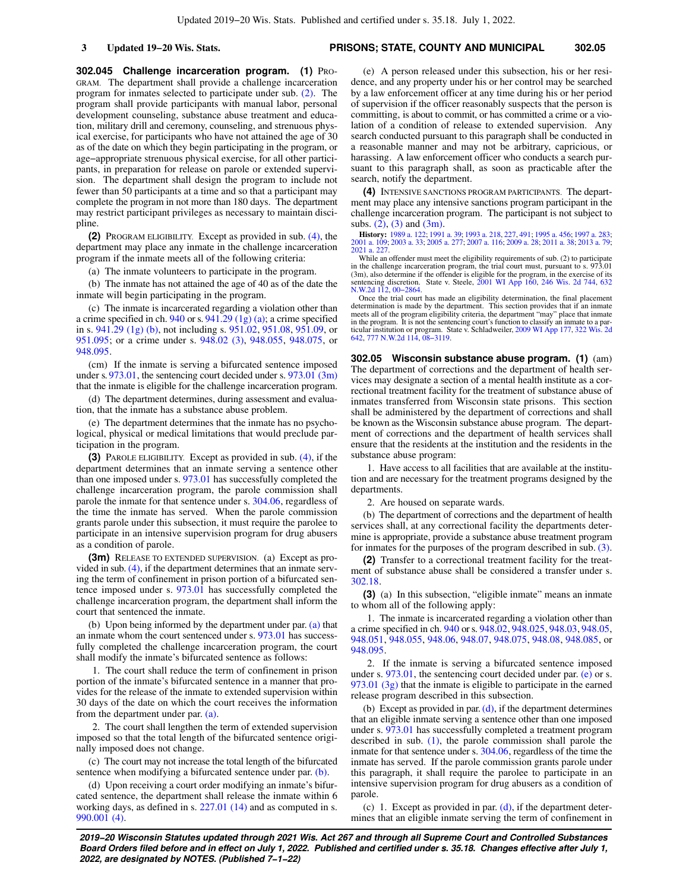**302.045 Challenge incarceration program. (1)** PRO-GRAM. The department shall provide a challenge incarceration program for inmates selected to participate under sub. [\(2\)](https://docs.legis.wisconsin.gov/document/statutes/302.045(2)). The program shall provide participants with manual labor, personal development counseling, substance abuse treatment and education, military drill and ceremony, counseling, and strenuous physical exercise, for participants who have not attained the age of 30 as of the date on which they begin participating in the program, or age−appropriate strenuous physical exercise, for all other participants, in preparation for release on parole or extended supervision. The department shall design the program to include not fewer than 50 participants at a time and so that a participant may complete the program in not more than 180 days. The department may restrict participant privileges as necessary to maintain discipline.

**(2)** PROGRAM ELIGIBILITY. Except as provided in sub. [\(4\),](https://docs.legis.wisconsin.gov/document/statutes/302.045(4)) the department may place any inmate in the challenge incarceration program if the inmate meets all of the following criteria:

(a) The inmate volunteers to participate in the program.

(b) The inmate has not attained the age of 40 as of the date the inmate will begin participating in the program.

(c) The inmate is incarcerated regarding a violation other than a crime specified in ch.  $940$  or s.  $941.29$  (1g) (a); a crime specified in s. [941.29 \(1g\) \(b\),](https://docs.legis.wisconsin.gov/document/statutes/941.29(1g)(b)) not including s. [951.02,](https://docs.legis.wisconsin.gov/document/statutes/951.02) [951.08](https://docs.legis.wisconsin.gov/document/statutes/951.08), [951.09,](https://docs.legis.wisconsin.gov/document/statutes/951.09) or [951.095](https://docs.legis.wisconsin.gov/document/statutes/951.095); or a crime under s. [948.02 \(3\),](https://docs.legis.wisconsin.gov/document/statutes/948.02(3)) [948.055,](https://docs.legis.wisconsin.gov/document/statutes/948.055) [948.075,](https://docs.legis.wisconsin.gov/document/statutes/948.075) or [948.095](https://docs.legis.wisconsin.gov/document/statutes/948.095).

(cm) If the inmate is serving a bifurcated sentence imposed under s. [973.01,](https://docs.legis.wisconsin.gov/document/statutes/973.01) the sentencing court decided under s. [973.01 \(3m\)](https://docs.legis.wisconsin.gov/document/statutes/973.01(3m)) that the inmate is eligible for the challenge incarceration program.

(d) The department determines, during assessment and evaluation, that the inmate has a substance abuse problem.

(e) The department determines that the inmate has no psychological, physical or medical limitations that would preclude participation in the program.

**(3)** PAROLE ELIGIBILITY. Except as provided in sub. [\(4\),](https://docs.legis.wisconsin.gov/document/statutes/302.045(4)) if the department determines that an inmate serving a sentence other than one imposed under s. [973.01](https://docs.legis.wisconsin.gov/document/statutes/973.01) has successfully completed the challenge incarceration program, the parole commission shall parole the inmate for that sentence under s. [304.06](https://docs.legis.wisconsin.gov/document/statutes/304.06), regardless of the time the inmate has served. When the parole commission grants parole under this subsection, it must require the parolee to participate in an intensive supervision program for drug abusers as a condition of parole.

**(3m)** RELEASE TO EXTENDED SUPERVISION. (a) Except as provided in sub. [\(4\),](https://docs.legis.wisconsin.gov/document/statutes/302.045(4)) if the department determines that an inmate serving the term of confinement in prison portion of a bifurcated sentence imposed under s. [973.01](https://docs.legis.wisconsin.gov/document/statutes/973.01) has successfully completed the challenge incarceration program, the department shall inform the court that sentenced the inmate.

(b) Upon being informed by the department under par. [\(a\)](https://docs.legis.wisconsin.gov/document/statutes/302.045(3m)(a)) that an inmate whom the court sentenced under s. [973.01](https://docs.legis.wisconsin.gov/document/statutes/973.01) has successfully completed the challenge incarceration program, the court shall modify the inmate's bifurcated sentence as follows:

1. The court shall reduce the term of confinement in prison portion of the inmate's bifurcated sentence in a manner that provides for the release of the inmate to extended supervision within 30 days of the date on which the court receives the information from the department under par. [\(a\)](https://docs.legis.wisconsin.gov/document/statutes/302.045(3m)(a)).

2. The court shall lengthen the term of extended supervision imposed so that the total length of the bifurcated sentence originally imposed does not change.

(c) The court may not increase the total length of the bifurcated sentence when modifying a bifurcated sentence under par. [\(b\).](https://docs.legis.wisconsin.gov/document/statutes/302.045(3m)(b))

(d) Upon receiving a court order modifying an inmate's bifurcated sentence, the department shall release the inmate within 6 working days, as defined in s. [227.01 \(14\)](https://docs.legis.wisconsin.gov/document/statutes/227.01(14)) and as computed in s. [990.001 \(4\)](https://docs.legis.wisconsin.gov/document/statutes/990.001(4)).

(e) A person released under this subsection, his or her residence, and any property under his or her control may be searched by a law enforcement officer at any time during his or her period of supervision if the officer reasonably suspects that the person is committing, is about to commit, or has committed a crime or a violation of a condition of release to extended supervision. Any search conducted pursuant to this paragraph shall be conducted in a reasonable manner and may not be arbitrary, capricious, or harassing. A law enforcement officer who conducts a search pursuant to this paragraph shall, as soon as practicable after the search, notify the department.

**(4)** INTENSIVE SANCTIONS PROGRAM PARTICIPANTS. The department may place any intensive sanctions program participant in the challenge incarceration program. The participant is not subject to subs.  $(2)$ ,  $(3)$  and  $(3m)$ .

**History:** [1989 a. 122;](https://docs.legis.wisconsin.gov/document/acts/1989/122) [1991 a. 39](https://docs.legis.wisconsin.gov/document/acts/1991/39); [1993 a. 218](https://docs.legis.wisconsin.gov/document/acts/1993/218), [227,](https://docs.legis.wisconsin.gov/document/acts/1993/227) [491](https://docs.legis.wisconsin.gov/document/acts/1993/491); [1995 a. 456](https://docs.legis.wisconsin.gov/document/acts/1995/456); [1997 a. 283](https://docs.legis.wisconsin.gov/document/acts/1997/283); [2001 a. 109](https://docs.legis.wisconsin.gov/document/acts/2001/109); [2003 a. 33](https://docs.legis.wisconsin.gov/document/acts/2003/33); [2005 a. 277;](https://docs.legis.wisconsin.gov/document/acts/2005/277) [2007 a. 116;](https://docs.legis.wisconsin.gov/document/acts/2007/116) [2009 a. 28;](https://docs.legis.wisconsin.gov/document/acts/2009/28) [2011 a. 38](https://docs.legis.wisconsin.gov/document/acts/2011/38); [2013 a. 79](https://docs.legis.wisconsin.gov/document/acts/2013/79); [2021 a. 227.](https://docs.legis.wisconsin.gov/document/acts/2021/227)

While an offender must meet the eligibility requirements of sub. (2) to participate in the challenge incarceration program, the trial court must, pursuant to s. 973.01 (3m), also determine if the offender is eligible for the program, in the exercise of its sentencing discretion. State v. Steele, [2001 WI App 160,](https://docs.legis.wisconsin.gov/document/courts/2001%20WI%20App%20160) [246 Wis. 2d 744,](https://docs.legis.wisconsin.gov/document/courts/246%20Wis.%202d%20744) [632](https://docs.legis.wisconsin.gov/document/courts/632%20N.W.2d%20112) [N.W.2d 112,](https://docs.legis.wisconsin.gov/document/courts/632%20N.W.2d%20112) [00−2864.](https://docs.legis.wisconsin.gov/document/wicourtofappeals/00-2864)

Once the trial court has made an eligibility determination, the final placement determination is made by the department. This section provides that if an inmate meets all of the program eligibility criteria, the department "may" place that inmate in the program. It is not the sentencing court's function to classify an inmate to a par-ticular institution or program. State v. Schladweiler, [2009 WI App 177,](https://docs.legis.wisconsin.gov/document/courts/2009%20WI%20App%20177) [322 Wis. 2d](https://docs.legis.wisconsin.gov/document/courts/322%20Wis.%202d%20642) [642,](https://docs.legis.wisconsin.gov/document/courts/322%20Wis.%202d%20642) [777 N.W.2d 114,](https://docs.legis.wisconsin.gov/document/courts/777%20N.W.2d%20114) [08−3119.](https://docs.legis.wisconsin.gov/document/wicourtofappeals/08-3119)

**302.05 Wisconsin substance abuse program. (1)** (am) The department of corrections and the department of health services may designate a section of a mental health institute as a correctional treatment facility for the treatment of substance abuse of inmates transferred from Wisconsin state prisons. This section shall be administered by the department of corrections and shall be known as the Wisconsin substance abuse program. The department of corrections and the department of health services shall ensure that the residents at the institution and the residents in the substance abuse program:

1. Have access to all facilities that are available at the institution and are necessary for the treatment programs designed by the departments.

2. Are housed on separate wards.

(b) The department of corrections and the department of health services shall, at any correctional facility the departments determine is appropriate, provide a substance abuse treatment program for inmates for the purposes of the program described in sub. [\(3\).](https://docs.legis.wisconsin.gov/document/statutes/302.05(3))

**(2)** Transfer to a correctional treatment facility for the treatment of substance abuse shall be considered a transfer under s. [302.18.](https://docs.legis.wisconsin.gov/document/statutes/302.18)

**(3)** (a) In this subsection, "eligible inmate" means an inmate to whom all of the following apply:

1. The inmate is incarcerated regarding a violation other than a crime specified in ch. [940](https://docs.legis.wisconsin.gov/document/statutes/ch.%20940) or s. [948.02](https://docs.legis.wisconsin.gov/document/statutes/948.02), [948.025](https://docs.legis.wisconsin.gov/document/statutes/948.025), [948.03](https://docs.legis.wisconsin.gov/document/statutes/948.03), [948.05,](https://docs.legis.wisconsin.gov/document/statutes/948.05) [948.051](https://docs.legis.wisconsin.gov/document/statutes/948.051), [948.055,](https://docs.legis.wisconsin.gov/document/statutes/948.055) [948.06](https://docs.legis.wisconsin.gov/document/statutes/948.06), [948.07,](https://docs.legis.wisconsin.gov/document/statutes/948.07) [948.075,](https://docs.legis.wisconsin.gov/document/statutes/948.075) [948.08](https://docs.legis.wisconsin.gov/document/statutes/948.08), [948.085](https://docs.legis.wisconsin.gov/document/statutes/948.085), or [948.095](https://docs.legis.wisconsin.gov/document/statutes/948.095).

2. If the inmate is serving a bifurcated sentence imposed under s. [973.01,](https://docs.legis.wisconsin.gov/document/statutes/973.01) the sentencing court decided under par. [\(e\)](https://docs.legis.wisconsin.gov/document/statutes/302.05(3)(e)) or s.  $973.01$   $(3g)$  that the inmate is eligible to participate in the earned release program described in this subsection.

(b) Except as provided in par.  $(d)$ , if the department determines that an eligible inmate serving a sentence other than one imposed under s. [973.01](https://docs.legis.wisconsin.gov/document/statutes/973.01) has successfully completed a treatment program described in sub. [\(1\),](https://docs.legis.wisconsin.gov/document/statutes/302.05(1)) the parole commission shall parole the inmate for that sentence under s. [304.06](https://docs.legis.wisconsin.gov/document/statutes/304.06), regardless of the time the inmate has served. If the parole commission grants parole under this paragraph, it shall require the parolee to participate in an intensive supervision program for drug abusers as a condition of parole.

(c) 1. Except as provided in par.  $(d)$ , if the department determines that an eligible inmate serving the term of confinement in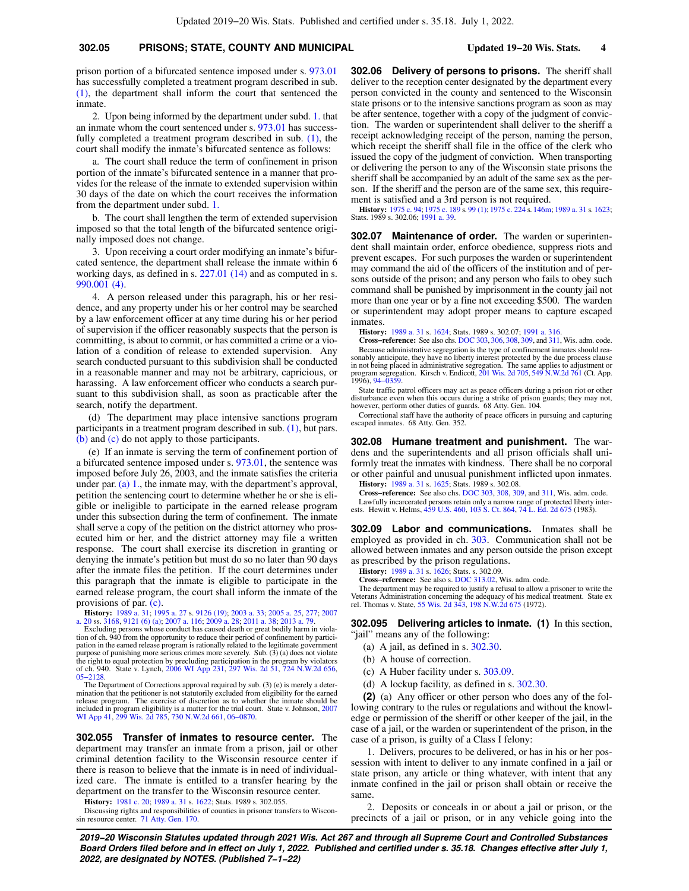### **302.05 PRISONS; STATE, COUNTY AND MUNICIPAL Updated 19−20 Wis. Stats. 4**

prison portion of a bifurcated sentence imposed under s. [973.01](https://docs.legis.wisconsin.gov/document/statutes/973.01) has successfully completed a treatment program described in sub. [\(1\)](https://docs.legis.wisconsin.gov/document/statutes/302.05(1)), the department shall inform the court that sentenced the inmate.

2. Upon being informed by the department under subd. [1.](https://docs.legis.wisconsin.gov/document/statutes/302.05(3)(c)1.) that an inmate whom the court sentenced under s. [973.01](https://docs.legis.wisconsin.gov/document/statutes/973.01) has success-fully completed a treatment program described in sub. [\(1\),](https://docs.legis.wisconsin.gov/document/statutes/302.05(1)) the court shall modify the inmate's bifurcated sentence as follows:

a. The court shall reduce the term of confinement in prison portion of the inmate's bifurcated sentence in a manner that provides for the release of the inmate to extended supervision within 30 days of the date on which the court receives the information from the department under subd. [1.](https://docs.legis.wisconsin.gov/document/statutes/302.05(3)(c)1.)

b. The court shall lengthen the term of extended supervision imposed so that the total length of the bifurcated sentence originally imposed does not change.

3. Upon receiving a court order modifying an inmate's bifurcated sentence, the department shall release the inmate within 6 working days, as defined in s. [227.01 \(14\)](https://docs.legis.wisconsin.gov/document/statutes/227.01(14)) and as computed in s. [990.001 \(4\)](https://docs.legis.wisconsin.gov/document/statutes/990.001(4)).

4. A person released under this paragraph, his or her residence, and any property under his or her control may be searched by a law enforcement officer at any time during his or her period of supervision if the officer reasonably suspects that the person is committing, is about to commit, or has committed a crime or a violation of a condition of release to extended supervision. Any search conducted pursuant to this subdivision shall be conducted in a reasonable manner and may not be arbitrary, capricious, or harassing. A law enforcement officer who conducts a search pursuant to this subdivision shall, as soon as practicable after the search, notify the department.

(d) The department may place intensive sanctions program participants in a treatment program described in sub. [\(1\),](https://docs.legis.wisconsin.gov/document/statutes/302.05(1)) but pars. [\(b\)](https://docs.legis.wisconsin.gov/document/statutes/302.05(3)(b)) and [\(c\)](https://docs.legis.wisconsin.gov/document/statutes/302.05(3)(c)) do not apply to those participants.

(e) If an inmate is serving the term of confinement portion of a bifurcated sentence imposed under s. [973.01,](https://docs.legis.wisconsin.gov/document/statutes/973.01) the sentence was imposed before July 26, 2003, and the inmate satisfies the criteria under par. [\(a\) 1.](https://docs.legis.wisconsin.gov/document/statutes/302.05(3)(a)1.), the inmate may, with the department's approval, petition the sentencing court to determine whether he or she is eligible or ineligible to participate in the earned release program under this subsection during the term of confinement. The inmate shall serve a copy of the petition on the district attorney who prosecuted him or her, and the district attorney may file a written response. The court shall exercise its discretion in granting or denying the inmate's petition but must do so no later than 90 days after the inmate files the petition. If the court determines under this paragraph that the inmate is eligible to participate in the earned release program, the court shall inform the inmate of the provisions of par. [\(c\)](https://docs.legis.wisconsin.gov/document/statutes/302.05(3)(c)).

**History:** [1989 a. 31;](https://docs.legis.wisconsin.gov/document/acts/1989/31) [1995 a. 27](https://docs.legis.wisconsin.gov/document/acts/1995/27) s. [9126 \(19\);](https://docs.legis.wisconsin.gov/document/acts/1995/27,%20s.%209126) [2003 a. 33;](https://docs.legis.wisconsin.gov/document/acts/2003/33) [2005 a. 25](https://docs.legis.wisconsin.gov/document/acts/2005/25), [277](https://docs.legis.wisconsin.gov/document/acts/2005/277); [2007](https://docs.legis.wisconsin.gov/document/acts/2007/20) [a. 20](https://docs.legis.wisconsin.gov/document/acts/2007/20) ss. [3168](https://docs.legis.wisconsin.gov/document/acts/2007/20,%20s.%203168), [9121 \(6\) \(a\)](https://docs.legis.wisconsin.gov/document/acts/2007/20,%20s.%209121); [2007 a. 116;](https://docs.legis.wisconsin.gov/document/acts/2007/116) [2009 a. 28;](https://docs.legis.wisconsin.gov/document/acts/2009/28) [2011 a. 38;](https://docs.legis.wisconsin.gov/document/acts/2011/38) [2013 a. 79.](https://docs.legis.wisconsin.gov/document/acts/2013/79)

Excluding persons whose conduct has caused death or great bodily harm in viola-tion of ch. 940 from the opportunity to reduce their period of confinement by participation in the earned release program is rationally related to the legitimate government purpose of punishing more serious crimes more severely. Sub. (3) (a) does not violate the right to equal protection by precluding participation in the program by violators of ch. 940. State v. Lynch, [2006 WI App 231,](https://docs.legis.wisconsin.gov/document/courts/2006%20WI%20App%20231) [297 Wis. 2d 51](https://docs.legis.wisconsin.gov/document/courts/297%20Wis.%202d%2051), [724 N.W.2d 656](https://docs.legis.wisconsin.gov/document/courts/724%20N.W.2d%20656), [05−2128](https://docs.legis.wisconsin.gov/document/wicourtofappeals/05-2128).

The Department of Corrections approval required by sub. (3) (e) is merely a determination that the petitioner is not statutorily excluded from eligibility for the earned release program. The exercise of discretion as to whether the inmate should be included in program eligibility is a matter for the trial court. State v. Johnson, [2007](https://docs.legis.wisconsin.gov/document/courts/2007%20WI%20App%2041) [WI App 41](https://docs.legis.wisconsin.gov/document/courts/2007%20WI%20App%2041), [299 Wis. 2d 785,](https://docs.legis.wisconsin.gov/document/courts/299%20Wis.%202d%20785) [730 N.W.2d 661,](https://docs.legis.wisconsin.gov/document/courts/730%20N.W.2d%20661) [06−0870.](https://docs.legis.wisconsin.gov/document/wicourtofappeals/06-0870)

**302.055 Transfer of inmates to resource center.** The department may transfer an inmate from a prison, jail or other criminal detention facility to the Wisconsin resource center if there is reason to believe that the inmate is in need of individualized care. The inmate is entitled to a transfer hearing by the department on the transfer to the Wisconsin resource center. **History:** [1981 c. 20;](https://docs.legis.wisconsin.gov/document/acts/1981/20) [1989 a. 31](https://docs.legis.wisconsin.gov/document/acts/1989/31) s. [1622](https://docs.legis.wisconsin.gov/document/acts/1989/31,%20s.%201622); Stats. 1989 s. 302.055.

Discussing rights and responsibilities of counties in prisoner transfers to Wisconsin resource center. [71 Atty. Gen. 170](https://docs.legis.wisconsin.gov/document/oag/vol71-170).

**302.06 Delivery of persons to prisons.** The sheriff shall deliver to the reception center designated by the department every person convicted in the county and sentenced to the Wisconsin state prisons or to the intensive sanctions program as soon as may be after sentence, together with a copy of the judgment of conviction. The warden or superintendent shall deliver to the sheriff a receipt acknowledging receipt of the person, naming the person, which receipt the sheriff shall file in the office of the clerk who issued the copy of the judgment of conviction. When transporting or delivering the person to any of the Wisconsin state prisons the sheriff shall be accompanied by an adult of the same sex as the person. If the sheriff and the person are of the same sex, this requirement is satisfied and a 3rd person is not required.

**History:** [1975 c. 94;](https://docs.legis.wisconsin.gov/document/acts/1975/94) [1975 c. 189](https://docs.legis.wisconsin.gov/document/acts/1975/189) s. [99 \(1\)](https://docs.legis.wisconsin.gov/document/acts/1975/189,%20s.%2099); [1975 c. 224](https://docs.legis.wisconsin.gov/document/acts/1975/224) s. [146m](https://docs.legis.wisconsin.gov/document/acts/1975/224,%20s.%20146m); [1989 a. 31](https://docs.legis.wisconsin.gov/document/acts/1989/31) s. [1623](https://docs.legis.wisconsin.gov/document/acts/1989/31,%20s.%201623); Stats. 1989 s. 302.06; [1991 a. 39.](https://docs.legis.wisconsin.gov/document/acts/1991/39)

**302.07 Maintenance of order.** The warden or superintendent shall maintain order, enforce obedience, suppress riots and prevent escapes. For such purposes the warden or superintendent may command the aid of the officers of the institution and of persons outside of the prison; and any person who fails to obey such command shall be punished by imprisonment in the county jail not more than one year or by a fine not exceeding \$500. The warden or superintendent may adopt proper means to capture escaped inmates.

**History:** [1989 a. 31](https://docs.legis.wisconsin.gov/document/acts/1989/31) s. [1624](https://docs.legis.wisconsin.gov/document/acts/1989/31,%20s.%201624); Stats. 1989 s. 302.07; [1991 a. 316.](https://docs.legis.wisconsin.gov/document/acts/1991/316)

**Cross−reference:** See also chs. [DOC 303,](https://docs.legis.wisconsin.gov/document/administrativecode/ch.%20DOC%20303) [306](https://docs.legis.wisconsin.gov/document/administrativecode/ch.%20DOC%20306), [308](https://docs.legis.wisconsin.gov/document/administrativecode/ch.%20DOC%20308), [309,](https://docs.legis.wisconsin.gov/document/administrativecode/ch.%20DOC%20309) and [311,](https://docs.legis.wisconsin.gov/document/administrativecode/ch.%20DOC%20311) Wis. adm. code. Because administrative segregation is the type of confinement inmates should reasonably anticipate, they have no liberty interest protected by the due process clause<br>in not being placed in administrative segregation. The same applies to adjustment or<br>program segregation. Kirsch v. Endicott, 201 Wis. 2 1996), [94−0359](https://docs.legis.wisconsin.gov/document/wicourtofappeals/94-0359).

State traffic patrol officers may act as peace officers during a prison riot or other disturbance even when this occurs during a strike of prison guards; they may not, however, perform other duties of guards. 68 Atty. Gen.

Correctional staff have the authority of peace officers in pursuing and capturing escaped inmates. 68 Atty. Gen. 352.

**302.08 Humane treatment and punishment.** The wardens and the superintendents and all prison officials shall uniformly treat the inmates with kindness. There shall be no corporal or other painful and unusual punishment inflicted upon inmates.

**History:** [1989 a. 31](https://docs.legis.wisconsin.gov/document/acts/1989/31) s. [1625](https://docs.legis.wisconsin.gov/document/acts/1989/31,%20s.%201625); Stats. 1989 s. 302.08.

**Cross−reference:** See also chs. [DOC 303](https://docs.legis.wisconsin.gov/document/administrativecode/ch.%20DOC%20303), [308](https://docs.legis.wisconsin.gov/document/administrativecode/ch.%20DOC%20308), [309](https://docs.legis.wisconsin.gov/document/administrativecode/ch.%20DOC%20309), and [311,](https://docs.legis.wisconsin.gov/document/administrativecode/ch.%20DOC%20311) Wis. adm. code. Lawfully incarcerated persons retain only a narrow range of protected liberty inter-ests. Hewitt v. Helms, [459 U.S. 460,](https://docs.legis.wisconsin.gov/document/courts/459%20U.S.%20460) [103 S. Ct. 864,](https://docs.legis.wisconsin.gov/document/courts/103%20S.%20Ct.%20864) [74 L. Ed. 2d 675](https://docs.legis.wisconsin.gov/document/courts/74%20L.%20Ed.%202d%20675) (1983).

**302.09 Labor and communications.** Inmates shall be employed as provided in ch. [303.](https://docs.legis.wisconsin.gov/document/statutes/ch.%20303) Communication shall not be allowed between inmates and any person outside the prison except as prescribed by the prison regulations.

**History:** [1989 a. 31](https://docs.legis.wisconsin.gov/document/acts/1989/31) s. [1626](https://docs.legis.wisconsin.gov/document/acts/1989/31,%20s.%201626); Stats. s. 302.09. **Cross−reference:** See also s. [DOC 313.02](https://docs.legis.wisconsin.gov/document/administrativecode/DOC%20313.02), Wis. adm. code.

The department may be required to justify a refusal to allow a prisoner to write the Veterans Administration concerning the adequacy of his medical treatment. State ex rel. Thomas v. State, [55 Wis. 2d 343,](https://docs.legis.wisconsin.gov/document/courts/55%20Wis.%202d%20343) [198 N.W.2d 675](https://docs.legis.wisconsin.gov/document/courts/198%20N.W.2d%20675) (1972).

**302.095 Delivering articles to inmate. (1)** In this section, "jail" means any of the following:

(a) A jail, as defined in s. [302.30.](https://docs.legis.wisconsin.gov/document/statutes/302.30)

- (b) A house of correction.
- (c) A Huber facility under s. [303.09.](https://docs.legis.wisconsin.gov/document/statutes/303.09)
- (d) A lockup facility, as defined in s. [302.30.](https://docs.legis.wisconsin.gov/document/statutes/302.30)

**(2)** (a) Any officer or other person who does any of the following contrary to the rules or regulations and without the knowledge or permission of the sheriff or other keeper of the jail, in the case of a jail, or the warden or superintendent of the prison, in the case of a prison, is guilty of a Class I felony:

1. Delivers, procures to be delivered, or has in his or her possession with intent to deliver to any inmate confined in a jail or state prison, any article or thing whatever, with intent that any inmate confined in the jail or prison shall obtain or receive the same.

2. Deposits or conceals in or about a jail or prison, or the precincts of a jail or prison, or in any vehicle going into the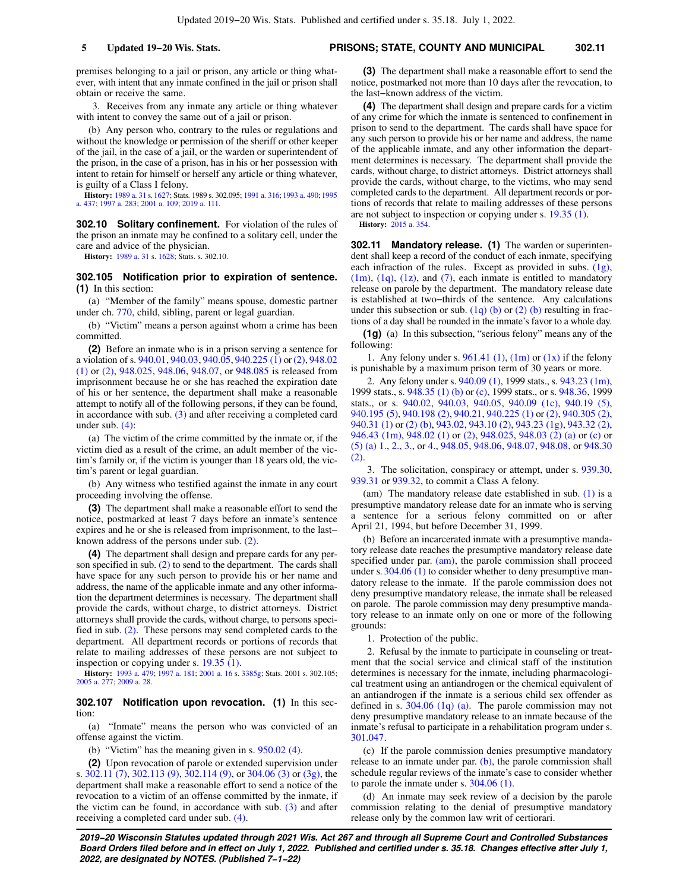premises belonging to a jail or prison, any article or thing whatever, with intent that any inmate confined in the jail or prison shall obtain or receive the same.

3. Receives from any inmate any article or thing whatever with intent to convey the same out of a jail or prison.

(b) Any person who, contrary to the rules or regulations and without the knowledge or permission of the sheriff or other keeper of the jail, in the case of a jail, or the warden or superintendent of the prison, in the case of a prison, has in his or her possession with intent to retain for himself or herself any article or thing whatever, is guilty of a Class I felony.

**History:** [1989 a. 31](https://docs.legis.wisconsin.gov/document/acts/1989/31) s. [1627;](https://docs.legis.wisconsin.gov/document/acts/1989/31,%20s.%201627) Stats. 1989 s. 302.095; [1991 a. 316](https://docs.legis.wisconsin.gov/document/acts/1991/316); [1993 a. 490](https://docs.legis.wisconsin.gov/document/acts/1993/490); [1995](https://docs.legis.wisconsin.gov/document/acts/1995/437) [a. 437;](https://docs.legis.wisconsin.gov/document/acts/1995/437) [1997 a. 283;](https://docs.legis.wisconsin.gov/document/acts/1997/283) [2001 a. 109](https://docs.legis.wisconsin.gov/document/acts/2001/109); [2019 a. 111](https://docs.legis.wisconsin.gov/document/acts/2019/111).

**302.10 Solitary confinement.** For violation of the rules of the prison an inmate may be confined to a solitary cell, under the care and advice of the physician.

**History:** [1989 a. 31](https://docs.legis.wisconsin.gov/document/acts/1989/31) s. [1628;](https://docs.legis.wisconsin.gov/document/acts/1989/31,%20s.%201628) Stats. s. 302.10.

**302.105 Notification prior to expiration of sentence. (1)** In this section:

(a) "Member of the family" means spouse, domestic partner under ch. [770](https://docs.legis.wisconsin.gov/document/statutes/ch.%20770), child, sibling, parent or legal guardian.

(b) "Victim" means a person against whom a crime has been committed.

**(2)** Before an inmate who is in a prison serving a sentence for a violation of s. [940.01,](https://docs.legis.wisconsin.gov/document/statutes/940.01) [940.03,](https://docs.legis.wisconsin.gov/document/statutes/940.03) [940.05](https://docs.legis.wisconsin.gov/document/statutes/940.05), [940.225 \(1\)](https://docs.legis.wisconsin.gov/document/statutes/940.225(1)) or [\(2\)](https://docs.legis.wisconsin.gov/document/statutes/940.225(2)), [948.02](https://docs.legis.wisconsin.gov/document/statutes/948.02(1)) [\(1\)](https://docs.legis.wisconsin.gov/document/statutes/948.02(1)) or [\(2\)](https://docs.legis.wisconsin.gov/document/statutes/948.02(2)), [948.025,](https://docs.legis.wisconsin.gov/document/statutes/948.025) [948.06](https://docs.legis.wisconsin.gov/document/statutes/948.06), [948.07](https://docs.legis.wisconsin.gov/document/statutes/948.07), or [948.085](https://docs.legis.wisconsin.gov/document/statutes/948.085) is released from imprisonment because he or she has reached the expiration date of his or her sentence, the department shall make a reasonable attempt to notify all of the following persons, if they can be found, in accordance with sub.  $(3)$  and after receiving a completed card under sub. [\(4\)](https://docs.legis.wisconsin.gov/document/statutes/302.105(4)):

(a) The victim of the crime committed by the inmate or, if the victim died as a result of the crime, an adult member of the victim's family or, if the victim is younger than 18 years old, the victim's parent or legal guardian.

(b) Any witness who testified against the inmate in any court proceeding involving the offense.

**(3)** The department shall make a reasonable effort to send the notice, postmarked at least 7 days before an inmate's sentence expires and he or she is released from imprisonment, to the last− known address of the persons under sub. [\(2\).](https://docs.legis.wisconsin.gov/document/statutes/302.105(2))

**(4)** The department shall design and prepare cards for any person specified in sub. [\(2\)](https://docs.legis.wisconsin.gov/document/statutes/302.105(2)) to send to the department. The cards shall have space for any such person to provide his or her name and address, the name of the applicable inmate and any other information the department determines is necessary. The department shall provide the cards, without charge, to district attorneys. District attorneys shall provide the cards, without charge, to persons specified in sub. [\(2\)](https://docs.legis.wisconsin.gov/document/statutes/302.105(2)). These persons may send completed cards to the department. All department records or portions of records that relate to mailing addresses of these persons are not subject to inspection or copying under s. [19.35 \(1\).](https://docs.legis.wisconsin.gov/document/statutes/19.35(1))

**History:** [1993 a. 479;](https://docs.legis.wisconsin.gov/document/acts/1993/479) [1997 a. 181](https://docs.legis.wisconsin.gov/document/acts/1997/181); [2001 a. 16](https://docs.legis.wisconsin.gov/document/acts/2001/16) s. [3385g](https://docs.legis.wisconsin.gov/document/acts/2001/16,%20s.%203385g); Stats. 2001 s. 302.105; [2005 a. 277;](https://docs.legis.wisconsin.gov/document/acts/2005/277) [2009 a. 28.](https://docs.legis.wisconsin.gov/document/acts/2009/28)

**302.107 Notification upon revocation. (1)** In this section:

(a) "Inmate" means the person who was convicted of an offense against the victim.

(b) "Victim" has the meaning given in s. [950.02 \(4\)](https://docs.legis.wisconsin.gov/document/statutes/950.02(4)).

**(2)** Upon revocation of parole or extended supervision under s. [302.11 \(7\)](https://docs.legis.wisconsin.gov/document/statutes/302.11(7)), [302.113 \(9\)](https://docs.legis.wisconsin.gov/document/statutes/302.113(9)), [302.114 \(9\),](https://docs.legis.wisconsin.gov/document/statutes/302.114(9)) or [304.06 \(3\)](https://docs.legis.wisconsin.gov/document/statutes/304.06(3)) or [\(3g\),](https://docs.legis.wisconsin.gov/document/statutes/304.06(3g)) the department shall make a reasonable effort to send a notice of the revocation to a victim of an offense committed by the inmate, if the victim can be found, in accordance with sub. [\(3\)](https://docs.legis.wisconsin.gov/document/statutes/302.107(3)) and after receiving a completed card under sub. [\(4\)](https://docs.legis.wisconsin.gov/document/statutes/302.107(4)).

**(3)** The department shall make a reasonable effort to send the notice, postmarked not more than 10 days after the revocation, to the last−known address of the victim.

**(4)** The department shall design and prepare cards for a victim of any crime for which the inmate is sentenced to confinement in prison to send to the department. The cards shall have space for any such person to provide his or her name and address, the name of the applicable inmate, and any other information the department determines is necessary. The department shall provide the cards, without charge, to district attorneys. District attorneys shall provide the cards, without charge, to the victims, who may send completed cards to the department. All department records or portions of records that relate to mailing addresses of these persons are not subject to inspection or copying under s. [19.35 \(1\)](https://docs.legis.wisconsin.gov/document/statutes/19.35(1)). **History:** [2015 a. 354.](https://docs.legis.wisconsin.gov/document/acts/2015/354)

**302.11 Mandatory release. (1)** The warden or superintendent shall keep a record of the conduct of each inmate, specifying each infraction of the rules. Except as provided in subs. [\(1g\),](https://docs.legis.wisconsin.gov/document/statutes/302.11(1g))  $(1m)$ ,  $(1q)$ ,  $(1z)$ , and  $(7)$ , each inmate is entitled to mandatory release on parole by the department. The mandatory release date is established at two−thirds of the sentence. Any calculations under this subsection or sub.  $(1q)$  (b) or  $(2)$  (b) resulting in fractions of a day shall be rounded in the inmate's favor to a whole day.

**(1g)** (a) In this subsection, "serious felony" means any of the following:

1. Any felony under s.  $961.41$  (1), [\(1m\)](https://docs.legis.wisconsin.gov/document/statutes/961.41(1m)) or [\(1x\)](https://docs.legis.wisconsin.gov/document/statutes/961.41(1x)) if the felony is punishable by a maximum prison term of 30 years or more.

2. Any felony under s. [940.09 \(1\),](https://docs.legis.wisconsin.gov/document/statutes/1999/940.09(1)) 1999 stats., s. [943.23 \(1m\),](https://docs.legis.wisconsin.gov/document/statutes/1999/943.23(1m)) 1999 stats., s. [948.35 \(1\) \(b\)](https://docs.legis.wisconsin.gov/document/statutes/1999/948.35(1)(b)) or [\(c\)](https://docs.legis.wisconsin.gov/document/statutes/1999/948.35(1)(c)), 1999 stats., or s. [948.36,](https://docs.legis.wisconsin.gov/document/statutes/1999/948.36) 1999 stats., or s. [940.02](https://docs.legis.wisconsin.gov/document/statutes/940.02), [940.03,](https://docs.legis.wisconsin.gov/document/statutes/940.03) [940.05,](https://docs.legis.wisconsin.gov/document/statutes/940.05) [940.09 \(1c\)](https://docs.legis.wisconsin.gov/document/statutes/940.09(1c)), [940.19 \(5\),](https://docs.legis.wisconsin.gov/document/statutes/940.19(5)) [940.195 \(5\),](https://docs.legis.wisconsin.gov/document/statutes/940.195(5)) [940.198 \(2\),](https://docs.legis.wisconsin.gov/document/statutes/940.198(2)) [940.21,](https://docs.legis.wisconsin.gov/document/statutes/940.21) [940.225 \(1\)](https://docs.legis.wisconsin.gov/document/statutes/940.225(1)) or [\(2\)](https://docs.legis.wisconsin.gov/document/statutes/940.225(2)), [940.305 \(2\),](https://docs.legis.wisconsin.gov/document/statutes/940.305(2)) [940.31 \(1\)](https://docs.legis.wisconsin.gov/document/statutes/940.31(1)) or [\(2\) \(b\),](https://docs.legis.wisconsin.gov/document/statutes/940.31(2)(b)) [943.02,](https://docs.legis.wisconsin.gov/document/statutes/943.02) [943.10 \(2\)](https://docs.legis.wisconsin.gov/document/statutes/943.10(2)), [943.23 \(1g\)](https://docs.legis.wisconsin.gov/document/statutes/943.23(1g)), [943.32 \(2\),](https://docs.legis.wisconsin.gov/document/statutes/943.32(2)) [946.43 \(1m\),](https://docs.legis.wisconsin.gov/document/statutes/946.43(1m)) [948.02 \(1\)](https://docs.legis.wisconsin.gov/document/statutes/948.02(1)) or [\(2\),](https://docs.legis.wisconsin.gov/document/statutes/948.02(2)) [948.025,](https://docs.legis.wisconsin.gov/document/statutes/948.025) [948.03 \(2\) \(a\)](https://docs.legis.wisconsin.gov/document/statutes/948.03(2)(a)) or [\(c\)](https://docs.legis.wisconsin.gov/document/statutes/948.03(2)(c)) or [\(5\) \(a\) 1.,](https://docs.legis.wisconsin.gov/document/statutes/948.03(5)(a)1.) [2.](https://docs.legis.wisconsin.gov/document/statutes/948.03(5)(a)2.), [3.](https://docs.legis.wisconsin.gov/document/statutes/948.03(5)(a)3.), or [4.](https://docs.legis.wisconsin.gov/document/statutes/948.03(5)(a)4.), [948.05,](https://docs.legis.wisconsin.gov/document/statutes/948.05) [948.06](https://docs.legis.wisconsin.gov/document/statutes/948.06), [948.07,](https://docs.legis.wisconsin.gov/document/statutes/948.07) [948.08](https://docs.legis.wisconsin.gov/document/statutes/948.08), or [948.30](https://docs.legis.wisconsin.gov/document/statutes/948.30(2)) [\(2\).](https://docs.legis.wisconsin.gov/document/statutes/948.30(2))

3. The solicitation, conspiracy or attempt, under s. [939.30,](https://docs.legis.wisconsin.gov/document/statutes/939.30) [939.31](https://docs.legis.wisconsin.gov/document/statutes/939.31) or [939.32,](https://docs.legis.wisconsin.gov/document/statutes/939.32) to commit a Class A felony.

(am) The mandatory release date established in sub. [\(1\)](https://docs.legis.wisconsin.gov/document/statutes/302.11(1)) is a presumptive mandatory release date for an inmate who is serving a sentence for a serious felony committed on or after April 21, 1994, but before December 31, 1999.

(b) Before an incarcerated inmate with a presumptive mandatory release date reaches the presumptive mandatory release date specified under par. [\(am\)](https://docs.legis.wisconsin.gov/document/statutes/302.11(1g)(am)), the parole commission shall proceed under s. [304.06 \(1\)](https://docs.legis.wisconsin.gov/document/statutes/304.06(1)) to consider whether to deny presumptive mandatory release to the inmate. If the parole commission does not deny presumptive mandatory release, the inmate shall be released on parole. The parole commission may deny presumptive mandatory release to an inmate only on one or more of the following grounds:

1. Protection of the public.

2. Refusal by the inmate to participate in counseling or treatment that the social service and clinical staff of the institution determines is necessary for the inmate, including pharmacological treatment using an antiandrogen or the chemical equivalent of an antiandrogen if the inmate is a serious child sex offender as defined in s. [304.06 \(1q\) \(a\).](https://docs.legis.wisconsin.gov/document/statutes/304.06(1q)(a)) The parole commission may not deny presumptive mandatory release to an inmate because of the inmate's refusal to participate in a rehabilitation program under s. [301.047](https://docs.legis.wisconsin.gov/document/statutes/301.047).

(c) If the parole commission denies presumptive mandatory release to an inmate under par. [\(b\)](https://docs.legis.wisconsin.gov/document/statutes/302.11(1g)(b)), the parole commission shall schedule regular reviews of the inmate's case to consider whether to parole the inmate under s. [304.06 \(1\)](https://docs.legis.wisconsin.gov/document/statutes/304.06(1)).

(d) An inmate may seek review of a decision by the parole commission relating to the denial of presumptive mandatory release only by the common law writ of certiorari.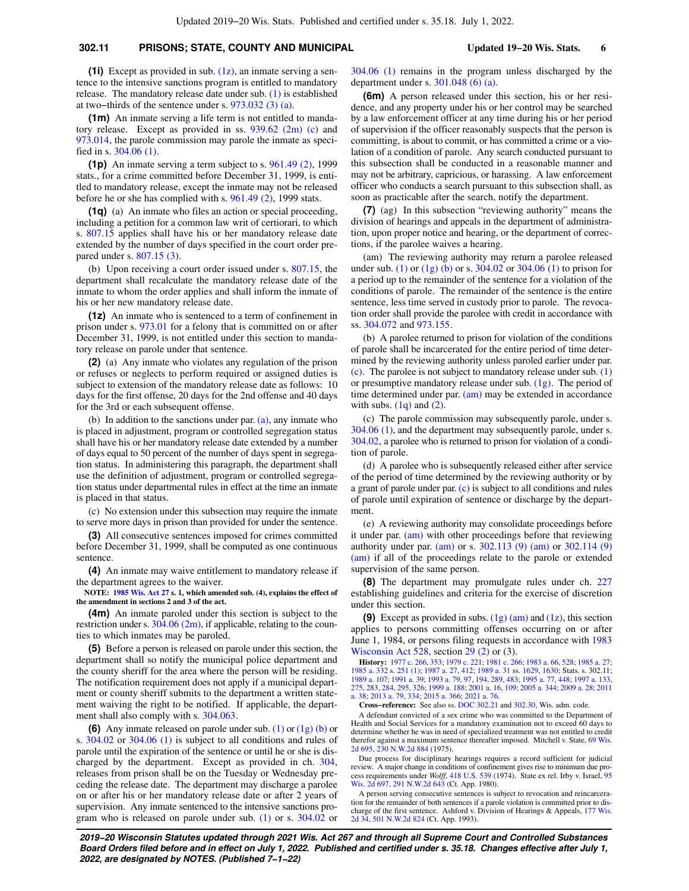### **302.11 PRISONS; STATE, COUNTY AND MUNICIPAL Updated 19−20 Wis. Stats. 6**

**(1i)** Except as provided in sub. [\(1z\)](https://docs.legis.wisconsin.gov/document/statutes/302.11(1z)), an inmate serving a sentence to the intensive sanctions program is entitled to mandatory release. The mandatory release date under sub. [\(1\)](https://docs.legis.wisconsin.gov/document/statutes/302.11(1)) is established at two−thirds of the sentence under s. [973.032 \(3\) \(a\).](https://docs.legis.wisconsin.gov/document/statutes/973.032(3)(a))

**(1m)** An inmate serving a life term is not entitled to mandatory release. Except as provided in ss. [939.62 \(2m\) \(c\)](https://docs.legis.wisconsin.gov/document/statutes/939.62(2m)(c)) and [973.014](https://docs.legis.wisconsin.gov/document/statutes/973.014), the parole commission may parole the inmate as specified in s. [304.06 \(1\)](https://docs.legis.wisconsin.gov/document/statutes/304.06(1)).

**(1p)** An inmate serving a term subject to s. [961.49 \(2\)](https://docs.legis.wisconsin.gov/document/statutes/1999/961.49(2)), 1999 stats., for a crime committed before December 31, 1999, is entitled to mandatory release, except the inmate may not be released before he or she has complied with s. [961.49 \(2\),](https://docs.legis.wisconsin.gov/document/statutes/1999/961.49(2)) 1999 stats.

**(1q)** (a) An inmate who files an action or special proceeding, including a petition for a common law writ of certiorari, to which s. [807.15](https://docs.legis.wisconsin.gov/document/statutes/807.15) applies shall have his or her mandatory release date extended by the number of days specified in the court order prepared under s. [807.15 \(3\).](https://docs.legis.wisconsin.gov/document/statutes/807.15(3))

(b) Upon receiving a court order issued under s. [807.15](https://docs.legis.wisconsin.gov/document/statutes/807.15), the department shall recalculate the mandatory release date of the inmate to whom the order applies and shall inform the inmate of his or her new mandatory release date.

**(1z)** An inmate who is sentenced to a term of confinement in prison under s. [973.01](https://docs.legis.wisconsin.gov/document/statutes/973.01) for a felony that is committed on or after December 31, 1999, is not entitled under this section to mandatory release on parole under that sentence.

**(2)** (a) Any inmate who violates any regulation of the prison or refuses or neglects to perform required or assigned duties is subject to extension of the mandatory release date as follows: 10 days for the first offense, 20 days for the 2nd offense and 40 days for the 3rd or each subsequent offense.

(b) In addition to the sanctions under par.  $(a)$ , any inmate who is placed in adjustment, program or controlled segregation status shall have his or her mandatory release date extended by a number of days equal to 50 percent of the number of days spent in segregation status. In administering this paragraph, the department shall use the definition of adjustment, program or controlled segregation status under departmental rules in effect at the time an inmate is placed in that status.

(c) No extension under this subsection may require the inmate to serve more days in prison than provided for under the sentence.

**(3)** All consecutive sentences imposed for crimes committed before December 31, 1999, shall be computed as one continuous sentence.

**(4)** An inmate may waive entitlement to mandatory release if the department agrees to the waiver.

**NOTE: [1985 Wis. Act 27](https://docs.legis.wisconsin.gov/document/acts/1985/27) s. [1,](https://docs.legis.wisconsin.gov/document/acts/1985/27,%20s.%201) which amended sub. (4), explains the effect of the amendment in sections 2 and 3 of the act.**

**(4m)** An inmate paroled under this section is subject to the restriction under s. [304.06 \(2m\),](https://docs.legis.wisconsin.gov/document/statutes/304.06(2m)) if applicable, relating to the counties to which inmates may be paroled.

**(5)** Before a person is released on parole under this section, the department shall so notify the municipal police department and the county sheriff for the area where the person will be residing. The notification requirement does not apply if a municipal department or county sheriff submits to the department a written statement waiving the right to be notified. If applicable, the department shall also comply with s. [304.063.](https://docs.legis.wisconsin.gov/document/statutes/304.063)

**(6)** Any inmate released on parole under sub. [\(1\)](https://docs.legis.wisconsin.gov/document/statutes/302.11(1)) or [\(1g\) \(b\)](https://docs.legis.wisconsin.gov/document/statutes/302.11(1g)(b)) or s. [304.02](https://docs.legis.wisconsin.gov/document/statutes/304.02) or [304.06 \(1\)](https://docs.legis.wisconsin.gov/document/statutes/304.06(1)) is subject to all conditions and rules of parole until the expiration of the sentence or until he or she is discharged by the department. Except as provided in ch. [304,](https://docs.legis.wisconsin.gov/document/statutes/ch.%20304) releases from prison shall be on the Tuesday or Wednesday preceding the release date. The department may discharge a parolee on or after his or her mandatory release date or after 2 years of supervision. Any inmate sentenced to the intensive sanctions program who is released on parole under sub.  $(1)$  or s. [304.02](https://docs.legis.wisconsin.gov/document/statutes/304.02) or [304.06 \(1\)](https://docs.legis.wisconsin.gov/document/statutes/304.06(1)) remains in the program unless discharged by the department under s. [301.048 \(6\) \(a\).](https://docs.legis.wisconsin.gov/document/statutes/301.048(6)(a))

**(6m)** A person released under this section, his or her residence, and any property under his or her control may be searched by a law enforcement officer at any time during his or her period of supervision if the officer reasonably suspects that the person is committing, is about to commit, or has committed a crime or a violation of a condition of parole. Any search conducted pursuant to this subsection shall be conducted in a reasonable manner and may not be arbitrary, capricious, or harassing. A law enforcement officer who conducts a search pursuant to this subsection shall, as soon as practicable after the search, notify the department.

**(7)** (ag) In this subsection "reviewing authority" means the division of hearings and appeals in the department of administration, upon proper notice and hearing, or the department of corrections, if the parolee waives a hearing.

(am) The reviewing authority may return a parolee released under sub. [\(1\)](https://docs.legis.wisconsin.gov/document/statutes/302.11(1)) or [\(1g\) \(b\)](https://docs.legis.wisconsin.gov/document/statutes/302.11(1g)(b)) or s.  $304.02$  or  $304.06$  (1) to prison for a period up to the remainder of the sentence for a violation of the conditions of parole. The remainder of the sentence is the entire sentence, less time served in custody prior to parole. The revocation order shall provide the parolee with credit in accordance with ss. [304.072](https://docs.legis.wisconsin.gov/document/statutes/304.072) and [973.155](https://docs.legis.wisconsin.gov/document/statutes/973.155).

(b) A parolee returned to prison for violation of the conditions of parole shall be incarcerated for the entire period of time determined by the reviewing authority unless paroled earlier under par. [\(c\)](https://docs.legis.wisconsin.gov/document/statutes/302.11(7)(c)). The parolee is not subject to mandatory release under sub. [\(1\)](https://docs.legis.wisconsin.gov/document/statutes/302.11(1)) or presumptive mandatory release under sub.  $(1g)$ . The period of time determined under par. [\(am\)](https://docs.legis.wisconsin.gov/document/statutes/302.11(7)(am)) may be extended in accordance with subs.  $(1q)$  and  $(2)$ .

(c) The parole commission may subsequently parole, under s. [304.06 \(1\)](https://docs.legis.wisconsin.gov/document/statutes/304.06(1)), and the department may subsequently parole, under s. [304.02,](https://docs.legis.wisconsin.gov/document/statutes/304.02) a parolee who is returned to prison for violation of a condition of parole.

(d) A parolee who is subsequently released either after service of the period of time determined by the reviewing authority or by a grant of parole under par. [\(c\)](https://docs.legis.wisconsin.gov/document/statutes/302.11(7)(c)) is subject to all conditions and rules of parole until expiration of sentence or discharge by the department.

(e) A reviewing authority may consolidate proceedings before it under par. [\(am\)](https://docs.legis.wisconsin.gov/document/statutes/302.11(7)(am)) with other proceedings before that reviewing authority under par. [\(am\)](https://docs.legis.wisconsin.gov/document/statutes/302.11(7)(am)) or s. [302.113 \(9\) \(am\)](https://docs.legis.wisconsin.gov/document/statutes/302.113(9)(am)) or [302.114 \(9\)](https://docs.legis.wisconsin.gov/document/statutes/302.114(9)(am)) [\(am\)](https://docs.legis.wisconsin.gov/document/statutes/302.114(9)(am)) if all of the proceedings relate to the parole or extended supervision of the same person.

**(8)** The department may promulgate rules under ch. [227](https://docs.legis.wisconsin.gov/document/statutes/ch.%20227) establishing guidelines and criteria for the exercise of discretion under this section.

**(9)** Except as provided in subs. [\(1g\) \(am\)](https://docs.legis.wisconsin.gov/document/statutes/302.11(1g)(am)) and [\(1z\)](https://docs.legis.wisconsin.gov/document/statutes/302.11(1z)), this section applies to persons committing offenses occurring on or after June 1, 1984, or persons filing requests in accordance with [1983](https://docs.legis.wisconsin.gov/document/acts/1983/528) [Wisconsin Act 528,](https://docs.legis.wisconsin.gov/document/acts/1983/528) section [29 \(2\)](https://docs.legis.wisconsin.gov/document/acts/1983/528,%20s.%2029) or (3).

**History:** [1977 c. 266](https://docs.legis.wisconsin.gov/document/acts/1977/266), [353;](https://docs.legis.wisconsin.gov/document/acts/1977/353) [1979 c. 221;](https://docs.legis.wisconsin.gov/document/acts/1979/221) [1981 c. 266](https://docs.legis.wisconsin.gov/document/acts/1981/266); [1983 a. 66](https://docs.legis.wisconsin.gov/document/acts/1983/66), [528](https://docs.legis.wisconsin.gov/document/acts/1983/528); [1985 a. 27](https://docs.legis.wisconsin.gov/document/acts/1985/27); [1985 a. 332](https://docs.legis.wisconsin.gov/document/acts/1985/332) s. [251 \(1\)](https://docs.legis.wisconsin.gov/document/acts/1985/332,%20s.%20251); [1987 a. 27,](https://docs.legis.wisconsin.gov/document/acts/1987/27) [412;](https://docs.legis.wisconsin.gov/document/acts/1987/412) [1989 a. 31](https://docs.legis.wisconsin.gov/document/acts/1989/31) ss. [1629,](https://docs.legis.wisconsin.gov/document/acts/1989/31,%20s.%201629) [1630](https://docs.legis.wisconsin.gov/document/acts/1989/31,%20s.%201630); Stats. s. 302.11; [1989 a. 107](https://docs.legis.wisconsin.gov/document/acts/1989/107); [1991 a. 39;](https://docs.legis.wisconsin.gov/document/acts/1991/39) [1993 a. 79](https://docs.legis.wisconsin.gov/document/acts/1993/79), [97](https://docs.legis.wisconsin.gov/document/acts/1993/97), [194](https://docs.legis.wisconsin.gov/document/acts/1993/194), [289,](https://docs.legis.wisconsin.gov/document/acts/1993/289) [483;](https://docs.legis.wisconsin.gov/document/acts/1993/483) [1995 a. 77,](https://docs.legis.wisconsin.gov/document/acts/1995/77) [448;](https://docs.legis.wisconsin.gov/document/acts/1995/448) [1997 a. 133](https://docs.legis.wisconsin.gov/document/acts/1997/133), [275,](https://docs.legis.wisconsin.gov/document/acts/1997/275) [283](https://docs.legis.wisconsin.gov/document/acts/1997/283), [284,](https://docs.legis.wisconsin.gov/document/acts/1997/284) [295,](https://docs.legis.wisconsin.gov/document/acts/1997/295) [326](https://docs.legis.wisconsin.gov/document/acts/1997/326); [1999 a. 188](https://docs.legis.wisconsin.gov/document/acts/1999/188); [2001 a. 16](https://docs.legis.wisconsin.gov/document/acts/2001/16), [109](https://docs.legis.wisconsin.gov/document/acts/2001/109); [2005 a. 344;](https://docs.legis.wisconsin.gov/document/acts/2005/344) [2009 a. 28](https://docs.legis.wisconsin.gov/document/acts/2009/28); [2011](https://docs.legis.wisconsin.gov/document/acts/2011/38) [a. 38;](https://docs.legis.wisconsin.gov/document/acts/2011/38) [2013 a. 79,](https://docs.legis.wisconsin.gov/document/acts/2013/79) [334;](https://docs.legis.wisconsin.gov/document/acts/2013/334) [2015 a. 366;](https://docs.legis.wisconsin.gov/document/acts/2015/366) [2021 a. 76.](https://docs.legis.wisconsin.gov/document/acts/2021/76)

**Cross−reference:** See also ss. [DOC 302.21](https://docs.legis.wisconsin.gov/document/administrativecode/DOC%20302.21) and [302.30,](https://docs.legis.wisconsin.gov/document/administrativecode/DOC%20302.30) Wis. adm. code.

A defendant convicted of a sex crime who was committed to the Department of Health and Social Services for a mandatory examination not to exceed 60 days to determine whether he was in need of specialized treatment was not entitled to credit therefor against a maximum sentence thereafter imposed. Mitchell v. State, [69 Wis.](https://docs.legis.wisconsin.gov/document/courts/69%20Wis.%202d%20695) [2d 695](https://docs.legis.wisconsin.gov/document/courts/69%20Wis.%202d%20695), [230 N.W.2d 884](https://docs.legis.wisconsin.gov/document/courts/230%20N.W.2d%20884) (1975).

Due process for disciplinary hearings requires a record sufficient for judicial review. A major change in conditions of confinement gives rise to minimum due pro-cess requirements under *Wolff*, [418 U.S. 539](https://docs.legis.wisconsin.gov/document/courts/418%20U.S.%20539) (1974). State ex rel. Irby v. Israel, [95](https://docs.legis.wisconsin.gov/document/courts/95%20Wis.%202d%20697) [Wis. 2d 697,](https://docs.legis.wisconsin.gov/document/courts/95%20Wis.%202d%20697) [291 N.W.2d 643](https://docs.legis.wisconsin.gov/document/courts/291%20N.W.2d%20643) (Ct. App. 1980).

A person serving consecutive sentences is subject to revocation and reincarceration for the remainder of both sentences if a parole violation is committed prior to discharge of the first sentence. Ashford v. Division of Hearings & Appeals, [177 Wis.](https://docs.legis.wisconsin.gov/document/courts/177%20Wis.%202d%2034) [2d 34,](https://docs.legis.wisconsin.gov/document/courts/177%20Wis.%202d%2034) [501 N.W.2d 824](https://docs.legis.wisconsin.gov/document/courts/501%20N.W.2d%20824) (Ct. App. 1993).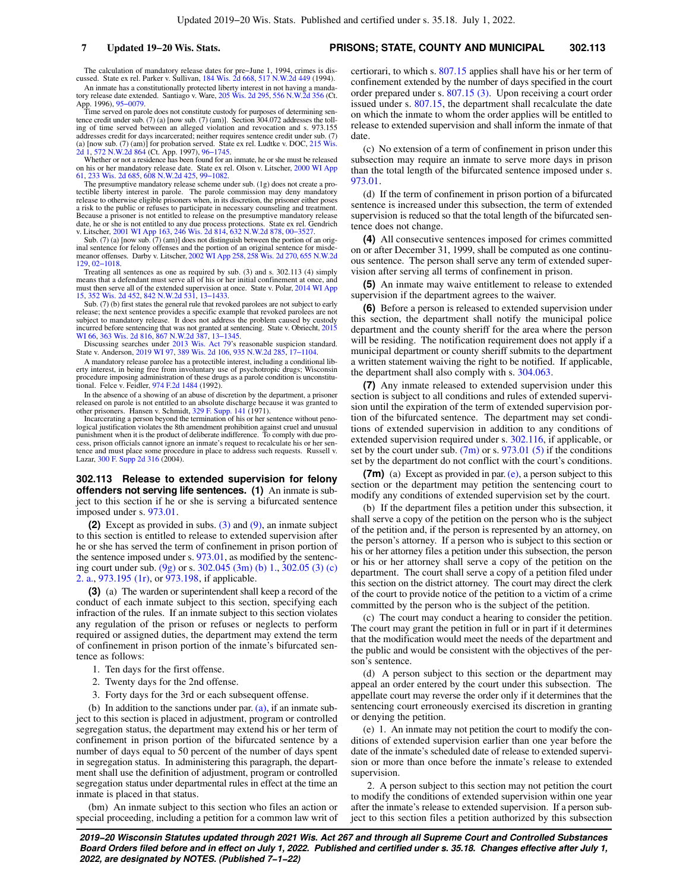The calculation of mandatory release dates for pre−June 1, 1994, crimes is dis-cussed. State ex rel. Parker v. Sullivan, [184 Wis. 2d 668](https://docs.legis.wisconsin.gov/document/courts/184%20Wis.%202d%20668), [517 N.W.2d 449](https://docs.legis.wisconsin.gov/document/courts/517%20N.W.2d%20449) (1994). An inmate has a constitutionally protected liberty interest in not having a manda-

tory release date extended. Santiago v. Ware, [205 Wis. 2d 295](https://docs.legis.wisconsin.gov/document/courts/205%20Wis.%202d%20295), [556 N.W.2d 356](https://docs.legis.wisconsin.gov/document/courts/556%20N.W.2d%20356) (Ct. App. 1996), [95−0079.](https://docs.legis.wisconsin.gov/document/wicourtofappeals/95-0079)

Time served on parole does not constitute custody for purposes of determining sentence credit under sub. (7) (a) [now sub. (7) (am)]. Section 304.072 addresses the toll-<br>ting of time served between an alleged violation and addresses credit for days incarcerated; neither requires sentence credit under sub. (7) (a) [now sub. (7) (am)] for probation served. State ex rel. Ludtke v. DOC, [215 Wis.](https://docs.legis.wisconsin.gov/document/courts/215%20Wis.%202d%201) [2d 1](https://docs.legis.wisconsin.gov/document/courts/215%20Wis.%202d%201), [572 N.W.2d 864](https://docs.legis.wisconsin.gov/document/courts/572%20N.W.2d%20864) (Ct. App. 1997), [96−1745.](https://docs.legis.wisconsin.gov/document/wicourtofappeals/96-1745)

Whether or not a residence has been found for an inmate, he or she must be released on his or her mandatory release date. State ex rel. Olson v. Litscher, [2000 WI App](https://docs.legis.wisconsin.gov/document/courts/2000%20WI%20App%2061) [61,](https://docs.legis.wisconsin.gov/document/courts/2000%20WI%20App%2061) [233 Wis. 2d 685](https://docs.legis.wisconsin.gov/document/courts/233%20Wis.%202d%20685), [608 N.W.2d 425](https://docs.legis.wisconsin.gov/document/courts/608%20N.W.2d%20425), [99−1082](https://docs.legis.wisconsin.gov/document/wicourtofappeals/99-1082).

The presumptive mandatory release scheme under sub. (1g) does not create a protectible liberty interest in parole. The parole commission may deny mandatory release to otherwise eligible prisoners when, in its discretion, the prisoner either poses a risk to the public or refuses to participate in necessary counseling and treatment. Because a prisoner is not entitled to release on the presumptive mandatory release date, he or she is not entitled to any due process protections. State ex rel. Gendrich v. Litscher, [2001 WI App 163](https://docs.legis.wisconsin.gov/document/courts/2001%20WI%20App%20163), [246 Wis. 2d 814,](https://docs.legis.wisconsin.gov/document/courts/246%20Wis.%202d%20814) [632 N.W.2d 878,](https://docs.legis.wisconsin.gov/document/courts/632%20N.W.2d%20878) [00−3527.](https://docs.legis.wisconsin.gov/document/wicourtofappeals/00-3527)

Sub. (7) (a) [now sub. (7) (am)] does not distinguish between the portion of an original sentence for felony offenses and the portion of an original sentence for misdemeanor offenses. Darby v. Litscher, [2002 WI App 258,](https://docs.legis.wisconsin.gov/document/courts/2002%20WI%20App%20258) [258 Wis. 2d 270,](https://docs.legis.wisconsin.gov/document/courts/258%20Wis.%202d%20270) [655 N.W.2d](https://docs.legis.wisconsin.gov/document/courts/655%20N.W.2d%20129) [129](https://docs.legis.wisconsin.gov/document/courts/655%20N.W.2d%20129), [02−1018](https://docs.legis.wisconsin.gov/document/wicourtofappeals/02-1018).

Treating all sentences as one as required by sub. (3) and s. 302.113 (4) simply means that a defendant must serve all of his or her initial confinement at once, and must then serve all of the extended supervision at once. State v. Polar, [2014 WI App](https://docs.legis.wisconsin.gov/document/courts/2014%20WI%20App%2015) [15,](https://docs.legis.wisconsin.gov/document/courts/2014%20WI%20App%2015) [352 Wis. 2d 452](https://docs.legis.wisconsin.gov/document/courts/352%20Wis.%202d%20452), [842 N.W.2d 531](https://docs.legis.wisconsin.gov/document/courts/842%20N.W.2d%20531), [13−1433](https://docs.legis.wisconsin.gov/document/wicourtofappeals/13-1433).

Sub. (7) (b) first states the general rule that revoked parolees are not subject to early release; the next sentence provides a specific example that revoked parolees are not subject to mandatory release. It does not address the problem caused by custody incurred before sentencing that was not granted at sentencing. State v. Obriecht, [2015](https://docs.legis.wisconsin.gov/document/courts/2015%20WI%2066) [WI 66](https://docs.legis.wisconsin.gov/document/courts/2015%20WI%2066), [363 Wis. 2d 816](https://docs.legis.wisconsin.gov/document/courts/363%20Wis.%202d%20816), [867 N.W.2d 387,](https://docs.legis.wisconsin.gov/document/courts/867%20N.W.2d%20387) [13−1345.](https://docs.legis.wisconsin.gov/document/wisupremecourt/13-1345)

Discussing searches under [2013 Wis. Act 79](https://docs.legis.wisconsin.gov/document/acts/2013/79)'s reasonable suspicion standard. State v. Anderson, [2019 WI 97](https://docs.legis.wisconsin.gov/document/courts/2019%20WI%2097), [389 Wis. 2d 106,](https://docs.legis.wisconsin.gov/document/courts/389%20Wis.%202d%20106) [935 N.W.2d 285,](https://docs.legis.wisconsin.gov/document/courts/935%20N.W.2d%20285) [17−1104](https://docs.legis.wisconsin.gov/document/wisupremecourt/17-1104).

A mandatory release parolee has a protectible interest, including a conditional liberty interest, in being free from involuntary use of psychotropic drugs; Wisconsin procedure imposing administration of these drugs as a parole condition is unconstitu-tional. Felce v. Feidler, [974 F.2d 1484](https://docs.legis.wisconsin.gov/document/courts/974%20F.2d%201484) (1992).

In the absence of a showing of an abuse of discretion by the department, a prisoner released on parole is not entitled to an absolute discharge because it was granted to other prisoners. Hansen v. Schmidt, [329 F. Supp. 141](https://docs.legis.wisconsin.gov/document/courts/329%20F.%20Supp.%20141) (1971). Incarcerating a person beyond the termination of his or her sentence without peno-

logical justification violates the 8th amendment prohibition against cruel and unusual punishment when it is the product of deliberate indifference. To comply with due pro-cess, prison officials cannot ignore an inmate's request to recalculate his or her sentence and must place some procedure in place to address such requests. Russell v. Lazar, [300 F. Supp 2d 316](https://docs.legis.wisconsin.gov/document/courts/300%20F.%20Supp%202d%20316) (2004).

**302.113 Release to extended supervision for felony offenders not serving life sentences. (1)** An inmate is subject to this section if he or she is serving a bifurcated sentence imposed under s. [973.01.](https://docs.legis.wisconsin.gov/document/statutes/973.01)

**(2)** Except as provided in subs. [\(3\)](https://docs.legis.wisconsin.gov/document/statutes/302.113(3)) and [\(9\),](https://docs.legis.wisconsin.gov/document/statutes/302.113(9)) an inmate subject to this section is entitled to release to extended supervision after he or she has served the term of confinement in prison portion of the sentence imposed under s. [973.01,](https://docs.legis.wisconsin.gov/document/statutes/973.01) as modified by the sentencing court under sub. [\(9g\)](https://docs.legis.wisconsin.gov/document/statutes/302.113(9g)) or s. [302.045 \(3m\) \(b\) 1.](https://docs.legis.wisconsin.gov/document/statutes/302.045(3m)(b)1.), [302.05 \(3\) \(c\)](https://docs.legis.wisconsin.gov/document/statutes/302.05(3)(c)2.a.) [2. a.](https://docs.legis.wisconsin.gov/document/statutes/302.05(3)(c)2.a.), [973.195 \(1r\),](https://docs.legis.wisconsin.gov/document/statutes/973.195(1r)) or [973.198,](https://docs.legis.wisconsin.gov/document/statutes/973.198) if applicable.

**(3)** (a) The warden or superintendent shall keep a record of the conduct of each inmate subject to this section, specifying each infraction of the rules. If an inmate subject to this section violates any regulation of the prison or refuses or neglects to perform required or assigned duties, the department may extend the term of confinement in prison portion of the inmate's bifurcated sentence as follows:

- 1. Ten days for the first offense.
- 2. Twenty days for the 2nd offense.
- 3. Forty days for the 3rd or each subsequent offense.

(b) In addition to the sanctions under par. [\(a\),](https://docs.legis.wisconsin.gov/document/statutes/302.113(3)(a)) if an inmate subject to this section is placed in adjustment, program or controlled segregation status, the department may extend his or her term of confinement in prison portion of the bifurcated sentence by a number of days equal to 50 percent of the number of days spent in segregation status. In administering this paragraph, the department shall use the definition of adjustment, program or controlled segregation status under departmental rules in effect at the time an inmate is placed in that status.

(bm) An inmate subject to this section who files an action or special proceeding, including a petition for a common law writ of certiorari, to which s. [807.15](https://docs.legis.wisconsin.gov/document/statutes/807.15) applies shall have his or her term of confinement extended by the number of days specified in the court order prepared under s. [807.15 \(3\).](https://docs.legis.wisconsin.gov/document/statutes/807.15(3)) Upon receiving a court order issued under s. [807.15](https://docs.legis.wisconsin.gov/document/statutes/807.15), the department shall recalculate the date on which the inmate to whom the order applies will be entitled to release to extended supervision and shall inform the inmate of that date.

(c) No extension of a term of confinement in prison under this subsection may require an inmate to serve more days in prison than the total length of the bifurcated sentence imposed under s. [973.01.](https://docs.legis.wisconsin.gov/document/statutes/973.01)

(d) If the term of confinement in prison portion of a bifurcated sentence is increased under this subsection, the term of extended supervision is reduced so that the total length of the bifurcated sentence does not change.

**(4)** All consecutive sentences imposed for crimes committed on or after December 31, 1999, shall be computed as one continuous sentence. The person shall serve any term of extended supervision after serving all terms of confinement in prison.

**(5)** An inmate may waive entitlement to release to extended supervision if the department agrees to the waiver.

**(6)** Before a person is released to extended supervision under this section, the department shall notify the municipal police department and the county sheriff for the area where the person will be residing. The notification requirement does not apply if a municipal department or county sheriff submits to the department a written statement waiving the right to be notified. If applicable, the department shall also comply with s. [304.063.](https://docs.legis.wisconsin.gov/document/statutes/304.063)

**(7)** Any inmate released to extended supervision under this section is subject to all conditions and rules of extended supervision until the expiration of the term of extended supervision portion of the bifurcated sentence. The department may set conditions of extended supervision in addition to any conditions of extended supervision required under s. [302.116,](https://docs.legis.wisconsin.gov/document/statutes/302.116) if applicable, or set by the court under sub. [\(7m\)](https://docs.legis.wisconsin.gov/document/statutes/302.113(7m)) or s. [973.01 \(5\)](https://docs.legis.wisconsin.gov/document/statutes/973.01(5)) if the conditions set by the department do not conflict with the court's conditions.

**(7m)** (a) Except as provided in par. [\(e\)](https://docs.legis.wisconsin.gov/document/statutes/302.113(7m)(e)), a person subject to this section or the department may petition the sentencing court to modify any conditions of extended supervision set by the court.

(b) If the department files a petition under this subsection, it shall serve a copy of the petition on the person who is the subject of the petition and, if the person is represented by an attorney, on the person's attorney. If a person who is subject to this section or his or her attorney files a petition under this subsection, the person or his or her attorney shall serve a copy of the petition on the department. The court shall serve a copy of a petition filed under this section on the district attorney. The court may direct the clerk of the court to provide notice of the petition to a victim of a crime committed by the person who is the subject of the petition.

(c) The court may conduct a hearing to consider the petition. The court may grant the petition in full or in part if it determines that the modification would meet the needs of the department and the public and would be consistent with the objectives of the person's sentence.

(d) A person subject to this section or the department may appeal an order entered by the court under this subsection. The appellate court may reverse the order only if it determines that the sentencing court erroneously exercised its discretion in granting or denying the petition.

(e) 1. An inmate may not petition the court to modify the conditions of extended supervision earlier than one year before the date of the inmate's scheduled date of release to extended supervision or more than once before the inmate's release to extended supervision.

2. A person subject to this section may not petition the court to modify the conditions of extended supervision within one year after the inmate's release to extended supervision. If a person subject to this section files a petition authorized by this subsection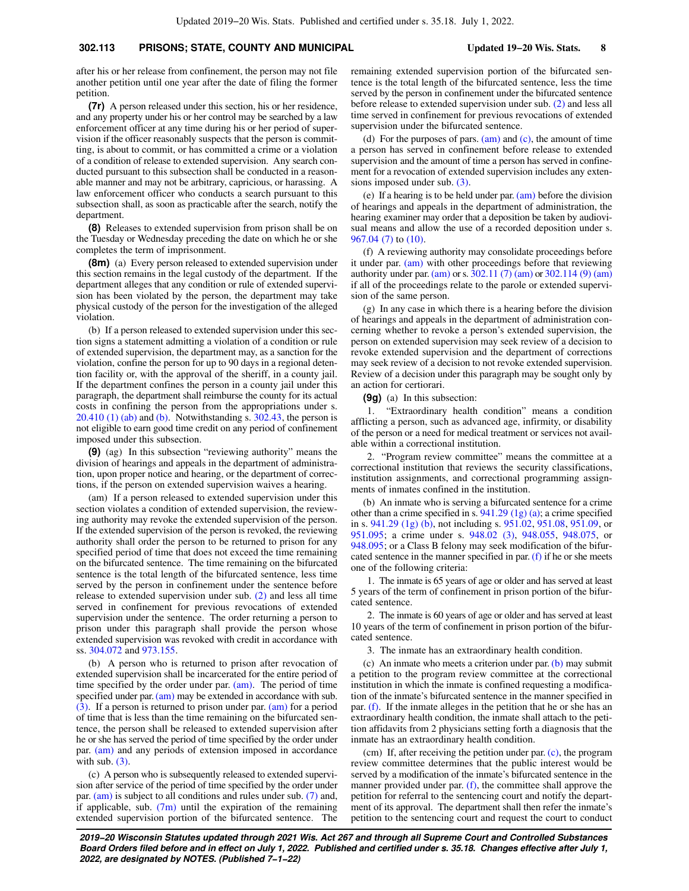### **302.113 PRISONS; STATE, COUNTY AND MUNICIPAL Updated 19−20 Wis. Stats. 8**

after his or her release from confinement, the person may not file another petition until one year after the date of filing the former petition.

**(7r)** A person released under this section, his or her residence, and any property under his or her control may be searched by a law enforcement officer at any time during his or her period of supervision if the officer reasonably suspects that the person is committing, is about to commit, or has committed a crime or a violation of a condition of release to extended supervision. Any search conducted pursuant to this subsection shall be conducted in a reasonable manner and may not be arbitrary, capricious, or harassing. A law enforcement officer who conducts a search pursuant to this subsection shall, as soon as practicable after the search, notify the department.

**(8)** Releases to extended supervision from prison shall be on the Tuesday or Wednesday preceding the date on which he or she completes the term of imprisonment.

**(8m)** (a) Every person released to extended supervision under this section remains in the legal custody of the department. If the department alleges that any condition or rule of extended supervision has been violated by the person, the department may take physical custody of the person for the investigation of the alleged violation.

(b) If a person released to extended supervision under this section signs a statement admitting a violation of a condition or rule of extended supervision, the department may, as a sanction for the violation, confine the person for up to 90 days in a regional detention facility or, with the approval of the sheriff, in a county jail. If the department confines the person in a county jail under this paragraph, the department shall reimburse the county for its actual costs in confining the person from the appropriations under s.  $20.410$  (1) (ab) and [\(b\)](https://docs.legis.wisconsin.gov/document/statutes/20.410(1)(b)). Notwithstanding s.  $302.43$ , the person is not eligible to earn good time credit on any period of confinement imposed under this subsection.

**(9)** (ag) In this subsection "reviewing authority" means the division of hearings and appeals in the department of administration, upon proper notice and hearing, or the department of corrections, if the person on extended supervision waives a hearing.

(am) If a person released to extended supervision under this section violates a condition of extended supervision, the reviewing authority may revoke the extended supervision of the person. If the extended supervision of the person is revoked, the reviewing authority shall order the person to be returned to prison for any specified period of time that does not exceed the time remaining on the bifurcated sentence. The time remaining on the bifurcated sentence is the total length of the bifurcated sentence, less time served by the person in confinement under the sentence before release to extended supervision under sub. [\(2\)](https://docs.legis.wisconsin.gov/document/statutes/302.113(2)) and less all time served in confinement for previous revocations of extended supervision under the sentence. The order returning a person to prison under this paragraph shall provide the person whose extended supervision was revoked with credit in accordance with ss. [304.072](https://docs.legis.wisconsin.gov/document/statutes/304.072) and [973.155.](https://docs.legis.wisconsin.gov/document/statutes/973.155)

(b) A person who is returned to prison after revocation of extended supervision shall be incarcerated for the entire period of time specified by the order under par.  $(am)$ . The period of time specified under par. [\(am\)](https://docs.legis.wisconsin.gov/document/statutes/302.113(9)(am)) may be extended in accordance with sub. [\(3\)](https://docs.legis.wisconsin.gov/document/statutes/302.113(3)). If a person is returned to prison under par. [\(am\)](https://docs.legis.wisconsin.gov/document/statutes/302.113(9)(am)) for a period of time that is less than the time remaining on the bifurcated sentence, the person shall be released to extended supervision after he or she has served the period of time specified by the order under par. [\(am\)](https://docs.legis.wisconsin.gov/document/statutes/302.113(9)(am)) and any periods of extension imposed in accordance with sub.  $(3)$ .

(c) A person who is subsequently released to extended supervision after service of the period of time specified by the order under par. [\(am\)](https://docs.legis.wisconsin.gov/document/statutes/302.113(9)(am)) is subject to all conditions and rules under sub. [\(7\)](https://docs.legis.wisconsin.gov/document/statutes/302.113(7)) and, if applicable, sub.  $(7m)$  until the expiration of the remaining extended supervision portion of the bifurcated sentence. The remaining extended supervision portion of the bifurcated sentence is the total length of the bifurcated sentence, less the time served by the person in confinement under the bifurcated sentence before release to extended supervision under sub. [\(2\)](https://docs.legis.wisconsin.gov/document/statutes/302.113(2)) and less all time served in confinement for previous revocations of extended supervision under the bifurcated sentence.

(d) For the purposes of pars.  $(am)$  and  $(c)$ , the amount of time a person has served in confinement before release to extended supervision and the amount of time a person has served in confinement for a revocation of extended supervision includes any extensions imposed under sub. [\(3\)](https://docs.legis.wisconsin.gov/document/statutes/302.113(3)).

(e) If a hearing is to be held under par. [\(am\)](https://docs.legis.wisconsin.gov/document/statutes/302.113(9)(am)) before the division of hearings and appeals in the department of administration, the hearing examiner may order that a deposition be taken by audiovisual means and allow the use of a recorded deposition under s. [967.04 \(7\)](https://docs.legis.wisconsin.gov/document/statutes/967.04(7)) to [\(10\)](https://docs.legis.wisconsin.gov/document/statutes/967.04(10)).

(f) A reviewing authority may consolidate proceedings before it under par. [\(am\)](https://docs.legis.wisconsin.gov/document/statutes/302.113(9)(am)) with other proceedings before that reviewing authority under par. [\(am\)](https://docs.legis.wisconsin.gov/document/statutes/302.113(9)(am)) or s. [302.11 \(7\) \(am\)](https://docs.legis.wisconsin.gov/document/statutes/302.11(7)(am)) or [302.114 \(9\) \(am\)](https://docs.legis.wisconsin.gov/document/statutes/302.114(9)(am)) if all of the proceedings relate to the parole or extended supervision of the same person.

(g) In any case in which there is a hearing before the division of hearings and appeals in the department of administration concerning whether to revoke a person's extended supervision, the person on extended supervision may seek review of a decision to revoke extended supervision and the department of corrections may seek review of a decision to not revoke extended supervision. Review of a decision under this paragraph may be sought only by an action for certiorari.

**(9g)** (a) In this subsection:

1. "Extraordinary health condition" means a condition afflicting a person, such as advanced age, infirmity, or disability of the person or a need for medical treatment or services not available within a correctional institution.

2. "Program review committee" means the committee at a correctional institution that reviews the security classifications, institution assignments, and correctional programming assignments of inmates confined in the institution.

(b) An inmate who is serving a bifurcated sentence for a crime other than a crime specified in s.  $941.29$  (1g) (a); a crime specified in s. [941.29 \(1g\) \(b\),](https://docs.legis.wisconsin.gov/document/statutes/941.29(1g)(b)) not including s. [951.02,](https://docs.legis.wisconsin.gov/document/statutes/951.02) [951.08,](https://docs.legis.wisconsin.gov/document/statutes/951.08) [951.09](https://docs.legis.wisconsin.gov/document/statutes/951.09), or [951.095](https://docs.legis.wisconsin.gov/document/statutes/951.095); a crime under s. [948.02 \(3\)](https://docs.legis.wisconsin.gov/document/statutes/948.02(3)), [948.055,](https://docs.legis.wisconsin.gov/document/statutes/948.055) [948.075,](https://docs.legis.wisconsin.gov/document/statutes/948.075) or [948.095](https://docs.legis.wisconsin.gov/document/statutes/948.095); or a Class B felony may seek modification of the bifurcated sentence in the manner specified in par.  $(f)$  if he or she meets one of the following criteria:

1. The inmate is 65 years of age or older and has served at least 5 years of the term of confinement in prison portion of the bifurcated sentence.

2. The inmate is 60 years of age or older and has served at least 10 years of the term of confinement in prison portion of the bifurcated sentence.

3. The inmate has an extraordinary health condition.

(c) An inmate who meets a criterion under par. [\(b\)](https://docs.legis.wisconsin.gov/document/statutes/302.113(9g)(b)) may submit a petition to the program review committee at the correctional institution in which the inmate is confined requesting a modification of the inmate's bifurcated sentence in the manner specified in par. [\(f\).](https://docs.legis.wisconsin.gov/document/statutes/302.113(9g)(f)) If the inmate alleges in the petition that he or she has an extraordinary health condition, the inmate shall attach to the petition affidavits from 2 physicians setting forth a diagnosis that the inmate has an extraordinary health condition.

(cm) If, after receiving the petition under par. [\(c\),](https://docs.legis.wisconsin.gov/document/statutes/302.113(9g)(c)) the program review committee determines that the public interest would be served by a modification of the inmate's bifurcated sentence in the manner provided under par. [\(f\),](https://docs.legis.wisconsin.gov/document/statutes/302.113(9g)(f)) the committee shall approve the petition for referral to the sentencing court and notify the department of its approval. The department shall then refer the inmate's petition to the sentencing court and request the court to conduct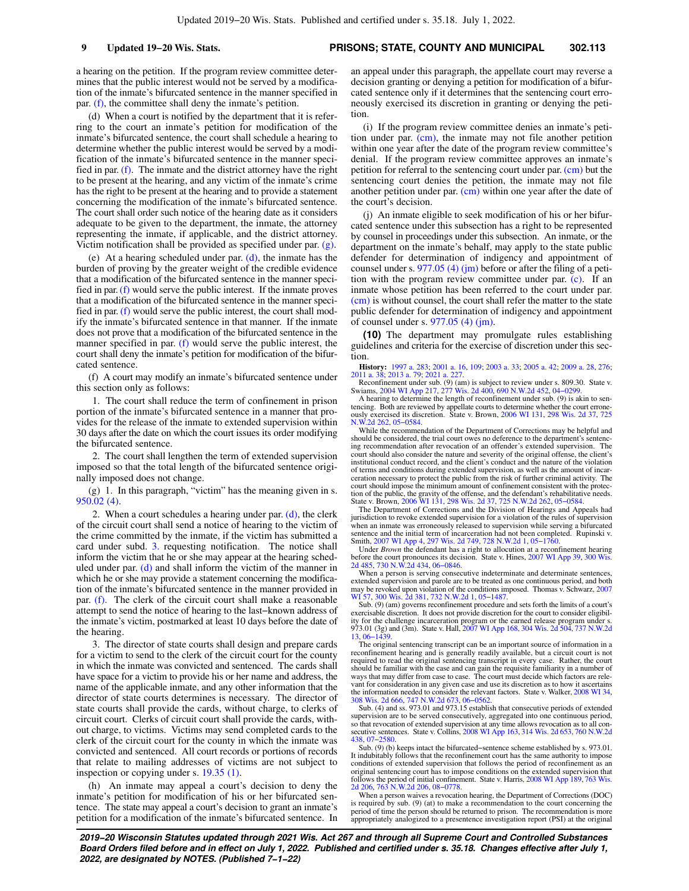a hearing on the petition. If the program review committee determines that the public interest would not be served by a modification of the inmate's bifurcated sentence in the manner specified in par. [\(f\)](https://docs.legis.wisconsin.gov/document/statutes/302.113(9g)(f)), the committee shall deny the inmate's petition.

(d) When a court is notified by the department that it is referring to the court an inmate's petition for modification of the inmate's bifurcated sentence, the court shall schedule a hearing to determine whether the public interest would be served by a modification of the inmate's bifurcated sentence in the manner specified in par. [\(f\).](https://docs.legis.wisconsin.gov/document/statutes/302.113(9g)(f)) The inmate and the district attorney have the right to be present at the hearing, and any victim of the inmate's crime has the right to be present at the hearing and to provide a statement concerning the modification of the inmate's bifurcated sentence. The court shall order such notice of the hearing date as it considers adequate to be given to the department, the inmate, the attorney representing the inmate, if applicable, and the district attorney. Victim notification shall be provided as specified under par. [\(g\).](https://docs.legis.wisconsin.gov/document/statutes/302.113(9g)(g))

(e) At a hearing scheduled under par. [\(d\)](https://docs.legis.wisconsin.gov/document/statutes/302.113(9g)(d)), the inmate has the burden of proving by the greater weight of the credible evidence that a modification of the bifurcated sentence in the manner specified in par. [\(f\)](https://docs.legis.wisconsin.gov/document/statutes/302.113(9g)(f)) would serve the public interest. If the inmate proves that a modification of the bifurcated sentence in the manner specified in par. [\(f\)](https://docs.legis.wisconsin.gov/document/statutes/302.113(9g)(f)) would serve the public interest, the court shall modify the inmate's bifurcated sentence in that manner. If the inmate does not prove that a modification of the bifurcated sentence in the manner specified in par. [\(f\)](https://docs.legis.wisconsin.gov/document/statutes/302.113(9g)(f)) would serve the public interest, the court shall deny the inmate's petition for modification of the bifurcated sentence.

(f) A court may modify an inmate's bifurcated sentence under this section only as follows:

1. The court shall reduce the term of confinement in prison portion of the inmate's bifurcated sentence in a manner that provides for the release of the inmate to extended supervision within 30 days after the date on which the court issues its order modifying the bifurcated sentence.

2. The court shall lengthen the term of extended supervision imposed so that the total length of the bifurcated sentence originally imposed does not change.

(g) 1. In this paragraph, "victim" has the meaning given in s. [950.02 \(4\).](https://docs.legis.wisconsin.gov/document/statutes/950.02(4))

2. When a court schedules a hearing under par.  $(d)$ , the clerk of the circuit court shall send a notice of hearing to the victim of the crime committed by the inmate, if the victim has submitted a card under subd. [3.](https://docs.legis.wisconsin.gov/document/statutes/302.113(9g)(g)3.) requesting notification. The notice shall inform the victim that he or she may appear at the hearing scheduled under par. [\(d\)](https://docs.legis.wisconsin.gov/document/statutes/302.113(9g)(d)) and shall inform the victim of the manner in which he or she may provide a statement concerning the modification of the inmate's bifurcated sentence in the manner provided in par. [\(f\)](https://docs.legis.wisconsin.gov/document/statutes/302.113(9g)(f)). The clerk of the circuit court shall make a reasonable attempt to send the notice of hearing to the last−known address of the inmate's victim, postmarked at least 10 days before the date of the hearing.

3. The director of state courts shall design and prepare cards for a victim to send to the clerk of the circuit court for the county in which the inmate was convicted and sentenced. The cards shall have space for a victim to provide his or her name and address, the name of the applicable inmate, and any other information that the director of state courts determines is necessary. The director of state courts shall provide the cards, without charge, to clerks of circuit court. Clerks of circuit court shall provide the cards, without charge, to victims. Victims may send completed cards to the clerk of the circuit court for the county in which the inmate was convicted and sentenced. All court records or portions of records that relate to mailing addresses of victims are not subject to inspection or copying under s. [19.35 \(1\).](https://docs.legis.wisconsin.gov/document/statutes/19.35(1))

(h) An inmate may appeal a court's decision to deny the inmate's petition for modification of his or her bifurcated sentence. The state may appeal a court's decision to grant an inmate's petition for a modification of the inmate's bifurcated sentence. In

an appeal under this paragraph, the appellate court may reverse a decision granting or denying a petition for modification of a bifurcated sentence only if it determines that the sentencing court erroneously exercised its discretion in granting or denying the petition.

(i) If the program review committee denies an inmate's petition under par. [\(cm\),](https://docs.legis.wisconsin.gov/document/statutes/302.113(9g)(cm)) the inmate may not file another petition within one year after the date of the program review committee's denial. If the program review committee approves an inmate's petition for referral to the sentencing court under par. [\(cm\)](https://docs.legis.wisconsin.gov/document/statutes/302.113(9g)(cm)) but the sentencing court denies the petition, the inmate may not file another petition under par. [\(cm\)](https://docs.legis.wisconsin.gov/document/statutes/302.113(9g)(cm)) within one year after the date of the court's decision.

(j) An inmate eligible to seek modification of his or her bifurcated sentence under this subsection has a right to be represented by counsel in proceedings under this subsection. An inmate, or the department on the inmate's behalf, may apply to the state public defender for determination of indigency and appointment of counsel under s.  $977.05$  (4) (jm) before or after the filing of a petition with the program review committee under par. [\(c\)](https://docs.legis.wisconsin.gov/document/statutes/302.113(9g)(c)). If an inmate whose petition has been referred to the court under par. [\(cm\)](https://docs.legis.wisconsin.gov/document/statutes/302.113(9g)(cm)) is without counsel, the court shall refer the matter to the state public defender for determination of indigency and appointment of counsel under s. [977.05 \(4\) \(jm\)](https://docs.legis.wisconsin.gov/document/statutes/977.05(4)(jm)).

**(10)** The department may promulgate rules establishing guidelines and criteria for the exercise of discretion under this section.

**History:** [1997 a. 283;](https://docs.legis.wisconsin.gov/document/acts/1997/283) [2001 a. 16](https://docs.legis.wisconsin.gov/document/acts/2001/16), [109](https://docs.legis.wisconsin.gov/document/acts/2001/109); [2003 a. 33;](https://docs.legis.wisconsin.gov/document/acts/2003/33) [2005 a. 42;](https://docs.legis.wisconsin.gov/document/acts/2005/42) [2009 a. 28](https://docs.legis.wisconsin.gov/document/acts/2009/28), [276](https://docs.legis.wisconsin.gov/document/acts/2009/276); [2011 a. 38](https://docs.legis.wisconsin.gov/document/acts/2011/38); [2013 a. 79](https://docs.legis.wisconsin.gov/document/acts/2013/79); [2021 a. 227](https://docs.legis.wisconsin.gov/document/acts/2021/227).

Reconfinement under sub. (9) (am) is subject to review under s. 809.30. State v.<br>Swiams, [2004 WI App 217](https://docs.legis.wisconsin.gov/document/courts/2004%20WI%20App%20217), [277 Wis. 2d 400](https://docs.legis.wisconsin.gov/document/courts/277%20Wis.%202d%20400), [690 N.W.2d 452,](https://docs.legis.wisconsin.gov/document/courts/690%20N.W.2d%20452) 04-0299.<br>A hearing to determine the length of reconfinement under sub. (9) is akin

tencing. Both are reviewed by appellate courts to determine whether the court errone-ously exercised its discretion. State v. Brown, [2006 WI 131,](https://docs.legis.wisconsin.gov/document/courts/2006%20WI%20131) [298 Wis. 2d 37,](https://docs.legis.wisconsin.gov/document/courts/298%20Wis.%202d%2037) [725](https://docs.legis.wisconsin.gov/document/courts/725%20N.W.2d%20262) [N.W.2d 262,](https://docs.legis.wisconsin.gov/document/courts/725%20N.W.2d%20262) [05−0584.](https://docs.legis.wisconsin.gov/document/wisupremecourt/05-0584)

While the recommendation of the Department of Corrections may be helpful and should be considered, the trial court owes no deference to the department's sentencing recommendation after revocation of an offender's extended supervision. The court should also consider the nature and severity of the original offense, the client's institutional conduct record, and the client's conduct and the nature of the violation of terms and conditions during extended supervision, as well as the amount of incarceration necessary to protect the public from the risk of further criminal activity. The court should impose the minimum amount of confinement consistent with the protection of the public, the gravity of the offense, and the defendant's rehabilitative needs. State v. Brown, [2006 WI 131,](https://docs.legis.wisconsin.gov/document/courts/2006%20WI%20131) [298 Wis. 2d 37,](https://docs.legis.wisconsin.gov/document/courts/298%20Wis.%202d%2037) [725 N.W.2d 262,](https://docs.legis.wisconsin.gov/document/courts/725%20N.W.2d%20262) [05−0584.](https://docs.legis.wisconsin.gov/document/wisupremecourt/05-0584)

The Department of Corrections and the Division of Hearings and Appeals had jurisdiction to revoke extended supervision for a violation of the rules of supervision when an inmate was erroneously released to supervision while serving a bifurcated sentence and the initial term of incarceration had not been completed. Rupinski v.

Smith, [2007 WI App 4,](https://docs.legis.wisconsin.gov/document/courts/2007%20WI%20App%204) [297 Wis. 2d 749,](https://docs.legis.wisconsin.gov/document/courts/297%20Wis.%202d%20749) [728 N.W.2d 1](https://docs.legis.wisconsin.gov/document/courts/728%20N.W.2d%201), [05−1760](https://docs.legis.wisconsin.gov/document/wicourtofappeals/05-1760). Under *Brown* the defendant has a right to allocution at a reconfinement hearing before the court pronounces its decision. State v. Hines, [2007 WI App 39](https://docs.legis.wisconsin.gov/document/courts/2007%20WI%20App%2039), [300 Wis.](https://docs.legis.wisconsin.gov/document/courts/300%20Wis.%202d%20485) [2d 485](https://docs.legis.wisconsin.gov/document/courts/300%20Wis.%202d%20485), [730 N.W.2d 434,](https://docs.legis.wisconsin.gov/document/courts/730%20N.W.2d%20434) [06−0846](https://docs.legis.wisconsin.gov/document/wicourtofappeals/06-0846).

When a person is serving consecutive indeterminate and determinate sentences, extended supervision and parole are to be treated as one continuous period, and both may be revoked upon violation of the conditions imposed. Thomas v. Schwarz, [2007](https://docs.legis.wisconsin.gov/document/courts/2007%20WI%2057) [WI 57,](https://docs.legis.wisconsin.gov/document/courts/2007%20WI%2057) [300 Wis. 2d 381](https://docs.legis.wisconsin.gov/document/courts/300%20Wis.%202d%20381), [732 N.W.2d 1,](https://docs.legis.wisconsin.gov/document/courts/732%20N.W.2d%201) [05−1487](https://docs.legis.wisconsin.gov/document/wisupremecourt/05-1487).

Sub. (9) (am) governs reconfinement procedure and sets forth the limits of a court's exercisable discretion. It does not provide discretion for the court to consider eligibil-<br>ity for the challenge incarceration program or the earned release program under s.<br>973.01 (3g) and (3m). State v. Hall, 2007 WI App

[13](https://docs.legis.wisconsin.gov/document/courts/737%20N.W.2d%2013), [06−1439](https://docs.legis.wisconsin.gov/document/wicourtofappeals/06-1439). The original sentencing transcript can be an important source of information in a reconfinement hearing and is generally readily available, but a circuit court is not required to read the original sentencing transcript in every case. Rather, the court should be familiar with the case and can gain the requisite familiarity in a number of ways that may differ from case to case. The court must decide which factors are relevant for consideration in any given case and use its discretion as to how it ascertains the information needed to consider the relevant factors. State v. Walker, [2008 WI 34](https://docs.legis.wisconsin.gov/document/courts/2008%20WI%2034), [308 Wis. 2d 666](https://docs.legis.wisconsin.gov/document/courts/308%20Wis.%202d%20666), [747 N.W.2d 673,](https://docs.legis.wisconsin.gov/document/courts/747%20N.W.2d%20673) [06−0562.](https://docs.legis.wisconsin.gov/document/wisupremecourt/06-0562)

Sub. (4) and ss. 973.01 and 973.15 establish that consecutive periods of extended supervision are to be served consecutively, aggregated into one continuous period. so that revocation of extended supervision at any time allows revocation as to all con-secutive sentences. State v. Collins, [2008 WI App 163,](https://docs.legis.wisconsin.gov/document/courts/2008%20WI%20App%20163) [314 Wis. 2d 653,](https://docs.legis.wisconsin.gov/document/courts/314%20Wis.%202d%20653) [760 N.W.2d](https://docs.legis.wisconsin.gov/document/courts/760%20N.W.2d%20438) [438,](https://docs.legis.wisconsin.gov/document/courts/760%20N.W.2d%20438) 07–2580.

Sub. (9) (b) keeps intact the bifurcated−sentence scheme established by s. 973.01. It indubitably follows that the reconfinement court has the same authority to impose conditions of extended supervision that follows the period of reconfinement as an original sentencing court has to impose conditions on the extended supervision that follows the period of initial confinement. State v. Harris, [2008 WI App 189,](https://docs.legis.wisconsin.gov/document/courts/2008%20WI%20App%20189) [763 Wis.](https://docs.legis.wisconsin.gov/document/courts/763%20Wis.%202d%20206) [2d 206](https://docs.legis.wisconsin.gov/document/courts/763%20Wis.%202d%20206), [763 N.W.2d 206,](https://docs.legis.wisconsin.gov/document/courts/763%20N.W.2d%20206) [08−0778](https://docs.legis.wisconsin.gov/document/wicourtofappeals/08-0778).

When a person waives a revocation hearing, the Department of Corrections (DOC) is required by sub. (9) (at) to make a recommendation to the court concerning the period of time the person should be returned to prison. The recommendation is more appropriately analogized to a presentence investigation report (PSI) at the original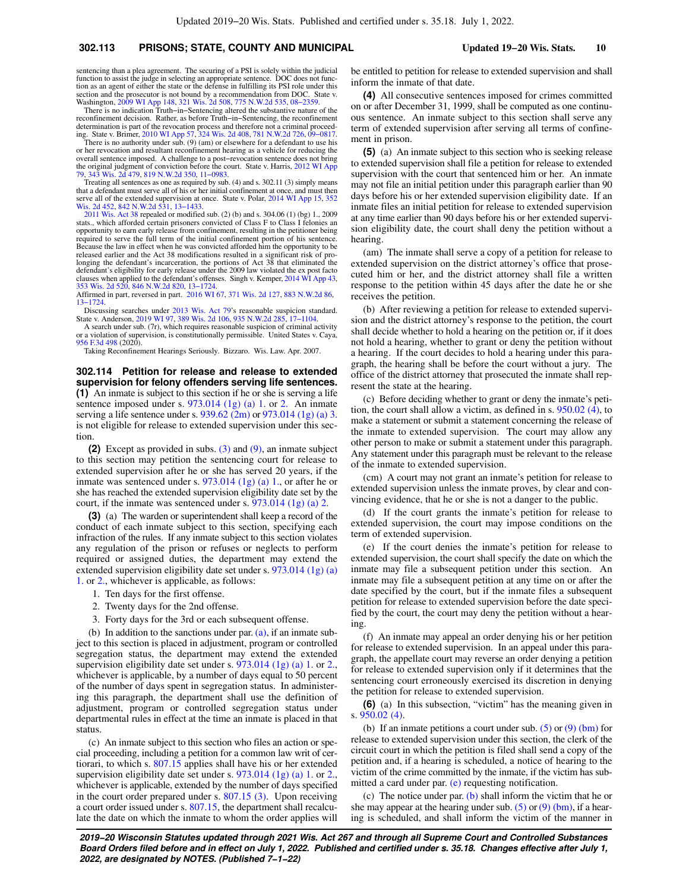### **302.113 PRISONS; STATE, COUNTY AND MUNICIPAL Updated 19−20 Wis. Stats. 10**

sentencing than a plea agreement. The securing of a PSI is solely within the judicial function to assist the judge in selecting an appropriate sentence. DOC does not func-tion as an agent of either the state or the defense in fulfilling its PSI role under this section and the prosecutor is not bound by a recommendation from DOC. State v.<br>Washington, [2009 WI App 148](https://docs.legis.wisconsin.gov/document/courts/2009%20WI%20App%20148), [321 Wis. 2d 508](https://docs.legis.wisconsin.gov/document/courts/321%20Wis.%202d%20508), [775 N.W.2d 535,](https://docs.legis.wisconsin.gov/document/courts/775%20N.W.2d%20535) 08–2359.<br>There is no indication Truth–in–Sentencing altered the substantive natur

reconfinement decision. Rather, as before Truth−in−Sentencing, the reconfinement determination is part of the revocation process and therefore not a criminal proceed-<br>ing. State v. Brimer, [2010 WI App 57,](https://docs.legis.wisconsin.gov/document/courts/2010%20WI%20App%2057) [324 Wis. 2d 408](https://docs.legis.wisconsin.gov/document/courts/324%20Wis.%202d%20408), [781 N.W.2d 726](https://docs.legis.wisconsin.gov/document/courts/781%20N.W.2d%20726), 09–0817.<br>There is no authority under sub. (9) (am) or elsewhere f

or her revocation and resultant reconfinement hearing as a vehicle for reducing the overall sentence imposed. A challenge to a post–revocation sentence does not bring the original judgment of conviction before the court. State v. Harris, [2012 WI App](https://docs.legis.wisconsin.gov/document/courts/2012%20WI%20App%2079) [79,](https://docs.legis.wisconsin.gov/document/courts/2012%20WI%20App%2079) [343 Wis. 2d 479](https://docs.legis.wisconsin.gov/document/courts/343%20Wis.%202d%20479), [819 N.W.2d 350](https://docs.legis.wisconsin.gov/document/courts/819%20N.W.2d%20350), [11−0983.](https://docs.legis.wisconsin.gov/document/wicourtofappeals/11-0983)

Treating all sentences as one as required by sub. (4) and s. 302.11 (3) simply means<br>that a defendant must serve all of his or her initial confinement at once, and must then<br>serve all of the extended supervision at once. S [Wis. 2d 452,](https://docs.legis.wisconsin.gov/document/courts/352%20Wis.%202d%20452) [842 N.W.2d 531](https://docs.legis.wisconsin.gov/document/courts/842%20N.W.2d%20531), [13−1433](https://docs.legis.wisconsin.gov/document/wicourtofappeals/13-1433).

[2011 Wis. Act 38](https://docs.legis.wisconsin.gov/document/acts/2011/38) repealed or modified sub. (2) (b) and s. 304.06 (1) (bg) 1., 2009 stats., which afforded certain prisoners convicted of Class F to Class I felonies an opportunity to earn early release from confinement, resulting in the petitioner being required to serve the full term of the initial confinement portion of his sentence. Because the law in effect when he was convicted afforded him the opportunity to be released earlier and the Act 38 modifications resulted in a significant risk of prolonging the defendant's incarceration, the portions of Act 38 that eliminated the defendant's eligibility for early release under the 2009 law violated the ex post facto clauses when applied to the defendant's offenses. Singh v. Kemper, [2014 WI App 43](https://docs.legis.wisconsin.gov/document/courts/2014%20WI%20App%2043), [353 Wis. 2d 520,](https://docs.legis.wisconsin.gov/document/courts/353%20Wis.%202d%20520) [846 N.W.2d 820,](https://docs.legis.wisconsin.gov/document/courts/846%20N.W.2d%20820) [13−1724.](https://docs.legis.wisconsin.gov/document/wicourtofappeals/13-1724) Affirmed in part, reversed in part. [2016 WI 67](https://docs.legis.wisconsin.gov/document/courts/2016%20WI%2067), [371 Wis. 2d 127,](https://docs.legis.wisconsin.gov/document/courts/371%20Wis.%202d%20127) [883 N.W.2d 86](https://docs.legis.wisconsin.gov/document/courts/883%20N.W.2d%2086),

[13−1724](https://docs.legis.wisconsin.gov/document/wisupremecourt/13-1724). Discussing searches under [2013 Wis. Act 79](https://docs.legis.wisconsin.gov/document/acts/2013/79)'s reasonable suspicion standard. State v. Anderson, [2019 WI 97](https://docs.legis.wisconsin.gov/document/courts/2019%20WI%2097), [389 Wis. 2d 106,](https://docs.legis.wisconsin.gov/document/courts/389%20Wis.%202d%20106) [935 N.W.2d 285,](https://docs.legis.wisconsin.gov/document/courts/935%20N.W.2d%20285) [17−1104](https://docs.legis.wisconsin.gov/document/wisupremecourt/17-1104). A search under sub. (7r), which requires reasonable suspicion of criminal activity

or a violation of supervision, is constitutionally permissible. United States v. Caya, [956 F.3d 498](https://docs.legis.wisconsin.gov/document/courts/956%20F.3d%20498) (2020).

Taking Reconfinement Hearings Seriously. Bizzaro. Wis. Law. Apr. 2007.

**302.114 Petition for release and release to extended supervision for felony offenders serving life sentences. (1)** An inmate is subject to this section if he or she is serving a life sentence imposed under s.  $973.014$  (1g) (a) 1. or [2.](https://docs.legis.wisconsin.gov/document/statutes/973.014(1g)(a)2.) An inmate serving a life sentence under s. [939.62 \(2m\)](https://docs.legis.wisconsin.gov/document/statutes/939.62(2m)) or [973.014 \(1g\) \(a\) 3.](https://docs.legis.wisconsin.gov/document/statutes/973.014(1g)(a)3.) is not eligible for release to extended supervision under this section.

**(2)** Except as provided in subs. [\(3\)](https://docs.legis.wisconsin.gov/document/statutes/302.114(3)) and [\(9\),](https://docs.legis.wisconsin.gov/document/statutes/302.114(9)) an inmate subject to this section may petition the sentencing court for release to extended supervision after he or she has served 20 years, if the inmate was sentenced under s.  $973.014$  (1g) (a) 1., or after he or she has reached the extended supervision eligibility date set by the court, if the inmate was sentenced under s. [973.014 \(1g\) \(a\) 2.](https://docs.legis.wisconsin.gov/document/statutes/973.014(1g)(a)2.)

**(3)** (a) The warden or superintendent shall keep a record of the conduct of each inmate subject to this section, specifying each infraction of the rules. If any inmate subject to this section violates any regulation of the prison or refuses or neglects to perform required or assigned duties, the department may extend the extended supervision eligibility date set under s. [973.014 \(1g\) \(a\)](https://docs.legis.wisconsin.gov/document/statutes/973.014(1g)(a)1.) [1.](https://docs.legis.wisconsin.gov/document/statutes/973.014(1g)(a)1.) or [2.](https://docs.legis.wisconsin.gov/document/statutes/973.014(1g)(a)2.), whichever is applicable, as follows:

- 1. Ten days for the first offense.
- 2. Twenty days for the 2nd offense.
- 3. Forty days for the 3rd or each subsequent offense.

(b) In addition to the sanctions under par. [\(a\),](https://docs.legis.wisconsin.gov/document/statutes/302.114(3)(a)) if an inmate subject to this section is placed in adjustment, program or controlled segregation status, the department may extend the extended supervision eligibility date set under s. [973.014 \(1g\) \(a\) 1.](https://docs.legis.wisconsin.gov/document/statutes/973.014(1g)(a)1.) or [2.,](https://docs.legis.wisconsin.gov/document/statutes/973.014(1g)(a)2.) whichever is applicable, by a number of days equal to 50 percent of the number of days spent in segregation status. In administering this paragraph, the department shall use the definition of adjustment, program or controlled segregation status under departmental rules in effect at the time an inmate is placed in that status.

(c) An inmate subject to this section who files an action or special proceeding, including a petition for a common law writ of certiorari, to which s. [807.15](https://docs.legis.wisconsin.gov/document/statutes/807.15) applies shall have his or her extended supervision eligibility date set under s. [973.014 \(1g\) \(a\) 1.](https://docs.legis.wisconsin.gov/document/statutes/973.014(1g)(a)1.) or [2.,](https://docs.legis.wisconsin.gov/document/statutes/973.014(1g)(a)2.) whichever is applicable, extended by the number of days specified in the court order prepared under s. [807.15 \(3\).](https://docs.legis.wisconsin.gov/document/statutes/807.15(3)) Upon receiving a court order issued under s. [807.15](https://docs.legis.wisconsin.gov/document/statutes/807.15), the department shall recalculate the date on which the inmate to whom the order applies will be entitled to petition for release to extended supervision and shall inform the inmate of that date.

**(4)** All consecutive sentences imposed for crimes committed on or after December 31, 1999, shall be computed as one continuous sentence. An inmate subject to this section shall serve any term of extended supervision after serving all terms of confinement in prison.

**(5)** (a) An inmate subject to this section who is seeking release to extended supervision shall file a petition for release to extended supervision with the court that sentenced him or her. An inmate may not file an initial petition under this paragraph earlier than 90 days before his or her extended supervision eligibility date. If an inmate files an initial petition for release to extended supervision at any time earlier than 90 days before his or her extended supervision eligibility date, the court shall deny the petition without a hearing.

(am) The inmate shall serve a copy of a petition for release to extended supervision on the district attorney's office that prosecuted him or her, and the district attorney shall file a written response to the petition within 45 days after the date he or she receives the petition.

(b) After reviewing a petition for release to extended supervision and the district attorney's response to the petition, the court shall decide whether to hold a hearing on the petition or, if it does not hold a hearing, whether to grant or deny the petition without a hearing. If the court decides to hold a hearing under this paragraph, the hearing shall be before the court without a jury. The office of the district attorney that prosecuted the inmate shall represent the state at the hearing.

(c) Before deciding whether to grant or deny the inmate's petition, the court shall allow a victim, as defined in s. [950.02 \(4\),](https://docs.legis.wisconsin.gov/document/statutes/950.02(4)) to make a statement or submit a statement concerning the release of the inmate to extended supervision. The court may allow any other person to make or submit a statement under this paragraph. Any statement under this paragraph must be relevant to the release of the inmate to extended supervision.

(cm) A court may not grant an inmate's petition for release to extended supervision unless the inmate proves, by clear and convincing evidence, that he or she is not a danger to the public.

(d) If the court grants the inmate's petition for release to extended supervision, the court may impose conditions on the term of extended supervision.

(e) If the court denies the inmate's petition for release to extended supervision, the court shall specify the date on which the inmate may file a subsequent petition under this section. An inmate may file a subsequent petition at any time on or after the date specified by the court, but if the inmate files a subsequent petition for release to extended supervision before the date specified by the court, the court may deny the petition without a hearing.

(f) An inmate may appeal an order denying his or her petition for release to extended supervision. In an appeal under this paragraph, the appellate court may reverse an order denying a petition for release to extended supervision only if it determines that the sentencing court erroneously exercised its discretion in denying the petition for release to extended supervision.

**(6)** (a) In this subsection, "victim" has the meaning given in s. [950.02 \(4\).](https://docs.legis.wisconsin.gov/document/statutes/950.02(4))

(b) If an inmate petitions a court under sub. [\(5\)](https://docs.legis.wisconsin.gov/document/statutes/302.114(5)) or [\(9\) \(bm\)](https://docs.legis.wisconsin.gov/document/statutes/302.114(9)(bm)) for release to extended supervision under this section, the clerk of the circuit court in which the petition is filed shall send a copy of the petition and, if a hearing is scheduled, a notice of hearing to the victim of the crime committed by the inmate, if the victim has sub-mitted a card under par. [\(e\)](https://docs.legis.wisconsin.gov/document/statutes/302.114(6)(e)) requesting notification.

(c) The notice under par. [\(b\)](https://docs.legis.wisconsin.gov/document/statutes/302.114(6)(b)) shall inform the victim that he or she may appear at the hearing under sub.  $(5)$  or  $(9)$  (bm), if a hearing is scheduled, and shall inform the victim of the manner in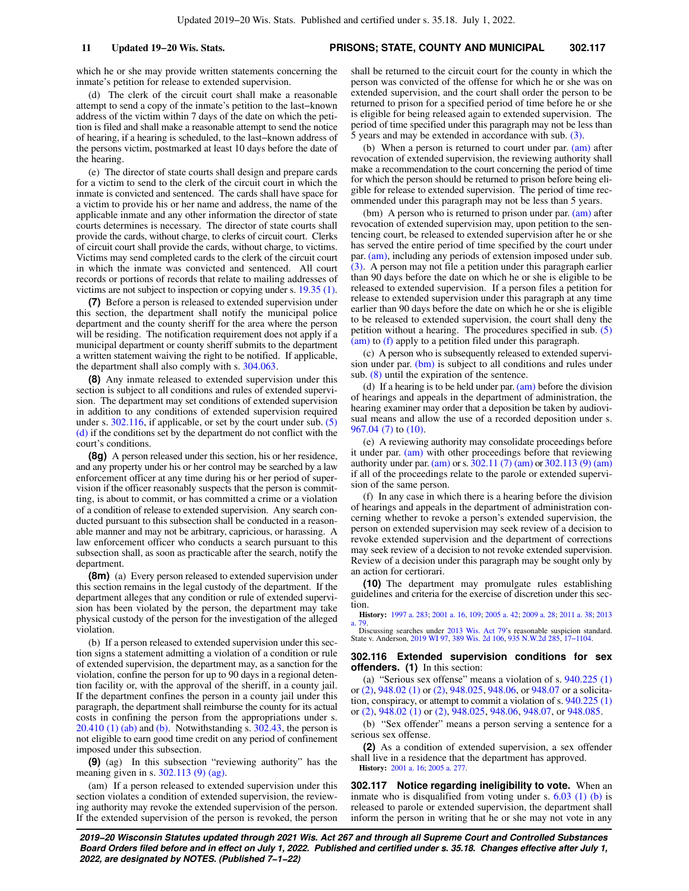which he or she may provide written statements concerning the inmate's petition for release to extended supervision.

(d) The clerk of the circuit court shall make a reasonable attempt to send a copy of the inmate's petition to the last−known address of the victim within 7 days of the date on which the petition is filed and shall make a reasonable attempt to send the notice of hearing, if a hearing is scheduled, to the last−known address of the persons victim, postmarked at least 10 days before the date of the hearing.

(e) The director of state courts shall design and prepare cards for a victim to send to the clerk of the circuit court in which the inmate is convicted and sentenced. The cards shall have space for a victim to provide his or her name and address, the name of the applicable inmate and any other information the director of state courts determines is necessary. The director of state courts shall provide the cards, without charge, to clerks of circuit court. Clerks of circuit court shall provide the cards, without charge, to victims. Victims may send completed cards to the clerk of the circuit court in which the inmate was convicted and sentenced. All court records or portions of records that relate to mailing addresses of victims are not subject to inspection or copying under s. [19.35 \(1\).](https://docs.legis.wisconsin.gov/document/statutes/19.35(1))

**(7)** Before a person is released to extended supervision under this section, the department shall notify the municipal police department and the county sheriff for the area where the person will be residing. The notification requirement does not apply if a municipal department or county sheriff submits to the department a written statement waiving the right to be notified. If applicable, the department shall also comply with s. [304.063](https://docs.legis.wisconsin.gov/document/statutes/304.063).

**(8)** Any inmate released to extended supervision under this section is subject to all conditions and rules of extended supervision. The department may set conditions of extended supervision in addition to any conditions of extended supervision required under s.  $302.116$ , if applicable, or set by the court under sub.  $(5)$ [\(d\)](https://docs.legis.wisconsin.gov/document/statutes/302.114(5)(d)) if the conditions set by the department do not conflict with the court's conditions.

**(8g)** A person released under this section, his or her residence, and any property under his or her control may be searched by a law enforcement officer at any time during his or her period of supervision if the officer reasonably suspects that the person is committing, is about to commit, or has committed a crime or a violation of a condition of release to extended supervision. Any search conducted pursuant to this subsection shall be conducted in a reasonable manner and may not be arbitrary, capricious, or harassing. A law enforcement officer who conducts a search pursuant to this subsection shall, as soon as practicable after the search, notify the department.

**(8m)** (a) Every person released to extended supervision under this section remains in the legal custody of the department. If the department alleges that any condition or rule of extended supervision has been violated by the person, the department may take physical custody of the person for the investigation of the alleged violation.

(b) If a person released to extended supervision under this section signs a statement admitting a violation of a condition or rule of extended supervision, the department may, as a sanction for the violation, confine the person for up to 90 days in a regional detention facility or, with the approval of the sheriff, in a county jail. If the department confines the person in a county jail under this paragraph, the department shall reimburse the county for its actual costs in confining the person from the appropriations under s.  $20.410$  (1) (ab) and [\(b\)](https://docs.legis.wisconsin.gov/document/statutes/20.410(1)(b)). Notwithstanding s.  $302.43$ , the person is not eligible to earn good time credit on any period of confinement imposed under this subsection.

**(9)** (ag) In this subsection "reviewing authority" has the meaning given in s. [302.113 \(9\) \(ag\).](https://docs.legis.wisconsin.gov/document/statutes/302.113(9)(ag))

(am) If a person released to extended supervision under this section violates a condition of extended supervision, the reviewing authority may revoke the extended supervision of the person. If the extended supervision of the person is revoked, the person shall be returned to the circuit court for the county in which the person was convicted of the offense for which he or she was on extended supervision, and the court shall order the person to be returned to prison for a specified period of time before he or she is eligible for being released again to extended supervision. The period of time specified under this paragraph may not be less than 5 years and may be extended in accordance with sub. [\(3\)](https://docs.legis.wisconsin.gov/document/statutes/302.114(3)).

(b) When a person is returned to court under par. [\(am\)](https://docs.legis.wisconsin.gov/document/statutes/302.114(9)(am)) after revocation of extended supervision, the reviewing authority shall make a recommendation to the court concerning the period of time for which the person should be returned to prison before being eligible for release to extended supervision. The period of time recommended under this paragraph may not be less than 5 years.

(bm) A person who is returned to prison under par.  $(am)$  after revocation of extended supervision may, upon petition to the sentencing court, be released to extended supervision after he or she has served the entire period of time specified by the court under par. [\(am\)](https://docs.legis.wisconsin.gov/document/statutes/302.114(9)(am)), including any periods of extension imposed under sub. [\(3\).](https://docs.legis.wisconsin.gov/document/statutes/302.114(3)) A person may not file a petition under this paragraph earlier than 90 days before the date on which he or she is eligible to be released to extended supervision. If a person files a petition for release to extended supervision under this paragraph at any time earlier than 90 days before the date on which he or she is eligible to be released to extended supervision, the court shall deny the petition without a hearing. The procedures specified in sub. [\(5\)](https://docs.legis.wisconsin.gov/document/statutes/302.114(5)(am)) [\(am\)](https://docs.legis.wisconsin.gov/document/statutes/302.114(5)(am)) to [\(f\)](https://docs.legis.wisconsin.gov/document/statutes/302.114(5)(f)) apply to a petition filed under this paragraph.

(c) A person who is subsequently released to extended supervision under par. [\(bm\)](https://docs.legis.wisconsin.gov/document/statutes/302.114(9)(bm)) is subject to all conditions and rules under sub. [\(8\)](https://docs.legis.wisconsin.gov/document/statutes/302.114(8)) until the expiration of the sentence.

(d) If a hearing is to be held under par. [\(am\)](https://docs.legis.wisconsin.gov/document/statutes/302.114(9)(am)) before the division of hearings and appeals in the department of administration, the hearing examiner may order that a deposition be taken by audiovisual means and allow the use of a recorded deposition under s. [967.04 \(7\)](https://docs.legis.wisconsin.gov/document/statutes/967.04(7)) to [\(10\)](https://docs.legis.wisconsin.gov/document/statutes/967.04(10)).

(e) A reviewing authority may consolidate proceedings before it under par. [\(am\)](https://docs.legis.wisconsin.gov/document/statutes/302.114(9)(am)) with other proceedings before that reviewing authority under par. [\(am\)](https://docs.legis.wisconsin.gov/document/statutes/302.114(9)(am)) or s. [302.11 \(7\) \(am\)](https://docs.legis.wisconsin.gov/document/statutes/302.11(7)(am)) or [302.113 \(9\) \(am\)](https://docs.legis.wisconsin.gov/document/statutes/302.113(9)(am)) if all of the proceedings relate to the parole or extended supervision of the same person.

(f) In any case in which there is a hearing before the division of hearings and appeals in the department of administration concerning whether to revoke a person's extended supervision, the person on extended supervision may seek review of a decision to revoke extended supervision and the department of corrections may seek review of a decision to not revoke extended supervision. Review of a decision under this paragraph may be sought only by an action for certiorari.

**(10)** The department may promulgate rules establishing guidelines and criteria for the exercise of discretion under this section.

**History:** [1997 a. 283](https://docs.legis.wisconsin.gov/document/acts/1997/283); [2001 a. 16,](https://docs.legis.wisconsin.gov/document/acts/2001/16) [109;](https://docs.legis.wisconsin.gov/document/acts/2001/109) [2005 a. 42;](https://docs.legis.wisconsin.gov/document/acts/2005/42) [2009 a. 28;](https://docs.legis.wisconsin.gov/document/acts/2009/28) [2011 a. 38;](https://docs.legis.wisconsin.gov/document/acts/2011/38) [2013](https://docs.legis.wisconsin.gov/document/acts/2013/79) [a. 79.](https://docs.legis.wisconsin.gov/document/acts/2013/79)

Discussing searches under [2013 Wis. Act 79'](https://docs.legis.wisconsin.gov/document/acts/2013/79)s reasonable suspicion standard. State v. Anderson, [2019 WI 97,](https://docs.legis.wisconsin.gov/document/courts/2019%20WI%2097) [389 Wis. 2d 106](https://docs.legis.wisconsin.gov/document/courts/389%20Wis.%202d%20106), [935 N.W.2d 285,](https://docs.legis.wisconsin.gov/document/courts/935%20N.W.2d%20285) [17−1104.](https://docs.legis.wisconsin.gov/document/wisupremecourt/17-1104)

**302.116 Extended supervision conditions for sex offenders. (1)** In this section:

(a) "Serious sex offense" means a violation of s. [940.225 \(1\)](https://docs.legis.wisconsin.gov/document/statutes/940.225(1)) or [\(2\)](https://docs.legis.wisconsin.gov/document/statutes/940.225(2)), [948.02 \(1\)](https://docs.legis.wisconsin.gov/document/statutes/948.02(1)) or [\(2\),](https://docs.legis.wisconsin.gov/document/statutes/948.02(2)) [948.025,](https://docs.legis.wisconsin.gov/document/statutes/948.025) [948.06,](https://docs.legis.wisconsin.gov/document/statutes/948.06) or [948.07](https://docs.legis.wisconsin.gov/document/statutes/948.07) or a solicitation, conspiracy, or attempt to commit a violation of s. [940.225 \(1\)](https://docs.legis.wisconsin.gov/document/statutes/940.225(1)) or [\(2\)](https://docs.legis.wisconsin.gov/document/statutes/940.225(2)), [948.02 \(1\)](https://docs.legis.wisconsin.gov/document/statutes/948.02(1)) or [\(2\)](https://docs.legis.wisconsin.gov/document/statutes/948.02(2)), [948.025](https://docs.legis.wisconsin.gov/document/statutes/948.025), [948.06,](https://docs.legis.wisconsin.gov/document/statutes/948.06) [948.07](https://docs.legis.wisconsin.gov/document/statutes/948.07), or [948.085](https://docs.legis.wisconsin.gov/document/statutes/948.085).

(b) "Sex offender" means a person serving a sentence for a serious sex offense.

**(2)** As a condition of extended supervision, a sex offender shall live in a residence that the department has approved. **History:** [2001 a. 16](https://docs.legis.wisconsin.gov/document/acts/2001/16); [2005 a. 277.](https://docs.legis.wisconsin.gov/document/acts/2005/277)

**302.117 Notice regarding ineligibility to vote.** When an inmate who is disqualified from voting under s.  $6.03$  (1) (b) is released to parole or extended supervision, the department shall inform the person in writing that he or she may not vote in any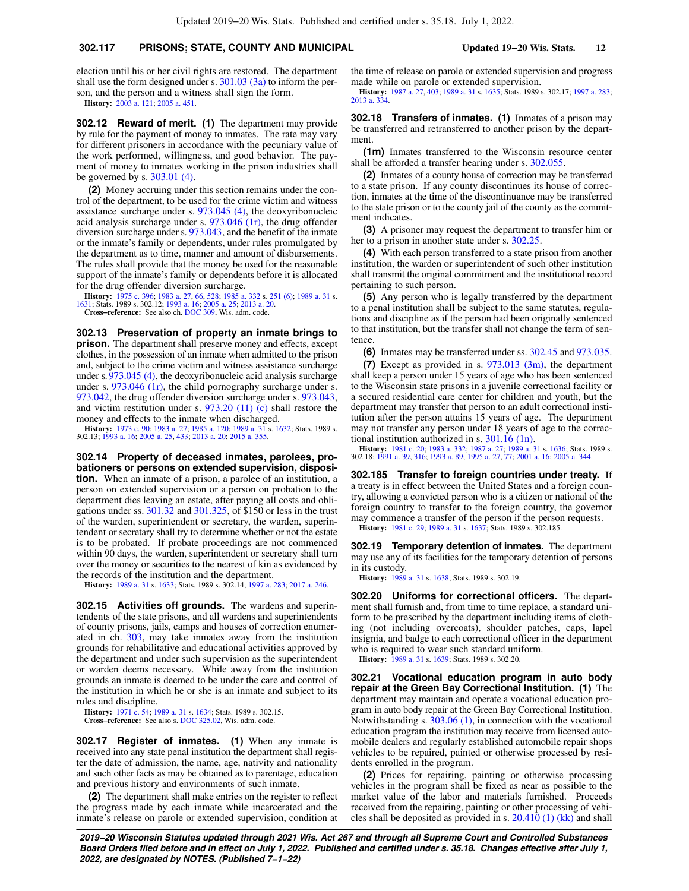### **302.117 PRISONS; STATE, COUNTY AND MUNICIPAL Updated 19−20 Wis. Stats. 12**

election until his or her civil rights are restored. The department shall use the form designed under s.  $301.03$  (3a) to inform the person, and the person and a witness shall sign the form.

**History:** [2003 a. 121](https://docs.legis.wisconsin.gov/document/acts/2003/121); [2005 a. 451](https://docs.legis.wisconsin.gov/document/acts/2005/451).

**302.12 Reward of merit. (1)** The department may provide by rule for the payment of money to inmates. The rate may vary for different prisoners in accordance with the pecuniary value of the work performed, willingness, and good behavior. The payment of money to inmates working in the prison industries shall be governed by s. [303.01 \(4\).](https://docs.legis.wisconsin.gov/document/statutes/303.01(4))

**(2)** Money accruing under this section remains under the control of the department, to be used for the crime victim and witness assistance surcharge under s. [973.045 \(4\),](https://docs.legis.wisconsin.gov/document/statutes/973.045(4)) the deoxyribonucleic acid analysis surcharge under s. [973.046 \(1r\),](https://docs.legis.wisconsin.gov/document/statutes/973.046(1r)) the drug offender diversion surcharge under s. [973.043,](https://docs.legis.wisconsin.gov/document/statutes/973.043) and the benefit of the inmate or the inmate's family or dependents, under rules promulgated by the department as to time, manner and amount of disbursements. The rules shall provide that the money be used for the reasonable support of the inmate's family or dependents before it is allocated for the drug offender diversion surcharge.

**History:** [1975 c. 396;](https://docs.legis.wisconsin.gov/document/acts/1975/396) [1983 a. 27,](https://docs.legis.wisconsin.gov/document/acts/1983/27) [66,](https://docs.legis.wisconsin.gov/document/acts/1983/66) [528;](https://docs.legis.wisconsin.gov/document/acts/1983/528) [1985 a. 332](https://docs.legis.wisconsin.gov/document/acts/1985/332) s. [251 \(6\)](https://docs.legis.wisconsin.gov/document/acts/1985/332,%20s.%20251); [1989 a. 31](https://docs.legis.wisconsin.gov/document/acts/1989/31) s. [1631;](https://docs.legis.wisconsin.gov/document/acts/1989/31,%20s.%201631) Stats. 1989 s. 302.12; [1993 a. 16](https://docs.legis.wisconsin.gov/document/acts/1993/16); [2005 a. 25](https://docs.legis.wisconsin.gov/document/acts/2005/25); [2013 a. 20](https://docs.legis.wisconsin.gov/document/acts/2013/20). **Cross−reference:** See also ch. [DOC 309](https://docs.legis.wisconsin.gov/document/administrativecode/ch.%20DOC%20309), Wis. adm. code.

**302.13 Preservation of property an inmate brings to prison.** The department shall preserve money and effects, except clothes, in the possession of an inmate when admitted to the prison and, subject to the crime victim and witness assistance surcharge under s. [973.045 \(4\)](https://docs.legis.wisconsin.gov/document/statutes/973.045(4)), the deoxyribonucleic acid analysis surcharge under s. [973.046 \(1r\)](https://docs.legis.wisconsin.gov/document/statutes/973.046(1r)), the child pornography surcharge under s. [973.042](https://docs.legis.wisconsin.gov/document/statutes/973.042), the drug offender diversion surcharge under s. [973.043,](https://docs.legis.wisconsin.gov/document/statutes/973.043) and victim restitution under s.  $973.20$  (11) (c) shall restore the money and effects to the inmate when discharged.

**History:** [1973 c. 90](https://docs.legis.wisconsin.gov/document/acts/1973/90); [1983 a. 27](https://docs.legis.wisconsin.gov/document/acts/1983/27); [1985 a. 120](https://docs.legis.wisconsin.gov/document/acts/1985/120); [1989 a. 31](https://docs.legis.wisconsin.gov/document/acts/1989/31) s. [1632;](https://docs.legis.wisconsin.gov/document/acts/1989/31,%20s.%201632) Stats. 1989 s. 302.13; [1993 a. 16](https://docs.legis.wisconsin.gov/document/acts/1993/16); [2005 a. 25](https://docs.legis.wisconsin.gov/document/acts/2005/25), [433](https://docs.legis.wisconsin.gov/document/acts/2005/433); [2013 a. 20;](https://docs.legis.wisconsin.gov/document/acts/2013/20) [2015 a. 355](https://docs.legis.wisconsin.gov/document/acts/2015/355).

**302.14 Property of deceased inmates, parolees, probationers or persons on extended supervision, disposition.** When an inmate of a prison, a parolee of an institution, a person on extended supervision or a person on probation to the department dies leaving an estate, after paying all costs and obligations under ss. [301.32](https://docs.legis.wisconsin.gov/document/statutes/301.32) and [301.325,](https://docs.legis.wisconsin.gov/document/statutes/301.325) of \$150 or less in the trust of the warden, superintendent or secretary, the warden, superintendent or secretary shall try to determine whether or not the estate is to be probated. If probate proceedings are not commenced within 90 days, the warden, superintendent or secretary shall turn over the money or securities to the nearest of kin as evidenced by the records of the institution and the department.

**History:** [1989 a. 31](https://docs.legis.wisconsin.gov/document/acts/1989/31) s. [1633;](https://docs.legis.wisconsin.gov/document/acts/1989/31,%20s.%201633) Stats. 1989 s. 302.14; [1997 a. 283;](https://docs.legis.wisconsin.gov/document/acts/1997/283) [2017 a. 246](https://docs.legis.wisconsin.gov/document/acts/2017/246).

**302.15 Activities off grounds.** The wardens and superintendents of the state prisons, and all wardens and superintendents of county prisons, jails, camps and houses of correction enumerated in ch. [303](https://docs.legis.wisconsin.gov/document/statutes/ch.%20303), may take inmates away from the institution grounds for rehabilitative and educational activities approved by the department and under such supervision as the superintendent or warden deems necessary. While away from the institution grounds an inmate is deemed to be under the care and control of the institution in which he or she is an inmate and subject to its rules and discipline.

**History:** [1971 c. 54;](https://docs.legis.wisconsin.gov/document/acts/1971/54) [1989 a. 31](https://docs.legis.wisconsin.gov/document/acts/1989/31) s. [1634](https://docs.legis.wisconsin.gov/document/acts/1989/31,%20s.%201634); Stats. 1989 s. 302.15. **Cross−reference:** See also s. [DOC 325.02](https://docs.legis.wisconsin.gov/document/administrativecode/DOC%20325.02), Wis. adm. code.

**302.17 Register of inmates. (1)** When any inmate is received into any state penal institution the department shall register the date of admission, the name, age, nativity and nationality and such other facts as may be obtained as to parentage, education and previous history and environments of such inmate.

**(2)** The department shall make entries on the register to reflect the progress made by each inmate while incarcerated and the inmate's release on parole or extended supervision, condition at the time of release on parole or extended supervision and progress made while on parole or extended supervision.

**History:** [1987 a. 27](https://docs.legis.wisconsin.gov/document/acts/1987/27), [403](https://docs.legis.wisconsin.gov/document/acts/1987/403); [1989 a. 31](https://docs.legis.wisconsin.gov/document/acts/1989/31) s. [1635;](https://docs.legis.wisconsin.gov/document/acts/1989/31,%20s.%201635) Stats. 1989 s. 302.17; [1997 a. 283](https://docs.legis.wisconsin.gov/document/acts/1997/283); [2013 a. 334.](https://docs.legis.wisconsin.gov/document/acts/2013/334)

**302.18 Transfers of inmates. (1)** Inmates of a prison may be transferred and retransferred to another prison by the department.

**(1m)** Inmates transferred to the Wisconsin resource center shall be afforded a transfer hearing under s. [302.055.](https://docs.legis.wisconsin.gov/document/statutes/302.055)

**(2)** Inmates of a county house of correction may be transferred to a state prison. If any county discontinues its house of correction, inmates at the time of the discontinuance may be transferred to the state prison or to the county jail of the county as the commitment indicates.

**(3)** A prisoner may request the department to transfer him or her to a prison in another state under s. [302.25.](https://docs.legis.wisconsin.gov/document/statutes/302.25)

**(4)** With each person transferred to a state prison from another institution, the warden or superintendent of such other institution shall transmit the original commitment and the institutional record pertaining to such person.

**(5)** Any person who is legally transferred by the department to a penal institution shall be subject to the same statutes, regulations and discipline as if the person had been originally sentenced to that institution, but the transfer shall not change the term of sentence.

**(6)** Inmates may be transferred under ss. [302.45](https://docs.legis.wisconsin.gov/document/statutes/302.45) and [973.035.](https://docs.legis.wisconsin.gov/document/statutes/973.035)

**(7)** Except as provided in s. [973.013 \(3m\)](https://docs.legis.wisconsin.gov/document/statutes/973.013(3m)), the department shall keep a person under 15 years of age who has been sentenced to the Wisconsin state prisons in a juvenile correctional facility or a secured residential care center for children and youth, but the department may transfer that person to an adult correctional institution after the person attains 15 years of age. The department may not transfer any person under 18 years of age to the correctional institution authorized in s. [301.16 \(1n\).](https://docs.legis.wisconsin.gov/document/statutes/301.16(1n))

**History:** [1981 c. 20](https://docs.legis.wisconsin.gov/document/acts/1981/20); [1983 a. 332](https://docs.legis.wisconsin.gov/document/acts/1983/332); [1987 a. 27](https://docs.legis.wisconsin.gov/document/acts/1987/27); [1989 a. 31](https://docs.legis.wisconsin.gov/document/acts/1989/31) s. [1636;](https://docs.legis.wisconsin.gov/document/acts/1989/31,%20s.%201636) Stats. 1989 s. 302.18; [1991 a. 39](https://docs.legis.wisconsin.gov/document/acts/1991/39), [316;](https://docs.legis.wisconsin.gov/document/acts/1991/316) [1993 a. 89;](https://docs.legis.wisconsin.gov/document/acts/1993/89) [1995 a. 27,](https://docs.legis.wisconsin.gov/document/acts/1995/27) [77](https://docs.legis.wisconsin.gov/document/acts/1995/77); [2001 a. 16;](https://docs.legis.wisconsin.gov/document/acts/2001/16) [2005 a. 344](https://docs.legis.wisconsin.gov/document/acts/2005/344).

**302.185 Transfer to foreign countries under treaty.** If a treaty is in effect between the United States and a foreign country, allowing a convicted person who is a citizen or national of the foreign country to transfer to the foreign country, the governor may commence a transfer of the person if the person requests. **History:** [1981 c. 29](https://docs.legis.wisconsin.gov/document/acts/1981/29); [1989 a. 31](https://docs.legis.wisconsin.gov/document/acts/1989/31) s. [1637](https://docs.legis.wisconsin.gov/document/acts/1989/31,%20s.%201637); Stats. 1989 s. 302.185.

**302.19 Temporary detention of inmates.** The department may use any of its facilities for the temporary detention of persons in its custody.

**History:** [1989 a. 31](https://docs.legis.wisconsin.gov/document/acts/1989/31) s. [1638](https://docs.legis.wisconsin.gov/document/acts/1989/31,%20s.%201638); Stats. 1989 s. 302.19.

**302.20 Uniforms for correctional officers.** The department shall furnish and, from time to time replace, a standard uniform to be prescribed by the department including items of clothing (not including overcoats), shoulder patches, caps, lapel insignia, and badge to each correctional officer in the department who is required to wear such standard uniform.

**History:** [1989 a. 31](https://docs.legis.wisconsin.gov/document/acts/1989/31) s. [1639](https://docs.legis.wisconsin.gov/document/acts/1989/31,%20s.%201639); Stats. 1989 s. 302.20.

**302.21 Vocational education program in auto body repair at the Green Bay Correctional Institution. (1)** The department may maintain and operate a vocational education program in auto body repair at the Green Bay Correctional Institution. Notwithstanding s. [303.06 \(1\),](https://docs.legis.wisconsin.gov/document/statutes/303.06(1)) in connection with the vocational education program the institution may receive from licensed automobile dealers and regularly established automobile repair shops vehicles to be repaired, painted or otherwise processed by residents enrolled in the program.

**(2)** Prices for repairing, painting or otherwise processing vehicles in the program shall be fixed as near as possible to the market value of the labor and materials furnished. Proceeds received from the repairing, painting or other processing of vehicles shall be deposited as provided in s. [20.410 \(1\) \(kk\)](https://docs.legis.wisconsin.gov/document/statutes/20.410(1)(kk)) and shall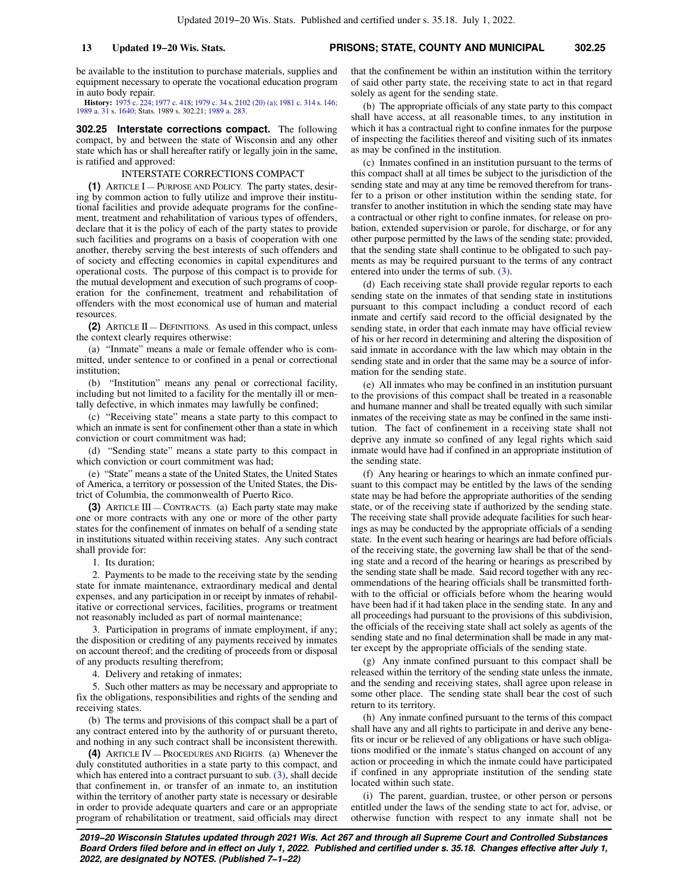be available to the institution to purchase materials, supplies and equipment necessary to operate the vocational education program in auto body repair.

**History:** [1975 c. 224;](https://docs.legis.wisconsin.gov/document/acts/1975/224) [1977 c. 418;](https://docs.legis.wisconsin.gov/document/acts/1977/418) [1979 c. 34](https://docs.legis.wisconsin.gov/document/acts/1979/34) s. [2102 \(20\) \(a\)](https://docs.legis.wisconsin.gov/document/acts/1979/34,%20s.%202102); [1981 c. 314](https://docs.legis.wisconsin.gov/document/acts/1981/314) s. [146](https://docs.legis.wisconsin.gov/document/acts/1981/314,%20s.%20146); [1989 a. 31](https://docs.legis.wisconsin.gov/document/acts/1989/31) s. [1640](https://docs.legis.wisconsin.gov/document/acts/1989/31,%20s.%201640); Stats. 1989 s. 302.21; [1989 a. 283](https://docs.legis.wisconsin.gov/document/acts/1989/283).

**302.25 Interstate corrections compact.** The following compact, by and between the state of Wisconsin and any other state which has or shall hereafter ratify or legally join in the same, is ratified and approved:

#### INTERSTATE CORRECTIONS COMPACT

**(1)** ARTICLE I — PURPOSE AND POLICY. The party states, desiring by common action to fully utilize and improve their institutional facilities and provide adequate programs for the confinement, treatment and rehabilitation of various types of offenders, declare that it is the policy of each of the party states to provide such facilities and programs on a basis of cooperation with one another, thereby serving the best interests of such offenders and of society and effecting economies in capital expenditures and operational costs. The purpose of this compact is to provide for the mutual development and execution of such programs of cooperation for the confinement, treatment and rehabilitation of offenders with the most economical use of human and material resources.

**(2)** ARTICLE II — DEFINITIONS. As used in this compact, unless the context clearly requires otherwise:

(a) "Inmate" means a male or female offender who is committed, under sentence to or confined in a penal or correctional institution;

(b) "Institution" means any penal or correctional facility, including but not limited to a facility for the mentally ill or mentally defective, in which inmates may lawfully be confined;

(c) "Receiving state" means a state party to this compact to which an inmate is sent for confinement other than a state in which conviction or court commitment was had;

(d) "Sending state" means a state party to this compact in which conviction or court commitment was had;

(e) "State" means a state of the United States, the United States of America, a territory or possession of the United States, the District of Columbia, the commonwealth of Puerto Rico.

**(3)** ARTICLE III — CONTRACTS. (a) Each party state may make one or more contracts with any one or more of the other party states for the confinement of inmates on behalf of a sending state in institutions situated within receiving states. Any such contract shall provide for:

1. Its duration;

2. Payments to be made to the receiving state by the sending state for inmate maintenance, extraordinary medical and dental expenses, and any participation in or receipt by inmates of rehabilitative or correctional services, facilities, programs or treatment not reasonably included as part of normal maintenance;

3. Participation in programs of inmate employment, if any; the disposition or crediting of any payments received by inmates on account thereof; and the crediting of proceeds from or disposal of any products resulting therefrom;

4. Delivery and retaking of inmates;

5. Such other matters as may be necessary and appropriate to fix the obligations, responsibilities and rights of the sending and receiving states.

(b) The terms and provisions of this compact shall be a part of any contract entered into by the authority of or pursuant thereto, and nothing in any such contract shall be inconsistent therewith.

**(4)** ARTICLE IV — PROCEDURES AND RIGHTS. (a) Whenever the duly constituted authorities in a state party to this compact, and which has entered into a contract pursuant to sub.  $(3)$ , shall decide that confinement in, or transfer of an inmate to, an institution within the territory of another party state is necessary or desirable in order to provide adequate quarters and care or an appropriate program of rehabilitation or treatment, said officials may direct that the confinement be within an institution within the territory of said other party state, the receiving state to act in that regard solely as agent for the sending state.

(b) The appropriate officials of any state party to this compact shall have access, at all reasonable times, to any institution in which it has a contractual right to confine inmates for the purpose of inspecting the facilities thereof and visiting such of its inmates as may be confined in the institution.

(c) Inmates confined in an institution pursuant to the terms of this compact shall at all times be subject to the jurisdiction of the sending state and may at any time be removed therefrom for transfer to a prison or other institution within the sending state, for transfer to another institution in which the sending state may have a contractual or other right to confine inmates, for release on probation, extended supervision or parole, for discharge, or for any other purpose permitted by the laws of the sending state; provided, that the sending state shall continue to be obligated to such payments as may be required pursuant to the terms of any contract entered into under the terms of sub. [\(3\)](https://docs.legis.wisconsin.gov/document/statutes/302.25(3)).

(d) Each receiving state shall provide regular reports to each sending state on the inmates of that sending state in institutions pursuant to this compact including a conduct record of each inmate and certify said record to the official designated by the sending state, in order that each inmate may have official review of his or her record in determining and altering the disposition of said inmate in accordance with the law which may obtain in the sending state and in order that the same may be a source of information for the sending state.

(e) All inmates who may be confined in an institution pursuant to the provisions of this compact shall be treated in a reasonable and humane manner and shall be treated equally with such similar inmates of the receiving state as may be confined in the same institution. The fact of confinement in a receiving state shall not deprive any inmate so confined of any legal rights which said inmate would have had if confined in an appropriate institution of the sending state.

(f) Any hearing or hearings to which an inmate confined pursuant to this compact may be entitled by the laws of the sending state may be had before the appropriate authorities of the sending state, or of the receiving state if authorized by the sending state. The receiving state shall provide adequate facilities for such hearings as may be conducted by the appropriate officials of a sending state. In the event such hearing or hearings are had before officials of the receiving state, the governing law shall be that of the sending state and a record of the hearing or hearings as prescribed by the sending state shall be made. Said record together with any recommendations of the hearing officials shall be transmitted forthwith to the official or officials before whom the hearing would have been had if it had taken place in the sending state. In any and all proceedings had pursuant to the provisions of this subdivision, the officials of the receiving state shall act solely as agents of the sending state and no final determination shall be made in any matter except by the appropriate officials of the sending state.

(g) Any inmate confined pursuant to this compact shall be released within the territory of the sending state unless the inmate, and the sending and receiving states, shall agree upon release in some other place. The sending state shall bear the cost of such return to its territory.

(h) Any inmate confined pursuant to the terms of this compact shall have any and all rights to participate in and derive any benefits or incur or be relieved of any obligations or have such obligations modified or the inmate's status changed on account of any action or proceeding in which the inmate could have participated if confined in any appropriate institution of the sending state located within such state.

(i) The parent, guardian, trustee, or other person or persons entitled under the laws of the sending state to act for, advise, or otherwise function with respect to any inmate shall not be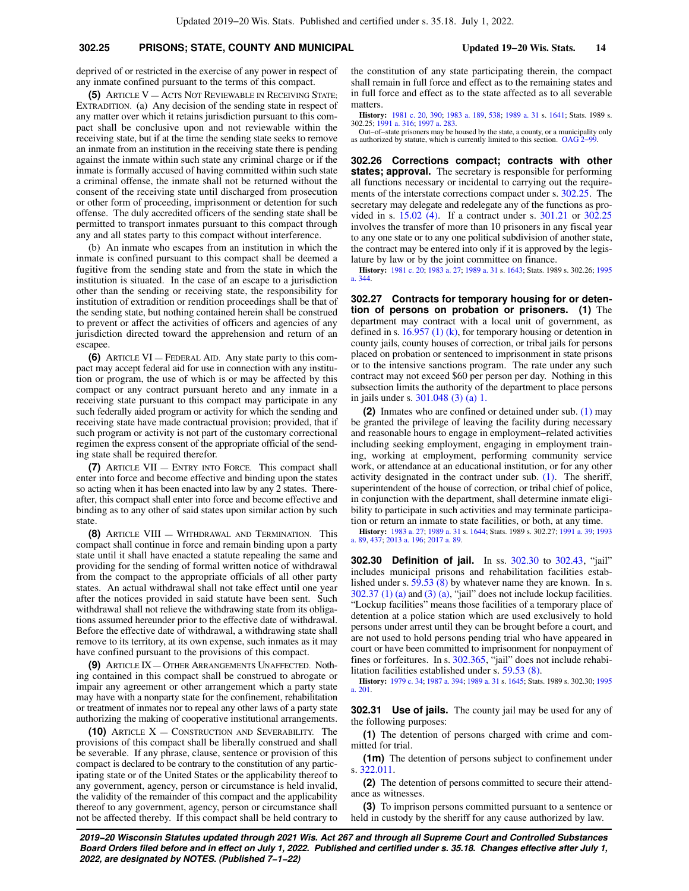### **302.25 PRISONS; STATE, COUNTY AND MUNICIPAL Updated 19−20 Wis. Stats. 14**

deprived of or restricted in the exercise of any power in respect of any inmate confined pursuant to the terms of this compact.

**(5)** ARTICLE V — ACTS NOT REVIEWABLE IN RECEIVING STATE; EXTRADITION. (a) Any decision of the sending state in respect of any matter over which it retains jurisdiction pursuant to this compact shall be conclusive upon and not reviewable within the receiving state, but if at the time the sending state seeks to remove an inmate from an institution in the receiving state there is pending against the inmate within such state any criminal charge or if the inmate is formally accused of having committed within such state a criminal offense, the inmate shall not be returned without the consent of the receiving state until discharged from prosecution or other form of proceeding, imprisonment or detention for such offense. The duly accredited officers of the sending state shall be permitted to transport inmates pursuant to this compact through any and all states party to this compact without interference.

(b) An inmate who escapes from an institution in which the inmate is confined pursuant to this compact shall be deemed a fugitive from the sending state and from the state in which the institution is situated. In the case of an escape to a jurisdiction other than the sending or receiving state, the responsibility for institution of extradition or rendition proceedings shall be that of the sending state, but nothing contained herein shall be construed to prevent or affect the activities of officers and agencies of any jurisdiction directed toward the apprehension and return of an escapee.

**(6)** ARTICLE VI — FEDERAL AID. Any state party to this compact may accept federal aid for use in connection with any institution or program, the use of which is or may be affected by this compact or any contract pursuant hereto and any inmate in a receiving state pursuant to this compact may participate in any such federally aided program or activity for which the sending and receiving state have made contractual provision; provided, that if such program or activity is not part of the customary correctional regimen the express consent of the appropriate official of the sending state shall be required therefor.

**(7)** ARTICLE VII — ENTRY INTO FORCE. This compact shall enter into force and become effective and binding upon the states so acting when it has been enacted into law by any 2 states. Thereafter, this compact shall enter into force and become effective and binding as to any other of said states upon similar action by such state.

**(8)** ARTICLE VIII — WITHDRAWAL AND TERMINATION. This compact shall continue in force and remain binding upon a party state until it shall have enacted a statute repealing the same and providing for the sending of formal written notice of withdrawal from the compact to the appropriate officials of all other party states. An actual withdrawal shall not take effect until one year after the notices provided in said statute have been sent. Such withdrawal shall not relieve the withdrawing state from its obligations assumed hereunder prior to the effective date of withdrawal. Before the effective date of withdrawal, a withdrawing state shall remove to its territory, at its own expense, such inmates as it may have confined pursuant to the provisions of this compact.

**(9)** ARTICLE IX — OTHER ARRANGEMENTS UNAFFECTED. Nothing contained in this compact shall be construed to abrogate or impair any agreement or other arrangement which a party state may have with a nonparty state for the confinement, rehabilitation or treatment of inmates nor to repeal any other laws of a party state authorizing the making of cooperative institutional arrangements.

**(10)** ARTICLE X — CONSTRUCTION AND SEVERABILITY. The provisions of this compact shall be liberally construed and shall be severable. If any phrase, clause, sentence or provision of this compact is declared to be contrary to the constitution of any participating state or of the United States or the applicability thereof to any government, agency, person or circumstance is held invalid, the validity of the remainder of this compact and the applicability thereof to any government, agency, person or circumstance shall not be affected thereby. If this compact shall be held contrary to

the constitution of any state participating therein, the compact shall remain in full force and effect as to the remaining states and in full force and effect as to the state affected as to all severable matters.

**History:** [1981 c. 20](https://docs.legis.wisconsin.gov/document/acts/1981/20), [390;](https://docs.legis.wisconsin.gov/document/acts/1981/390) [1983 a. 189,](https://docs.legis.wisconsin.gov/document/acts/1983/189) [538](https://docs.legis.wisconsin.gov/document/acts/1983/538); [1989 a. 31](https://docs.legis.wisconsin.gov/document/acts/1989/31) s. [1641](https://docs.legis.wisconsin.gov/document/acts/1989/31,%20s.%201641); Stats. 1989 s. 302.25; [1991 a. 316;](https://docs.legis.wisconsin.gov/document/acts/1991/316) [1997 a. 283.](https://docs.legis.wisconsin.gov/document/acts/1997/283)

Out−of−state prisoners may be housed by the state, a county, or a municipality only as authorized by statute, which is currently limited to this section. [OAG 2−99](https://docs.legis.wisconsin.gov/document/oag/oag2-99).

**302.26 Corrections compact; contracts with other states; approval.** The secretary is responsible for performing all functions necessary or incidental to carrying out the requirements of the interstate corrections compact under s. [302.25.](https://docs.legis.wisconsin.gov/document/statutes/302.25) The secretary may delegate and redelegate any of the functions as provided in s. [15.02 \(4\)](https://docs.legis.wisconsin.gov/document/statutes/15.02(4)). If a contract under s. [301.21](https://docs.legis.wisconsin.gov/document/statutes/301.21) or [302.25](https://docs.legis.wisconsin.gov/document/statutes/302.25) involves the transfer of more than 10 prisoners in any fiscal year to any one state or to any one political subdivision of another state, the contract may be entered into only if it is approved by the legislature by law or by the joint committee on finance.

**History:** [1981 c. 20;](https://docs.legis.wisconsin.gov/document/acts/1981/20) [1983 a. 27;](https://docs.legis.wisconsin.gov/document/acts/1983/27) [1989 a. 31](https://docs.legis.wisconsin.gov/document/acts/1989/31) s. [1643;](https://docs.legis.wisconsin.gov/document/acts/1989/31,%20s.%201643) Stats. 1989 s. 302.26; [1995](https://docs.legis.wisconsin.gov/document/acts/1995/344) [a. 344](https://docs.legis.wisconsin.gov/document/acts/1995/344).

**302.27 Contracts for temporary housing for or detention of persons on probation or prisoners. (1)** The department may contract with a local unit of government, as defined in s.  $16.957$  (1) (k), for temporary housing or detention in county jails, county houses of correction, or tribal jails for persons placed on probation or sentenced to imprisonment in state prisons or to the intensive sanctions program. The rate under any such contract may not exceed \$60 per person per day. Nothing in this subsection limits the authority of the department to place persons in jails under s. [301.048 \(3\) \(a\) 1.](https://docs.legis.wisconsin.gov/document/statutes/301.048(3)(a)1.)

**(2)** Inmates who are confined or detained under sub. [\(1\)](https://docs.legis.wisconsin.gov/document/statutes/302.27(1)) may be granted the privilege of leaving the facility during necessary and reasonable hours to engage in employment−related activities including seeking employment, engaging in employment training, working at employment, performing community service work, or attendance at an educational institution, or for any other activity designated in the contract under sub. [\(1\).](https://docs.legis.wisconsin.gov/document/statutes/302.27(1)) The sheriff, superintendent of the house of correction, or tribal chief of police, in conjunction with the department, shall determine inmate eligibility to participate in such activities and may terminate participation or return an inmate to state facilities, or both, at any time.

**History:** [1983 a. 27;](https://docs.legis.wisconsin.gov/document/acts/1983/27) [1989 a. 31](https://docs.legis.wisconsin.gov/document/acts/1989/31) s. [1644;](https://docs.legis.wisconsin.gov/document/acts/1989/31,%20s.%201644) Stats. 1989 s. 302.27; [1991 a. 39;](https://docs.legis.wisconsin.gov/document/acts/1991/39) [1993](https://docs.legis.wisconsin.gov/document/acts/1993/89) [a. 89,](https://docs.legis.wisconsin.gov/document/acts/1993/89) [437;](https://docs.legis.wisconsin.gov/document/acts/1993/437) [2013 a. 196](https://docs.legis.wisconsin.gov/document/acts/2013/196); [2017 a. 89.](https://docs.legis.wisconsin.gov/document/acts/2017/89)

**302.30 Definition of jail.** In ss. [302.30](https://docs.legis.wisconsin.gov/document/statutes/302.30) to [302.43,](https://docs.legis.wisconsin.gov/document/statutes/302.43) "jail" includes municipal prisons and rehabilitation facilities established under s. [59.53 \(8\)](https://docs.legis.wisconsin.gov/document/statutes/59.53(8)) by whatever name they are known. In s.  $302.37$  (1) (a) and [\(3\) \(a\),](https://docs.legis.wisconsin.gov/document/statutes/302.37(3)(a)) "jail" does not include lockup facilities. "Lockup facilities" means those facilities of a temporary place of detention at a police station which are used exclusively to hold persons under arrest until they can be brought before a court, and are not used to hold persons pending trial who have appeared in court or have been committed to imprisonment for nonpayment of fines or forfeitures. In s. [302.365,](https://docs.legis.wisconsin.gov/document/statutes/302.365) "jail" does not include rehabilitation facilities established under s. [59.53 \(8\).](https://docs.legis.wisconsin.gov/document/statutes/59.53(8))

**History:** [1979 c. 34;](https://docs.legis.wisconsin.gov/document/acts/1979/34) [1987 a. 394;](https://docs.legis.wisconsin.gov/document/acts/1987/394) [1989 a. 31](https://docs.legis.wisconsin.gov/document/acts/1989/31) s. [1645;](https://docs.legis.wisconsin.gov/document/acts/1989/31,%20s.%201645) Stats. 1989 s. 302.30; [1995](https://docs.legis.wisconsin.gov/document/acts/1995/201) [a. 201](https://docs.legis.wisconsin.gov/document/acts/1995/201).

**302.31 Use of jails.** The county jail may be used for any of the following purposes:

**(1)** The detention of persons charged with crime and committed for trial.

**(1m)** The detention of persons subject to confinement under s. [322.011](https://docs.legis.wisconsin.gov/document/statutes/322.011).

**(2)** The detention of persons committed to secure their attendance as witnesses.

**(3)** To imprison persons committed pursuant to a sentence or held in custody by the sheriff for any cause authorized by law.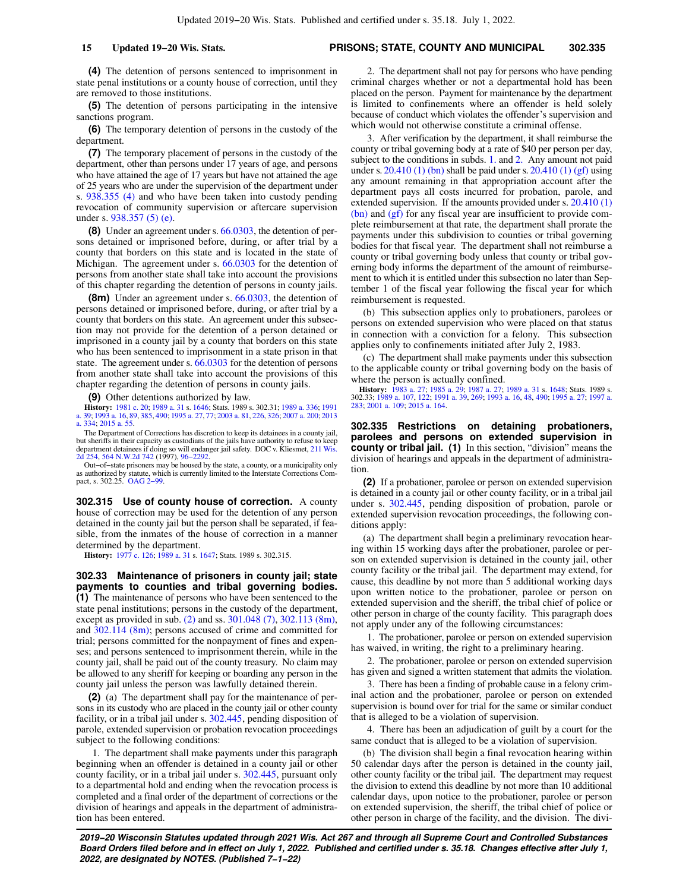**(4)** The detention of persons sentenced to imprisonment in state penal institutions or a county house of correction, until they are removed to those institutions.

**(5)** The detention of persons participating in the intensive sanctions program.

**(6)** The temporary detention of persons in the custody of the department.

**(7)** The temporary placement of persons in the custody of the department, other than persons under 17 years of age, and persons who have attained the age of 17 years but have not attained the age of 25 years who are under the supervision of the department under s. [938.355 \(4\)](https://docs.legis.wisconsin.gov/document/statutes/938.355(4)) and who have been taken into custody pending revocation of community supervision or aftercare supervision under s. [938.357 \(5\) \(e\)](https://docs.legis.wisconsin.gov/document/statutes/938.357(5)(e)).

**(8)** Under an agreement under s. [66.0303,](https://docs.legis.wisconsin.gov/document/statutes/66.0303) the detention of persons detained or imprisoned before, during, or after trial by a county that borders on this state and is located in the state of Michigan. The agreement under s. [66.0303](https://docs.legis.wisconsin.gov/document/statutes/66.0303) for the detention of persons from another state shall take into account the provisions of this chapter regarding the detention of persons in county jails.

**(8m)** Under an agreement under s. [66.0303,](https://docs.legis.wisconsin.gov/document/statutes/66.0303) the detention of persons detained or imprisoned before, during, or after trial by a county that borders on this state. An agreement under this subsection may not provide for the detention of a person detained or imprisoned in a county jail by a county that borders on this state who has been sentenced to imprisonment in a state prison in that state. The agreement under s. [66.0303](https://docs.legis.wisconsin.gov/document/statutes/66.0303) for the detention of persons from another state shall take into account the provisions of this chapter regarding the detention of persons in county jails.

**(9)** Other detentions authorized by law.

**History:** [1981 c. 20;](https://docs.legis.wisconsin.gov/document/acts/1981/20) [1989 a. 31](https://docs.legis.wisconsin.gov/document/acts/1989/31) s. [1646](https://docs.legis.wisconsin.gov/document/acts/1989/31,%20s.%201646); Stats. 1989 s. 302.31; [1989 a. 336;](https://docs.legis.wisconsin.gov/document/acts/1989/336) [1991](https://docs.legis.wisconsin.gov/document/acts/1991/39) [a. 39;](https://docs.legis.wisconsin.gov/document/acts/1991/39) [1993 a. 16](https://docs.legis.wisconsin.gov/document/acts/1993/16), [89](https://docs.legis.wisconsin.gov/document/acts/1993/89), [385](https://docs.legis.wisconsin.gov/document/acts/1993/385), [490;](https://docs.legis.wisconsin.gov/document/acts/1993/490) [1995 a. 27](https://docs.legis.wisconsin.gov/document/acts/1995/27), [77](https://docs.legis.wisconsin.gov/document/acts/1995/77); [2003 a. 81](https://docs.legis.wisconsin.gov/document/acts/2003/81), [226,](https://docs.legis.wisconsin.gov/document/acts/2003/226) [326](https://docs.legis.wisconsin.gov/document/acts/2003/326); [2007 a. 200;](https://docs.legis.wisconsin.gov/document/acts/2007/200) [2013](https://docs.legis.wisconsin.gov/document/acts/2013/334) [a. 334;](https://docs.legis.wisconsin.gov/document/acts/2013/334) [2015 a. 55](https://docs.legis.wisconsin.gov/document/acts/2015/55).

The Department of Corrections has discretion to keep its detainees in a county jail, but sheriffs in their capacity as custodians of the jails have authority to refuse to keep department detainees if doing so will endanger jail safety. DOC v. Kliesmet, [211 Wis.](https://docs.legis.wisconsin.gov/document/courts/211%20Wis.%202d%20254) [2d 254](https://docs.legis.wisconsin.gov/document/courts/211%20Wis.%202d%20254), [564 N.W.2d 742](https://docs.legis.wisconsin.gov/document/courts/564%20N.W.2d%20742) (1997), [96−2292](https://docs.legis.wisconsin.gov/document/wisupremecourt/96-2292).

Out−of−state prisoners may be housed by the state, a county, or a municipality only as authorized by statute, which is currently limited to the Interstate Corrections Com-pact, s. 302.25. [OAG 2−99.](https://docs.legis.wisconsin.gov/document/oag/oag2-99)

**302.315 Use of county house of correction.** A county house of correction may be used for the detention of any person detained in the county jail but the person shall be separated, if feasible, from the inmates of the house of correction in a manner determined by the department.

**History:** [1977 c. 126](https://docs.legis.wisconsin.gov/document/acts/1977/126); [1989 a. 31](https://docs.legis.wisconsin.gov/document/acts/1989/31) s. [1647;](https://docs.legis.wisconsin.gov/document/acts/1989/31,%20s.%201647) Stats. 1989 s. 302.315.

**302.33 Maintenance of prisoners in county jail; state payments to counties and tribal governing bodies. (1)** The maintenance of persons who have been sentenced to the state penal institutions; persons in the custody of the department, except as provided in sub. [\(2\)](https://docs.legis.wisconsin.gov/document/statutes/302.33(2)) and ss. [301.048 \(7\),](https://docs.legis.wisconsin.gov/document/statutes/301.048(7)) [302.113 \(8m\),](https://docs.legis.wisconsin.gov/document/statutes/302.113(8m)) and [302.114 \(8m\);](https://docs.legis.wisconsin.gov/document/statutes/302.114(8m)) persons accused of crime and committed for trial; persons committed for the nonpayment of fines and expenses; and persons sentenced to imprisonment therein, while in the county jail, shall be paid out of the county treasury. No claim may be allowed to any sheriff for keeping or boarding any person in the county jail unless the person was lawfully detained therein.

**(2)** (a) The department shall pay for the maintenance of persons in its custody who are placed in the county jail or other county facility, or in a tribal jail under s. [302.445](https://docs.legis.wisconsin.gov/document/statutes/302.445), pending disposition of parole, extended supervision or probation revocation proceedings subject to the following conditions:

1. The department shall make payments under this paragraph beginning when an offender is detained in a county jail or other county facility, or in a tribal jail under s. [302.445,](https://docs.legis.wisconsin.gov/document/statutes/302.445) pursuant only to a departmental hold and ending when the revocation process is completed and a final order of the department of corrections or the division of hearings and appeals in the department of administration has been entered.

**15 Updated 19−20 Wis. Stats. PRISONS; STATE, COUNTY AND MUNICIPAL 302.335**

2. The department shall not pay for persons who have pending criminal charges whether or not a departmental hold has been placed on the person. Payment for maintenance by the department is limited to confinements where an offender is held solely because of conduct which violates the offender's supervision and which would not otherwise constitute a criminal offense.

3. After verification by the department, it shall reimburse the county or tribal governing body at a rate of \$40 per person per day, subject to the conditions in subds. [1.](https://docs.legis.wisconsin.gov/document/statutes/302.33(2)(a)1.) and [2.](https://docs.legis.wisconsin.gov/document/statutes/302.33(2)(a)2.) Any amount not paid under s. [20.410 \(1\) \(bn\)](https://docs.legis.wisconsin.gov/document/statutes/20.410(1)(bn)) shall be paid under s.  $20.410$  (1) (gf) using any amount remaining in that appropriation account after the department pays all costs incurred for probation, parole, and extended supervision. If the amounts provided under s. [20.410 \(1\)](https://docs.legis.wisconsin.gov/document/statutes/20.410(1)(bn)) [\(bn\)](https://docs.legis.wisconsin.gov/document/statutes/20.410(1)(bn)) and [\(gf\)](https://docs.legis.wisconsin.gov/document/statutes/20.410(1)(gf)) for any fiscal year are insufficient to provide complete reimbursement at that rate, the department shall prorate the payments under this subdivision to counties or tribal governing bodies for that fiscal year. The department shall not reimburse a county or tribal governing body unless that county or tribal governing body informs the department of the amount of reimbursement to which it is entitled under this subsection no later than September 1 of the fiscal year following the fiscal year for which reimbursement is requested.

(b) This subsection applies only to probationers, parolees or persons on extended supervision who were placed on that status in connection with a conviction for a felony. This subsection applies only to confinements initiated after July 2, 1983.

(c) The department shall make payments under this subsection to the applicable county or tribal governing body on the basis of where the person is actually confined.

**History:** [1983 a. 27](https://docs.legis.wisconsin.gov/document/acts/1983/27); [1985 a. 29](https://docs.legis.wisconsin.gov/document/acts/1985/29); [1987 a. 27;](https://docs.legis.wisconsin.gov/document/acts/1987/27) [1989 a. 31](https://docs.legis.wisconsin.gov/document/acts/1989/31) s. [1648](https://docs.legis.wisconsin.gov/document/acts/1989/31,%20s.%201648); Stats. 1989 s. 302.33; [1989 a. 107,](https://docs.legis.wisconsin.gov/document/acts/1989/107) [122](https://docs.legis.wisconsin.gov/document/acts/1989/122); [1991 a. 39](https://docs.legis.wisconsin.gov/document/acts/1991/39), [269](https://docs.legis.wisconsin.gov/document/acts/1991/269); [1993 a. 16](https://docs.legis.wisconsin.gov/document/acts/1993/16), [48,](https://docs.legis.wisconsin.gov/document/acts/1993/48) [490;](https://docs.legis.wisconsin.gov/document/acts/1993/490) [1995 a. 27;](https://docs.legis.wisconsin.gov/document/acts/1995/27) [1997 a.](https://docs.legis.wisconsin.gov/document/acts/1997/283) [283;](https://docs.legis.wisconsin.gov/document/acts/1997/283) [2001 a. 109](https://docs.legis.wisconsin.gov/document/acts/2001/109); [2015 a. 164.](https://docs.legis.wisconsin.gov/document/acts/2015/164)

**302.335 Restrictions on detaining probationers, parolees and persons on extended supervision in county or tribal jail. (1)** In this section, "division" means the division of hearings and appeals in the department of administration.

**(2)** If a probationer, parolee or person on extended supervision is detained in a county jail or other county facility, or in a tribal jail under s. [302.445](https://docs.legis.wisconsin.gov/document/statutes/302.445), pending disposition of probation, parole or extended supervision revocation proceedings, the following conditions apply:

(a) The department shall begin a preliminary revocation hearing within 15 working days after the probationer, parolee or person on extended supervision is detained in the county jail, other county facility or the tribal jail. The department may extend, for cause, this deadline by not more than 5 additional working days upon written notice to the probationer, parolee or person on extended supervision and the sheriff, the tribal chief of police or other person in charge of the county facility. This paragraph does not apply under any of the following circumstances:

1. The probationer, parolee or person on extended supervision has waived, in writing, the right to a preliminary hearing.

2. The probationer, parolee or person on extended supervision has given and signed a written statement that admits the violation.

3. There has been a finding of probable cause in a felony criminal action and the probationer, parolee or person on extended supervision is bound over for trial for the same or similar conduct that is alleged to be a violation of supervision.

4. There has been an adjudication of guilt by a court for the same conduct that is alleged to be a violation of supervision.

(b) The division shall begin a final revocation hearing within 50 calendar days after the person is detained in the county jail, other county facility or the tribal jail. The department may request the division to extend this deadline by not more than 10 additional calendar days, upon notice to the probationer, parolee or person on extended supervision, the sheriff, the tribal chief of police or other person in charge of the facility, and the division. The divi-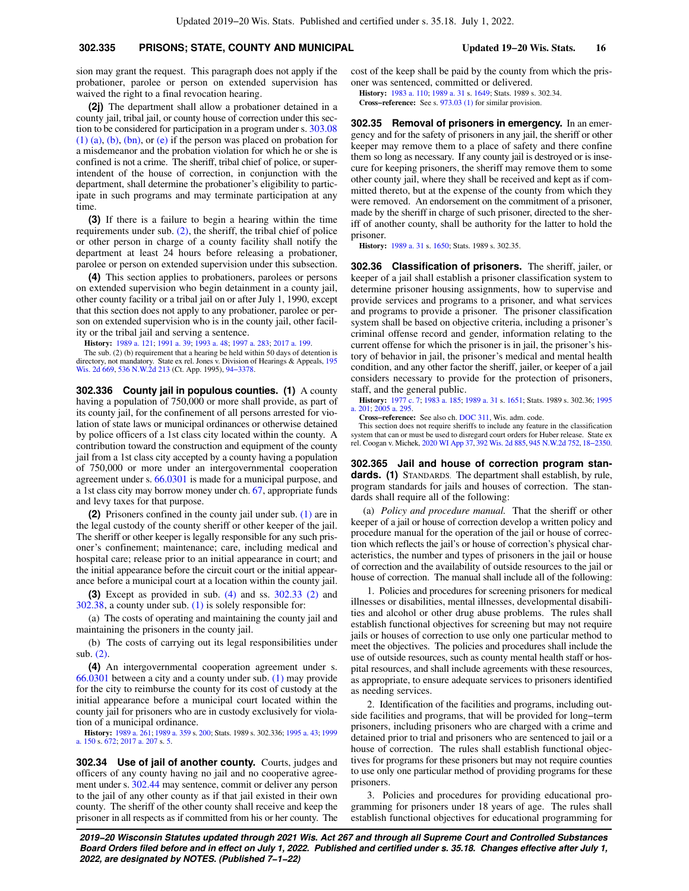# **302.335 PRISONS; STATE, COUNTY AND MUNICIPAL Updated 19−20 Wis. Stats. 16**

sion may grant the request. This paragraph does not apply if the probationer, parolee or person on extended supervision has waived the right to a final revocation hearing.

**(2j)** The department shall allow a probationer detained in a county jail, tribal jail, or county house of correction under this section to be considered for participation in a program under s. [303.08](https://docs.legis.wisconsin.gov/document/statutes/303.08(1)(a)) [\(1\) \(a\),](https://docs.legis.wisconsin.gov/document/statutes/303.08(1)(a)) [\(b\),](https://docs.legis.wisconsin.gov/document/statutes/303.08(1)(b)) [\(bn\)](https://docs.legis.wisconsin.gov/document/statutes/303.08(1)(bn)), or [\(e\)](https://docs.legis.wisconsin.gov/document/statutes/303.08(1)(e)) if the person was placed on probation for a misdemeanor and the probation violation for which he or she is confined is not a crime. The sheriff, tribal chief of police, or superintendent of the house of correction, in conjunction with the department, shall determine the probationer's eligibility to participate in such programs and may terminate participation at any time

**(3)** If there is a failure to begin a hearing within the time requirements under sub. [\(2\),](https://docs.legis.wisconsin.gov/document/statutes/302.335(2)) the sheriff, the tribal chief of police or other person in charge of a county facility shall notify the department at least 24 hours before releasing a probationer, parolee or person on extended supervision under this subsection.

**(4)** This section applies to probationers, parolees or persons on extended supervision who begin detainment in a county jail, other county facility or a tribal jail on or after July 1, 1990, except that this section does not apply to any probationer, parolee or person on extended supervision who is in the county jail, other facility or the tribal jail and serving a sentence.

**History:** [1989 a. 121](https://docs.legis.wisconsin.gov/document/acts/1989/121); [1991 a. 39;](https://docs.legis.wisconsin.gov/document/acts/1991/39) [1993 a. 48;](https://docs.legis.wisconsin.gov/document/acts/1993/48) [1997 a. 283](https://docs.legis.wisconsin.gov/document/acts/1997/283); [2017 a. 199](https://docs.legis.wisconsin.gov/document/acts/2017/199).

The sub. (2) (b) requirement that a hearing be held within 50 days of detention is directory, not mandatory. State ex rel. Jones v. Division of Hearings & Appeals, [195](https://docs.legis.wisconsin.gov/document/courts/195%20Wis.%202d%20669) [Wis. 2d 669,](https://docs.legis.wisconsin.gov/document/courts/195%20Wis.%202d%20669) [536 N.W.2d 213](https://docs.legis.wisconsin.gov/document/courts/536%20N.W.2d%20213) (Ct. App. 1995), [94−3378](https://docs.legis.wisconsin.gov/document/wicourtofappeals/94-3378).

**302.336 County jail in populous counties. (1)** A county having a population of 750,000 or more shall provide, as part of its county jail, for the confinement of all persons arrested for violation of state laws or municipal ordinances or otherwise detained by police officers of a 1st class city located within the county. A contribution toward the construction and equipment of the county jail from a 1st class city accepted by a county having a population of 750,000 or more under an intergovernmental cooperation agreement under s. [66.0301](https://docs.legis.wisconsin.gov/document/statutes/66.0301) is made for a municipal purpose, and a 1st class city may borrow money under ch. [67,](https://docs.legis.wisconsin.gov/document/statutes/ch.%2067) appropriate funds and levy taxes for that purpose.

**(2)** Prisoners confined in the county jail under sub. [\(1\)](https://docs.legis.wisconsin.gov/document/statutes/302.336(1)) are in the legal custody of the county sheriff or other keeper of the jail. The sheriff or other keeper is legally responsible for any such prisoner's confinement; maintenance; care, including medical and hospital care; release prior to an initial appearance in court; and the initial appearance before the circuit court or the initial appearance before a municipal court at a location within the county jail.

**(3)** Except as provided in sub. [\(4\)](https://docs.legis.wisconsin.gov/document/statutes/302.336(4)) and ss. [302.33 \(2\)](https://docs.legis.wisconsin.gov/document/statutes/302.33(2)) and [302.38,](https://docs.legis.wisconsin.gov/document/statutes/302.38) a county under sub. [\(1\)](https://docs.legis.wisconsin.gov/document/statutes/302.336(1)) is solely responsible for:

(a) The costs of operating and maintaining the county jail and maintaining the prisoners in the county jail.

(b) The costs of carrying out its legal responsibilities under sub. [\(2\)](https://docs.legis.wisconsin.gov/document/statutes/302.336(2)).

**(4)** An intergovernmental cooperation agreement under s. [66.0301](https://docs.legis.wisconsin.gov/document/statutes/66.0301) between a city and a county under sub. [\(1\)](https://docs.legis.wisconsin.gov/document/statutes/302.336(1)) may provide for the city to reimburse the county for its cost of custody at the initial appearance before a municipal court located within the county jail for prisoners who are in custody exclusively for violation of a municipal ordinance.

**History:** [1989 a. 261;](https://docs.legis.wisconsin.gov/document/acts/1989/261) [1989 a. 359](https://docs.legis.wisconsin.gov/document/acts/1989/359) s. [200](https://docs.legis.wisconsin.gov/document/acts/1989/359,%20s.%20200); Stats. 1989 s. 302.336; [1995 a. 43;](https://docs.legis.wisconsin.gov/document/acts/1995/43) [1999](https://docs.legis.wisconsin.gov/document/acts/1999/150) [a. 150](https://docs.legis.wisconsin.gov/document/acts/1999/150) s. [672](https://docs.legis.wisconsin.gov/document/acts/1999/150,%20s.%20672); [2017 a. 207](https://docs.legis.wisconsin.gov/document/acts/2017/207) s. [5.](https://docs.legis.wisconsin.gov/document/acts/2017/207,%20s.%205)

**302.34 Use of jail of another county.** Courts, judges and officers of any county having no jail and no cooperative agreement under s. [302.44](https://docs.legis.wisconsin.gov/document/statutes/302.44) may sentence, commit or deliver any person to the jail of any other county as if that jail existed in their own county. The sheriff of the other county shall receive and keep the prisoner in all respects as if committed from his or her county. The cost of the keep shall be paid by the county from which the prisoner was sentenced, committed or delivered.

**History:** [1983 a. 110](https://docs.legis.wisconsin.gov/document/acts/1983/110); [1989 a. 31](https://docs.legis.wisconsin.gov/document/acts/1989/31) s. [1649;](https://docs.legis.wisconsin.gov/document/acts/1989/31,%20s.%201649) Stats. 1989 s. 302.34. **Cross−reference:** See s. [973.03 \(1\)](https://docs.legis.wisconsin.gov/document/statutes/973.03(1)) for similar provision.

**302.35 Removal of prisoners in emergency.** In an emergency and for the safety of prisoners in any jail, the sheriff or other keeper may remove them to a place of safety and there confine them so long as necessary. If any county jail is destroyed or is insecure for keeping prisoners, the sheriff may remove them to some other county jail, where they shall be received and kept as if committed thereto, but at the expense of the county from which they were removed. An endorsement on the commitment of a prisoner, made by the sheriff in charge of such prisoner, directed to the sheriff of another county, shall be authority for the latter to hold the prisoner.

**History:** [1989 a. 31](https://docs.legis.wisconsin.gov/document/acts/1989/31) s. [1650](https://docs.legis.wisconsin.gov/document/acts/1989/31,%20s.%201650); Stats. 1989 s. 302.35.

**302.36 Classification of prisoners.** The sheriff, jailer, or keeper of a jail shall establish a prisoner classification system to determine prisoner housing assignments, how to supervise and provide services and programs to a prisoner, and what services and programs to provide a prisoner. The prisoner classification system shall be based on objective criteria, including a prisoner's criminal offense record and gender, information relating to the current offense for which the prisoner is in jail, the prisoner's history of behavior in jail, the prisoner's medical and mental health condition, and any other factor the sheriff, jailer, or keeper of a jail considers necessary to provide for the protection of prisoners, staff, and the general public.

**History:** [1977 c. 7](https://docs.legis.wisconsin.gov/document/acts/1977/7); [1983 a. 185;](https://docs.legis.wisconsin.gov/document/acts/1983/185) [1989 a. 31](https://docs.legis.wisconsin.gov/document/acts/1989/31) s. [1651;](https://docs.legis.wisconsin.gov/document/acts/1989/31,%20s.%201651) Stats. 1989 s. 302.36; [1995](https://docs.legis.wisconsin.gov/document/acts/1995/201) [a. 201](https://docs.legis.wisconsin.gov/document/acts/1995/201); [2005 a. 295.](https://docs.legis.wisconsin.gov/document/acts/2005/295)

**Cross−reference:** See also ch. [DOC 311](https://docs.legis.wisconsin.gov/document/administrativecode/ch.%20DOC%20311), Wis. adm. code.

This section does not require sheriffs to include any feature in the classification system that can or must be used to disregard court orders for Huber release. State ex rel. Coogan v. Michek, [2020 WI App 37](https://docs.legis.wisconsin.gov/document/courts/2020%20WI%20App%2037), [392 Wis. 2d 885](https://docs.legis.wisconsin.gov/document/courts/392%20Wis.%202d%20885), [945 N.W.2d 752](https://docs.legis.wisconsin.gov/document/courts/945%20N.W.2d%20752), [18−2350](https://docs.legis.wisconsin.gov/document/wicourtofappeals/18-2350).

**302.365 Jail and house of correction program standards. (1)** STANDARDS. The department shall establish, by rule, program standards for jails and houses of correction. The standards shall require all of the following:

(a) *Policy and procedure manual.* That the sheriff or other keeper of a jail or house of correction develop a written policy and procedure manual for the operation of the jail or house of correction which reflects the jail's or house of correction's physical characteristics, the number and types of prisoners in the jail or house of correction and the availability of outside resources to the jail or house of correction. The manual shall include all of the following:

1. Policies and procedures for screening prisoners for medical illnesses or disabilities, mental illnesses, developmental disabilities and alcohol or other drug abuse problems. The rules shall establish functional objectives for screening but may not require jails or houses of correction to use only one particular method to meet the objectives. The policies and procedures shall include the use of outside resources, such as county mental health staff or hospital resources, and shall include agreements with these resources, as appropriate, to ensure adequate services to prisoners identified as needing services.

2. Identification of the facilities and programs, including outside facilities and programs, that will be provided for long−term prisoners, including prisoners who are charged with a crime and detained prior to trial and prisoners who are sentenced to jail or a house of correction. The rules shall establish functional objectives for programs for these prisoners but may not require counties to use only one particular method of providing programs for these prisoners.

3. Policies and procedures for providing educational programming for prisoners under 18 years of age. The rules shall establish functional objectives for educational programming for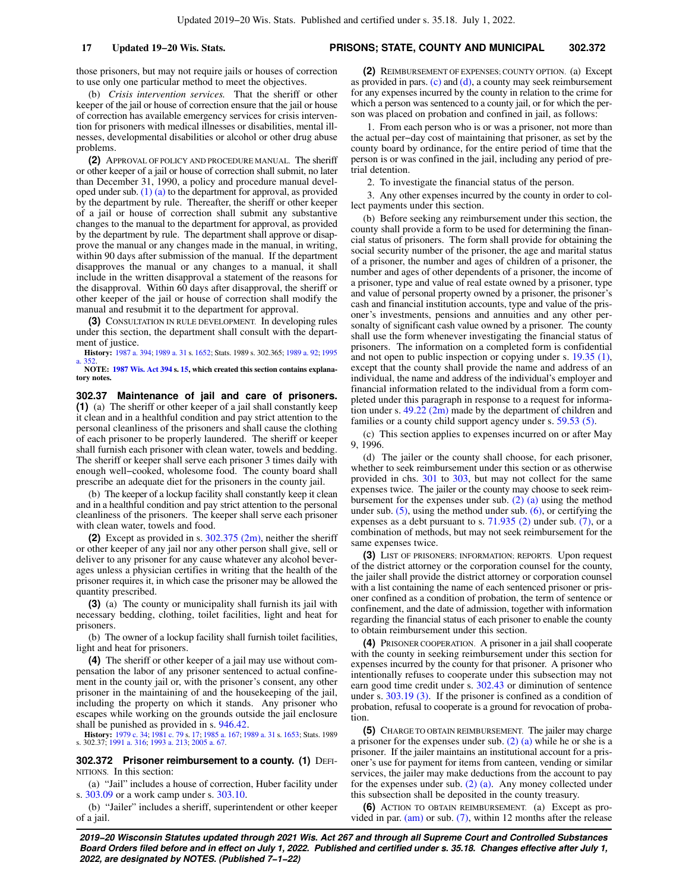those prisoners, but may not require jails or houses of correction to use only one particular method to meet the objectives.

(b) *Crisis intervention services.* That the sheriff or other keeper of the jail or house of correction ensure that the jail or house of correction has available emergency services for crisis intervention for prisoners with medical illnesses or disabilities, mental illnesses, developmental disabilities or alcohol or other drug abuse problems.

**(2)** APPROVAL OF POLICY AND PROCEDURE MANUAL. The sheriff or other keeper of a jail or house of correction shall submit, no later than December 31, 1990, a policy and procedure manual developed under sub. [\(1\) \(a\)](https://docs.legis.wisconsin.gov/document/statutes/302.365(1)(a)) to the department for approval, as provided by the department by rule. Thereafter, the sheriff or other keeper of a jail or house of correction shall submit any substantive changes to the manual to the department for approval, as provided by the department by rule. The department shall approve or disapprove the manual or any changes made in the manual, in writing, within 90 days after submission of the manual. If the department disapproves the manual or any changes to a manual, it shall include in the written disapproval a statement of the reasons for the disapproval. Within 60 days after disapproval, the sheriff or other keeper of the jail or house of correction shall modify the manual and resubmit it to the department for approval.

**(3)** CONSULTATION IN RULE DEVELOPMENT. In developing rules under this section, the department shall consult with the department of justice.

**History:** [1987 a. 394;](https://docs.legis.wisconsin.gov/document/acts/1987/394) [1989 a. 31](https://docs.legis.wisconsin.gov/document/acts/1989/31) s. [1652](https://docs.legis.wisconsin.gov/document/acts/1989/31,%20s.%201652); Stats. 1989 s. 302.365; [1989 a. 92;](https://docs.legis.wisconsin.gov/document/acts/1989/92) [1995](https://docs.legis.wisconsin.gov/document/acts/1995/352) [a. 352.](https://docs.legis.wisconsin.gov/document/acts/1995/352) **NOTE: [1987 Wis. Act 394](https://docs.legis.wisconsin.gov/document/acts/1987/394) s. [15,](https://docs.legis.wisconsin.gov/document/acts/1987/394,%20s.%2015) which created this section contains explana-**

**tory notes.**

**302.37 Maintenance of jail and care of prisoners. (1)** (a) The sheriff or other keeper of a jail shall constantly keep it clean and in a healthful condition and pay strict attention to the personal cleanliness of the prisoners and shall cause the clothing of each prisoner to be properly laundered. The sheriff or keeper shall furnish each prisoner with clean water, towels and bedding. The sheriff or keeper shall serve each prisoner 3 times daily with enough well−cooked, wholesome food. The county board shall prescribe an adequate diet for the prisoners in the county jail.

(b) The keeper of a lockup facility shall constantly keep it clean and in a healthful condition and pay strict attention to the personal cleanliness of the prisoners. The keeper shall serve each prisoner with clean water, towels and food.

**(2)** Except as provided in s. [302.375 \(2m\),](https://docs.legis.wisconsin.gov/document/statutes/302.375(2m)) neither the sheriff or other keeper of any jail nor any other person shall give, sell or deliver to any prisoner for any cause whatever any alcohol beverages unless a physician certifies in writing that the health of the prisoner requires it, in which case the prisoner may be allowed the quantity prescribed.

**(3)** (a) The county or municipality shall furnish its jail with necessary bedding, clothing, toilet facilities, light and heat for prisoners.

(b) The owner of a lockup facility shall furnish toilet facilities, light and heat for prisoners.

**(4)** The sheriff or other keeper of a jail may use without compensation the labor of any prisoner sentenced to actual confinement in the county jail or, with the prisoner's consent, any other prisoner in the maintaining of and the housekeeping of the jail, including the property on which it stands. Any prisoner who escapes while working on the grounds outside the jail enclosure shall be punished as provided in s. [946.42](https://docs.legis.wisconsin.gov/document/statutes/946.42).

**History:** [1979 c. 34](https://docs.legis.wisconsin.gov/document/acts/1979/34); [1981 c. 79](https://docs.legis.wisconsin.gov/document/acts/1981/79) s. [17](https://docs.legis.wisconsin.gov/document/acts/1981/79,%20s.%2017); [1985 a. 167;](https://docs.legis.wisconsin.gov/document/acts/1985/167) [1989 a. 31](https://docs.legis.wisconsin.gov/document/acts/1989/31) s. [1653](https://docs.legis.wisconsin.gov/document/acts/1989/31,%20s.%201653); Stats. 1989 s. 302.37; [1991 a. 316;](https://docs.legis.wisconsin.gov/document/acts/1991/316) [1993 a. 213;](https://docs.legis.wisconsin.gov/document/acts/1993/213) [2005 a. 67.](https://docs.legis.wisconsin.gov/document/acts/2005/67)

### **302.372 Prisoner reimbursement to a county. (1) DEFI-**NITIONS. In this section:

(a) "Jail" includes a house of correction, Huber facility under s. [303.09](https://docs.legis.wisconsin.gov/document/statutes/303.09) or a work camp under s. [303.10.](https://docs.legis.wisconsin.gov/document/statutes/303.10)

(b) "Jailer" includes a sheriff, superintendent or other keeper of a jail.

**(2)** REIMBURSEMENT OF EXPENSES; COUNTY OPTION. (a) Except as provided in pars.  $(c)$  and  $(d)$ , a county may seek reimbursement for any expenses incurred by the county in relation to the crime for which a person was sentenced to a county jail, or for which the person was placed on probation and confined in jail, as follows:

1. From each person who is or was a prisoner, not more than the actual per−day cost of maintaining that prisoner, as set by the county board by ordinance, for the entire period of time that the person is or was confined in the jail, including any period of pretrial detention.

2. To investigate the financial status of the person.

3. Any other expenses incurred by the county in order to collect payments under this section.

(b) Before seeking any reimbursement under this section, the county shall provide a form to be used for determining the financial status of prisoners. The form shall provide for obtaining the social security number of the prisoner, the age and marital status of a prisoner, the number and ages of children of a prisoner, the number and ages of other dependents of a prisoner, the income of a prisoner, type and value of real estate owned by a prisoner, type and value of personal property owned by a prisoner, the prisoner's cash and financial institution accounts, type and value of the prisoner's investments, pensions and annuities and any other personalty of significant cash value owned by a prisoner. The county shall use the form whenever investigating the financial status of prisoners. The information on a completed form is confidential and not open to public inspection or copying under s. [19.35 \(1\),](https://docs.legis.wisconsin.gov/document/statutes/19.35(1)) except that the county shall provide the name and address of an individual, the name and address of the individual's employer and financial information related to the individual from a form completed under this paragraph in response to a request for information under s. [49.22 \(2m\)](https://docs.legis.wisconsin.gov/document/statutes/49.22(2m)) made by the department of children and families or a county child support agency under s. [59.53 \(5\)](https://docs.legis.wisconsin.gov/document/statutes/59.53(5)).

(c) This section applies to expenses incurred on or after May 9, 1996.

(d) The jailer or the county shall choose, for each prisoner, whether to seek reimbursement under this section or as otherwise provided in chs. [301](https://docs.legis.wisconsin.gov/document/statutes/ch.%20301) to [303](https://docs.legis.wisconsin.gov/document/statutes/ch.%20303), but may not collect for the same expenses twice. The jailer or the county may choose to seek reimbursement for the expenses under sub. [\(2\) \(a\)](https://docs.legis.wisconsin.gov/document/statutes/302.372(2)(a)) using the method under sub.  $(5)$ , using the method under sub.  $(6)$ , or certifying the expenses as a debt pursuant to s.  $71.935$  (2) under sub. [\(7\)](https://docs.legis.wisconsin.gov/document/statutes/302.372(7)), or a combination of methods, but may not seek reimbursement for the same expenses twice.

**(3)** LIST OF PRISONERS; INFORMATION; REPORTS. Upon request of the district attorney or the corporation counsel for the county, the jailer shall provide the district attorney or corporation counsel with a list containing the name of each sentenced prisoner or prisoner confined as a condition of probation, the term of sentence or confinement, and the date of admission, together with information regarding the financial status of each prisoner to enable the county to obtain reimbursement under this section.

**(4)** PRISONER COOPERATION. A prisoner in a jail shall cooperate with the county in seeking reimbursement under this section for expenses incurred by the county for that prisoner. A prisoner who intentionally refuses to cooperate under this subsection may not earn good time credit under s. [302.43](https://docs.legis.wisconsin.gov/document/statutes/302.43) or diminution of sentence under s. [303.19 \(3\).](https://docs.legis.wisconsin.gov/document/statutes/303.19(3)) If the prisoner is confined as a condition of probation, refusal to cooperate is a ground for revocation of probation.

**(5)** CHARGE TO OBTAIN REIMBURSEMENT. The jailer may charge a prisoner for the expenses under sub. [\(2\) \(a\)](https://docs.legis.wisconsin.gov/document/statutes/302.372(2)(a)) while he or she is a prisoner. If the jailer maintains an institutional account for a prisoner's use for payment for items from canteen, vending or similar services, the jailer may make deductions from the account to pay for the expenses under sub.  $(2)$  (a). Any money collected under this subsection shall be deposited in the county treasury.

**(6)** ACTION TO OBTAIN REIMBURSEMENT. (a) Except as provided in par.  $(am)$  or sub.  $(7)$ , within 12 months after the release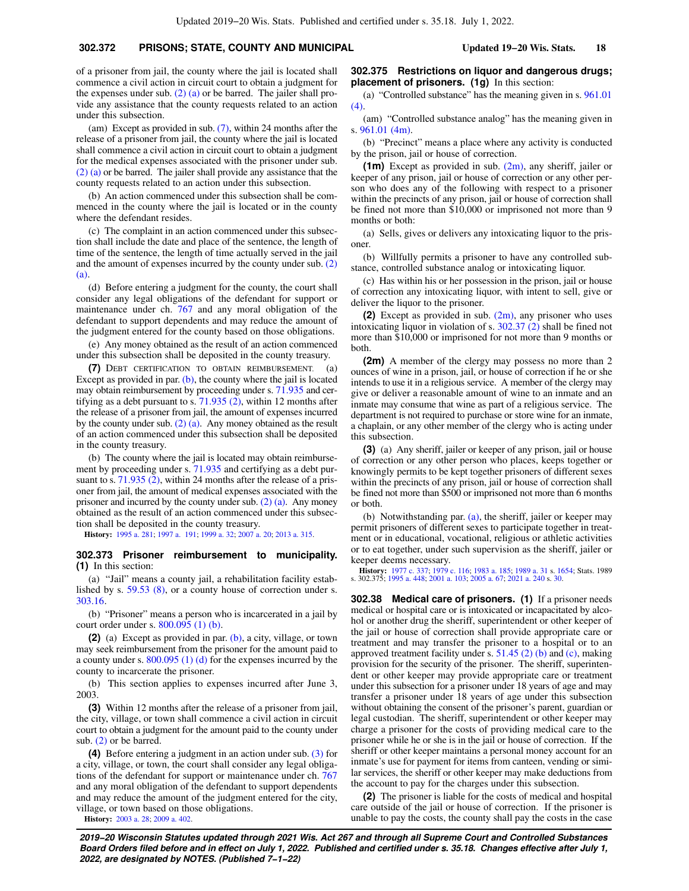## **302.372 PRISONS; STATE, COUNTY AND MUNICIPAL Updated 19−20 Wis. Stats. 18**

of a prisoner from jail, the county where the jail is located shall commence a civil action in circuit court to obtain a judgment for the expenses under sub. [\(2\) \(a\)](https://docs.legis.wisconsin.gov/document/statutes/302.372(2)(a)) or be barred. The jailer shall provide any assistance that the county requests related to an action under this subsection.

(am) Except as provided in sub. [\(7\),](https://docs.legis.wisconsin.gov/document/statutes/302.372(7)) within 24 months after the release of a prisoner from jail, the county where the jail is located shall commence a civil action in circuit court to obtain a judgment for the medical expenses associated with the prisoner under sub. [\(2\) \(a\)](https://docs.legis.wisconsin.gov/document/statutes/302.372(2)(a)) or be barred. The jailer shall provide any assistance that the county requests related to an action under this subsection.

(b) An action commenced under this subsection shall be commenced in the county where the jail is located or in the county where the defendant resides.

(c) The complaint in an action commenced under this subsection shall include the date and place of the sentence, the length of time of the sentence, the length of time actually served in the jail and the amount of expenses incurred by the county under sub. [\(2\)](https://docs.legis.wisconsin.gov/document/statutes/302.372(2)(a)) [\(a\).](https://docs.legis.wisconsin.gov/document/statutes/302.372(2)(a))

(d) Before entering a judgment for the county, the court shall consider any legal obligations of the defendant for support or maintenance under ch. [767](https://docs.legis.wisconsin.gov/document/statutes/ch.%20767) and any moral obligation of the defendant to support dependents and may reduce the amount of the judgment entered for the county based on those obligations.

(e) Any money obtained as the result of an action commenced under this subsection shall be deposited in the county treasury.

**(7)** DEBT CERTIFICATION TO OBTAIN REIMBURSEMENT. (a) Except as provided in par.  $(b)$ , the county where the jail is located may obtain reimbursement by proceeding under s. [71.935](https://docs.legis.wisconsin.gov/document/statutes/71.935) and certifying as a debt pursuant to s. [71.935 \(2\)](https://docs.legis.wisconsin.gov/document/statutes/71.935(2)), within 12 months after the release of a prisoner from jail, the amount of expenses incurred by the county under sub. [\(2\) \(a\)](https://docs.legis.wisconsin.gov/document/statutes/302.372(2)(a)). Any money obtained as the result of an action commenced under this subsection shall be deposited in the county treasury.

(b) The county where the jail is located may obtain reimbursement by proceeding under s. [71.935](https://docs.legis.wisconsin.gov/document/statutes/71.935) and certifying as a debt pur-suant to s. [71.935 \(2\)](https://docs.legis.wisconsin.gov/document/statutes/71.935(2)), within 24 months after the release of a prisoner from jail, the amount of medical expenses associated with the prisoner and incurred by the county under sub.  $(2)$   $(a)$ . Any money obtained as the result of an action commenced under this subsection shall be deposited in the county treasury.

**History:** [1995 a. 281](https://docs.legis.wisconsin.gov/document/acts/1995/281); [1997 a. 191;](https://docs.legis.wisconsin.gov/document/acts/1997/191) [1999 a. 32;](https://docs.legis.wisconsin.gov/document/acts/1999/32) [2007 a. 20](https://docs.legis.wisconsin.gov/document/acts/2007/20); [2013 a. 315.](https://docs.legis.wisconsin.gov/document/acts/2013/315)

**302.373 Prisoner reimbursement to municipality. (1)** In this section:

(a) "Jail" means a county jail, a rehabilitation facility established by s. [59.53 \(8\),](https://docs.legis.wisconsin.gov/document/statutes/59.53(8)) or a county house of correction under s. [303.16.](https://docs.legis.wisconsin.gov/document/statutes/303.16)

(b) "Prisoner" means a person who is incarcerated in a jail by court order under s. [800.095 \(1\) \(b\)](https://docs.legis.wisconsin.gov/document/statutes/800.095(1)(b)).

**(2)** (a) Except as provided in par. [\(b\)](https://docs.legis.wisconsin.gov/document/statutes/302.373(2)(b)), a city, village, or town may seek reimbursement from the prisoner for the amount paid to a county under s. [800.095 \(1\) \(d\)](https://docs.legis.wisconsin.gov/document/statutes/800.095(1)(d)) for the expenses incurred by the county to incarcerate the prisoner.

(b) This section applies to expenses incurred after June 3, 2003.

**(3)** Within 12 months after the release of a prisoner from jail, the city, village, or town shall commence a civil action in circuit court to obtain a judgment for the amount paid to the county under sub. [\(2\)](https://docs.legis.wisconsin.gov/document/statutes/302.373(2)) or be barred.

**(4)** Before entering a judgment in an action under sub. [\(3\)](https://docs.legis.wisconsin.gov/document/statutes/302.373(3)) for a city, village, or town, the court shall consider any legal obligations of the defendant for support or maintenance under ch. [767](https://docs.legis.wisconsin.gov/document/statutes/ch.%20767) and any moral obligation of the defendant to support dependents and may reduce the amount of the judgment entered for the city, village, or town based on those obligations.

**History:** [2003 a. 28;](https://docs.legis.wisconsin.gov/document/acts/2003/28) [2009 a. 402.](https://docs.legis.wisconsin.gov/document/acts/2009/402)

**302.375 Restrictions on liquor and dangerous drugs; placement of prisoners. (1g)** In this section:

(a) "Controlled substance" has the meaning given in s. [961.01](https://docs.legis.wisconsin.gov/document/statutes/961.01(4))  $(4).$ 

(am) "Controlled substance analog" has the meaning given in s. [961.01 \(4m\).](https://docs.legis.wisconsin.gov/document/statutes/961.01(4m))

(b) "Precinct" means a place where any activity is conducted by the prison, jail or house of correction.

**(1m)** Except as provided in sub. [\(2m\)](https://docs.legis.wisconsin.gov/document/statutes/302.375(2m)), any sheriff, jailer or keeper of any prison, jail or house of correction or any other person who does any of the following with respect to a prisoner within the precincts of any prison, jail or house of correction shall be fined not more than \$10,000 or imprisoned not more than 9 months or both:

(a) Sells, gives or delivers any intoxicating liquor to the prisoner.

(b) Willfully permits a prisoner to have any controlled substance, controlled substance analog or intoxicating liquor.

(c) Has within his or her possession in the prison, jail or house of correction any intoxicating liquor, with intent to sell, give or deliver the liquor to the prisoner.

**(2)** Except as provided in sub. [\(2m\),](https://docs.legis.wisconsin.gov/document/statutes/302.375(2m)) any prisoner who uses intoxicating liquor in violation of s. [302.37 \(2\)](https://docs.legis.wisconsin.gov/document/statutes/302.37(2)) shall be fined not more than \$10,000 or imprisoned for not more than 9 months or both.

**(2m)** A member of the clergy may possess no more than 2 ounces of wine in a prison, jail, or house of correction if he or she intends to use it in a religious service. A member of the clergy may give or deliver a reasonable amount of wine to an inmate and an inmate may consume that wine as part of a religious service. The department is not required to purchase or store wine for an inmate, a chaplain, or any other member of the clergy who is acting under this subsection.

**(3)** (a) Any sheriff, jailer or keeper of any prison, jail or house of correction or any other person who places, keeps together or knowingly permits to be kept together prisoners of different sexes within the precincts of any prison, jail or house of correction shall be fined not more than \$500 or imprisoned not more than 6 months or both.

(b) Notwithstanding par. [\(a\),](https://docs.legis.wisconsin.gov/document/statutes/302.375(3)(a)) the sheriff, jailer or keeper may permit prisoners of different sexes to participate together in treatment or in educational, vocational, religious or athletic activities or to eat together, under such supervision as the sheriff, jailer or keeper deems necessary.

**History:** [1977 c. 337;](https://docs.legis.wisconsin.gov/document/acts/1977/337) [1979 c. 116](https://docs.legis.wisconsin.gov/document/acts/1979/116); [1983 a. 185](https://docs.legis.wisconsin.gov/document/acts/1983/185); [1989 a. 31](https://docs.legis.wisconsin.gov/document/acts/1989/31) s. [1654](https://docs.legis.wisconsin.gov/document/acts/1989/31,%20s.%201654); Stats. 1989 s. 302.375; [1995 a. 448;](https://docs.legis.wisconsin.gov/document/acts/1995/448) [2001 a. 103](https://docs.legis.wisconsin.gov/document/acts/2001/103); [2005 a. 67;](https://docs.legis.wisconsin.gov/document/acts/2005/67) [2021 a. 240](https://docs.legis.wisconsin.gov/document/acts/2021/240) s. [30](https://docs.legis.wisconsin.gov/document/acts/2021/240,%20s.%2030).

**302.38 Medical care of prisoners. (1)** If a prisoner needs medical or hospital care or is intoxicated or incapacitated by alcohol or another drug the sheriff, superintendent or other keeper of the jail or house of correction shall provide appropriate care or treatment and may transfer the prisoner to a hospital or to an approved treatment facility under s.  $51.45$  (2) (b) and [\(c\)](https://docs.legis.wisconsin.gov/document/statutes/51.45(2)(c)), making provision for the security of the prisoner. The sheriff, superintendent or other keeper may provide appropriate care or treatment under this subsection for a prisoner under 18 years of age and may transfer a prisoner under 18 years of age under this subsection without obtaining the consent of the prisoner's parent, guardian or legal custodian. The sheriff, superintendent or other keeper may charge a prisoner for the costs of providing medical care to the prisoner while he or she is in the jail or house of correction. If the sheriff or other keeper maintains a personal money account for an inmate's use for payment for items from canteen, vending or similar services, the sheriff or other keeper may make deductions from the account to pay for the charges under this subsection.

**(2)** The prisoner is liable for the costs of medical and hospital care outside of the jail or house of correction. If the prisoner is unable to pay the costs, the county shall pay the costs in the case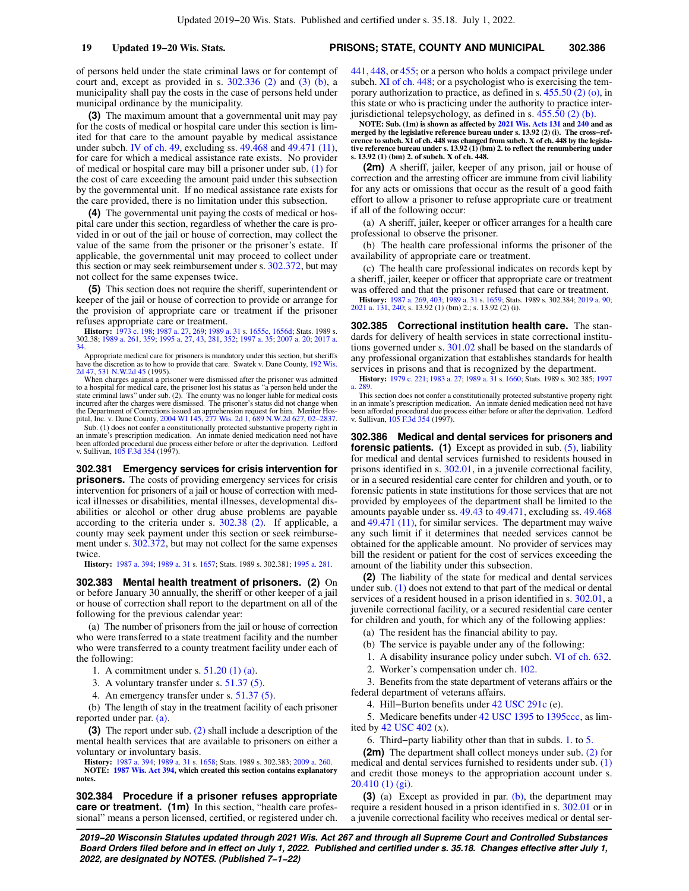of persons held under the state criminal laws or for contempt of court and, except as provided in s.  $302.336$  (2) and [\(3\) \(b\)](https://docs.legis.wisconsin.gov/document/statutes/302.336(3)(b)), a municipality shall pay the costs in the case of persons held under municipal ordinance by the municipality.

**(3)** The maximum amount that a governmental unit may pay for the costs of medical or hospital care under this section is limited for that care to the amount payable by medical assistance under subch. [IV of ch. 49,](https://docs.legis.wisconsin.gov/document/statutes/subch.%20IV%20of%20ch.%2049) excluding ss. [49.468](https://docs.legis.wisconsin.gov/document/statutes/49.468) and [49.471 \(11\),](https://docs.legis.wisconsin.gov/document/statutes/49.471(11)) for care for which a medical assistance rate exists. No provider of medical or hospital care may bill a prisoner under sub. [\(1\)](https://docs.legis.wisconsin.gov/document/statutes/302.38(1)) for the cost of care exceeding the amount paid under this subsection by the governmental unit. If no medical assistance rate exists for the care provided, there is no limitation under this subsection.

**(4)** The governmental unit paying the costs of medical or hospital care under this section, regardless of whether the care is provided in or out of the jail or house of correction, may collect the value of the same from the prisoner or the prisoner's estate. If applicable, the governmental unit may proceed to collect under this section or may seek reimbursement under s. [302.372,](https://docs.legis.wisconsin.gov/document/statutes/302.372) but may not collect for the same expenses twice.

**(5)** This section does not require the sheriff, superintendent or keeper of the jail or house of correction to provide or arrange for the provision of appropriate care or treatment if the prisoner refuses appropriate care or treatment.

**History:** [1973 c. 198](https://docs.legis.wisconsin.gov/document/acts/1973/198); [1987 a. 27,](https://docs.legis.wisconsin.gov/document/acts/1987/27) [269;](https://docs.legis.wisconsin.gov/document/acts/1987/269) [1989 a. 31](https://docs.legis.wisconsin.gov/document/acts/1989/31) s. [1655c,](https://docs.legis.wisconsin.gov/document/acts/1989/31,%20s.%201655c) [1656d;](https://docs.legis.wisconsin.gov/document/acts/1989/31,%20s.%201656d) Stats. 1989 s. 302.38; [1989 a. 261,](https://docs.legis.wisconsin.gov/document/acts/1989/261) [359;](https://docs.legis.wisconsin.gov/document/acts/1989/359) [1995 a. 27,](https://docs.legis.wisconsin.gov/document/acts/1995/27) [43](https://docs.legis.wisconsin.gov/document/acts/1995/43), [281,](https://docs.legis.wisconsin.gov/document/acts/1995/281) [352;](https://docs.legis.wisconsin.gov/document/acts/1995/352) [1997 a. 35;](https://docs.legis.wisconsin.gov/document/acts/1997/35) [2007 a. 20;](https://docs.legis.wisconsin.gov/document/acts/2007/20) [2017 a.](https://docs.legis.wisconsin.gov/document/acts/2017/34) [34.](https://docs.legis.wisconsin.gov/document/acts/2017/34)

Appropriate medical care for prisoners is mandatory under this section, but sheriffs have the discretion as to how to provide that care. Swatek v. Dane County, [192 Wis.](https://docs.legis.wisconsin.gov/document/courts/192%20Wis.%202d%2047) [2d 47,](https://docs.legis.wisconsin.gov/document/courts/192%20Wis.%202d%2047) [531 N.W.2d 45](https://docs.legis.wisconsin.gov/document/courts/531%20N.W.2d%2045) (1995).

When charges against a prisoner were dismissed after the prisoner was admitted to a hospital for medical care, the prisoner lost his status as "a person held under the state criminal laws" under sub. (2). The county was no longer liable for medical costs incurred after the charges were dismissed. The prisoner's status did not change when the Department of Corrections issued an apprehension request for him. Meriter Hos-pital, Inc. v. Dane County, [2004 WI 145](https://docs.legis.wisconsin.gov/document/courts/2004%20WI%20145), [277 Wis. 2d 1](https://docs.legis.wisconsin.gov/document/courts/277%20Wis.%202d%201), [689 N.W.2d 627](https://docs.legis.wisconsin.gov/document/courts/689%20N.W.2d%20627), [02−2837](https://docs.legis.wisconsin.gov/document/wisupremecourt/02-2837).

Sub. (1) does not confer a constitutionally protected substantive property right in an inmate's prescription medication. An inmate denied medication need not have been afforded procedural due process either before or after the deprivation. Ledford v. Sullivan, [105 F.3d 354](https://docs.legis.wisconsin.gov/document/courts/105%20F.3d%20354) (1997).

**302.381 Emergency services for crisis intervention for prisoners.** The costs of providing emergency services for crisis intervention for prisoners of a jail or house of correction with medical illnesses or disabilities, mental illnesses, developmental disabilities or alcohol or other drug abuse problems are payable according to the criteria under s. [302.38 \(2\)](https://docs.legis.wisconsin.gov/document/statutes/302.38(2)). If applicable, a county may seek payment under this section or seek reimbursement under s. [302.372](https://docs.legis.wisconsin.gov/document/statutes/302.372), but may not collect for the same expenses twice.

**History:** [1987 a. 394](https://docs.legis.wisconsin.gov/document/acts/1987/394); [1989 a. 31](https://docs.legis.wisconsin.gov/document/acts/1989/31) s. [1657;](https://docs.legis.wisconsin.gov/document/acts/1989/31,%20s.%201657) Stats. 1989 s. 302.381; [1995 a. 281.](https://docs.legis.wisconsin.gov/document/acts/1995/281)

**302.383 Mental health treatment of prisoners. (2)** On or before January 30 annually, the sheriff or other keeper of a jail or house of correction shall report to the department on all of the following for the previous calendar year:

(a) The number of prisoners from the jail or house of correction who were transferred to a state treatment facility and the number who were transferred to a county treatment facility under each of the following:

- 1. A commitment under s. [51.20 \(1\) \(a\).](https://docs.legis.wisconsin.gov/document/statutes/51.20(1)(a))
- 3. A voluntary transfer under s. [51.37 \(5\)](https://docs.legis.wisconsin.gov/document/statutes/51.37(5)).
- 4. An emergency transfer under s. [51.37 \(5\).](https://docs.legis.wisconsin.gov/document/statutes/51.37(5))

(b) The length of stay in the treatment facility of each prisoner reported under par. [\(a\).](https://docs.legis.wisconsin.gov/document/statutes/302.383(2)(a))

**(3)** The report under sub. [\(2\)](https://docs.legis.wisconsin.gov/document/statutes/302.383(2)) shall include a description of the mental health services that are available to prisoners on either a voluntary or involuntary basis.

**History:** [1987 a. 394](https://docs.legis.wisconsin.gov/document/acts/1987/394); [1989 a. 31](https://docs.legis.wisconsin.gov/document/acts/1989/31) s. [1658;](https://docs.legis.wisconsin.gov/document/acts/1989/31,%20s.%201658) Stats. 1989 s. 302.383; [2009 a. 260.](https://docs.legis.wisconsin.gov/document/acts/2009/260) **NOTE: [1987 Wis. Act 394,](https://docs.legis.wisconsin.gov/document/acts/1987/394) which created this section contains explanatory notes.**

**302.384 Procedure if a prisoner refuses appropriate care or treatment. (1m)** In this section, "health care professional" means a person licensed, certified, or registered under ch.

[441,](https://docs.legis.wisconsin.gov/document/statutes/ch.%20441) [448,](https://docs.legis.wisconsin.gov/document/statutes/ch.%20448) or [455](https://docs.legis.wisconsin.gov/document/statutes/ch.%20455); or a person who holds a compact privilege under subch. [XI of ch. 448;](https://docs.legis.wisconsin.gov/document/statutes/subch.%20XI%20of%20ch.%20448) or a psychologist who is exercising the temporary authorization to practice, as defined in s. [455.50 \(2\) \(o\)](https://docs.legis.wisconsin.gov/document/statutes/455.50(2)(o)), in this state or who is practicing under the authority to practice interjurisdictional telepsychology, as defined in s. [455.50 \(2\) \(b\).](https://docs.legis.wisconsin.gov/document/statutes/455.50(2)(b))

**NOTE: Sub. (1m) is shown as affected by [2021 Wis. Acts 131](https://docs.legis.wisconsin.gov/document/acts/2021/131) and [240](https://docs.legis.wisconsin.gov/document/acts/2021/240) and as merged by the legislative reference bureau under s. 13.92 (2) (i). The cross−reference to subch. XI of ch. 448 was changed from subch. X of ch. 448 by the legislative reference bureau under s. 13.92 (1) (bm) 2. to reflect the renumbering under s. 13.92 (1) (bm) 2. of subch. X of ch. 448.**

**(2m)** A sheriff, jailer, keeper of any prison, jail or house of correction and the arresting officer are immune from civil liability for any acts or omissions that occur as the result of a good faith effort to allow a prisoner to refuse appropriate care or treatment if all of the following occur:

(a) A sheriff, jailer, keeper or officer arranges for a health care professional to observe the prisoner.

(b) The health care professional informs the prisoner of the availability of appropriate care or treatment.

(c) The health care professional indicates on records kept by a sheriff, jailer, keeper or officer that appropriate care or treatment was offered and that the prisoner refused that care or treatment.

**History:** [1987 a. 269](https://docs.legis.wisconsin.gov/document/acts/1987/269), [403;](https://docs.legis.wisconsin.gov/document/acts/1987/403) [1989 a. 31](https://docs.legis.wisconsin.gov/document/acts/1989/31) s. [1659](https://docs.legis.wisconsin.gov/document/acts/1989/31,%20s.%201659); Stats. 1989 s. 302.384; [2019 a. 90](https://docs.legis.wisconsin.gov/document/acts/2019/90); [2021 a. 131,](https://docs.legis.wisconsin.gov/document/acts/2021/131) [240](https://docs.legis.wisconsin.gov/document/acts/2021/240); s. 13.92 (1) (bm) 2.; s. 13.92 (2) (i).

**302.385 Correctional institution health care.** The standards for delivery of health services in state correctional institutions governed under s. [301.02](https://docs.legis.wisconsin.gov/document/statutes/301.02) shall be based on the standards of any professional organization that establishes standards for health services in prisons and that is recognized by the department.

**History:** [1979 c. 221;](https://docs.legis.wisconsin.gov/document/acts/1979/221) [1983 a. 27](https://docs.legis.wisconsin.gov/document/acts/1983/27); [1989 a. 31](https://docs.legis.wisconsin.gov/document/acts/1989/31) s. [1660](https://docs.legis.wisconsin.gov/document/acts/1989/31,%20s.%201660); Stats. 1989 s. 302.385; [1997](https://docs.legis.wisconsin.gov/document/acts/1997/289) [a. 289](https://docs.legis.wisconsin.gov/document/acts/1997/289).

This section does not confer a constitutionally protected substantive property right in an inmate's prescription medication. An inmate denied medication need not have been afforded procedural due process either before or after the deprivation. Ledford v. Sullivan, [105 F.3d 354](https://docs.legis.wisconsin.gov/document/courts/105%20F.3d%20354) (1997).

**302.386 Medical and dental services for prisoners and forensic patients.** (1) Except as provided in sub. [\(5\)](https://docs.legis.wisconsin.gov/document/statutes/302.386(5)), liability for medical and dental services furnished to residents housed in prisons identified in s. [302.01,](https://docs.legis.wisconsin.gov/document/statutes/302.01) in a juvenile correctional facility, or in a secured residential care center for children and youth, or to forensic patients in state institutions for those services that are not provided by employees of the department shall be limited to the amounts payable under ss. [49.43](https://docs.legis.wisconsin.gov/document/statutes/49.43) to [49.471,](https://docs.legis.wisconsin.gov/document/statutes/49.471) excluding ss. [49.468](https://docs.legis.wisconsin.gov/document/statutes/49.468) and [49.471 \(11\)](https://docs.legis.wisconsin.gov/document/statutes/49.471(11)), for similar services. The department may waive any such limit if it determines that needed services cannot be obtained for the applicable amount. No provider of services may bill the resident or patient for the cost of services exceeding the amount of the liability under this subsection.

**(2)** The liability of the state for medical and dental services under sub. [\(1\)](https://docs.legis.wisconsin.gov/document/statutes/302.386(1)) does not extend to that part of the medical or dental services of a resident housed in a prison identified in s. [302.01,](https://docs.legis.wisconsin.gov/document/statutes/302.01) a juvenile correctional facility, or a secured residential care center for children and youth, for which any of the following applies:

- (a) The resident has the financial ability to pay.
- (b) The service is payable under any of the following:
- 1. A disability insurance policy under subch. [VI of ch. 632](https://docs.legis.wisconsin.gov/document/statutes/subch.%20VI%20of%20ch.%20632).
- 2. Worker's compensation under ch. [102](https://docs.legis.wisconsin.gov/document/statutes/ch.%20102).

3. Benefits from the state department of veterans affairs or the federal department of veterans affairs.

4. Hill−Burton benefits under [42 USC 291c](https://docs.legis.wisconsin.gov/document/usc/42%20USC%20291c) (e).

5. Medicare benefits under [42 USC 1395](https://docs.legis.wisconsin.gov/document/usc/42%20USC%201395) to [1395ccc,](https://docs.legis.wisconsin.gov/document/usc/42%20USC%201395ccc) as limited by  $42$  USC  $402$  (x).

6. Third−party liability other than that in subds. [1.](https://docs.legis.wisconsin.gov/document/statutes/302.386(2)(b)1.) to [5.](https://docs.legis.wisconsin.gov/document/statutes/302.386(2)(b)5.)

**(2m)** The department shall collect moneys under sub. [\(2\)](https://docs.legis.wisconsin.gov/document/statutes/302.386(2)) for medical and dental services furnished to residents under sub. [\(1\)](https://docs.legis.wisconsin.gov/document/statutes/302.386(1)) and credit those moneys to the appropriation account under s. [20.410 \(1\) \(gi\)](https://docs.legis.wisconsin.gov/document/statutes/20.410(1)(gi)).

**(3)** (a) Except as provided in par. [\(b\),](https://docs.legis.wisconsin.gov/document/statutes/302.386(3)(b)) the department may require a resident housed in a prison identified in s. [302.01](https://docs.legis.wisconsin.gov/document/statutes/302.01) or in a juvenile correctional facility who receives medical or dental ser-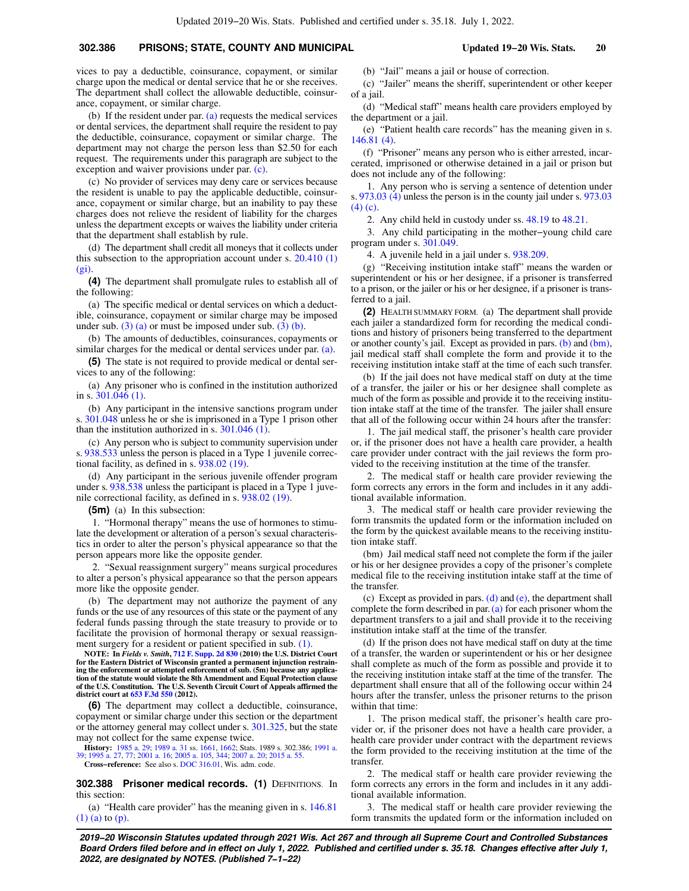## **302.386 PRISONS; STATE, COUNTY AND MUNICIPAL Updated 19−20 Wis. Stats. 20**

vices to pay a deductible, coinsurance, copayment, or similar charge upon the medical or dental service that he or she receives. The department shall collect the allowable deductible, coinsurance, copayment, or similar charge.

(b) If the resident under par. [\(a\)](https://docs.legis.wisconsin.gov/document/statutes/302.386(3)(a)) requests the medical services or dental services, the department shall require the resident to pay the deductible, coinsurance, copayment or similar charge. The department may not charge the person less than \$2.50 for each request. The requirements under this paragraph are subject to the exception and waiver provisions under par. [\(c\).](https://docs.legis.wisconsin.gov/document/statutes/302.386(3)(c))

(c) No provider of services may deny care or services because the resident is unable to pay the applicable deductible, coinsurance, copayment or similar charge, but an inability to pay these charges does not relieve the resident of liability for the charges unless the department excepts or waives the liability under criteria that the department shall establish by rule.

(d) The department shall credit all moneys that it collects under this subsection to the appropriation account under s.  $20.410(1)$ [\(gi\).](https://docs.legis.wisconsin.gov/document/statutes/20.410(1)(gi))

**(4)** The department shall promulgate rules to establish all of the following:

(a) The specific medical or dental services on which a deductible, coinsurance, copayment or similar charge may be imposed under sub.  $(3)$  (a) or must be imposed under sub.  $(3)$  (b).

(b) The amounts of deductibles, coinsurances, copayments or similar charges for the medical or dental services under par. [\(a\).](https://docs.legis.wisconsin.gov/document/statutes/302.386(4)(a))

**(5)** The state is not required to provide medical or dental services to any of the following:

(a) Any prisoner who is confined in the institution authorized in s. [301.046 \(1\)](https://docs.legis.wisconsin.gov/document/statutes/301.046(1)).

(b) Any participant in the intensive sanctions program under s. [301.048](https://docs.legis.wisconsin.gov/document/statutes/301.048) unless he or she is imprisoned in a Type 1 prison other than the institution authorized in s. [301.046 \(1\).](https://docs.legis.wisconsin.gov/document/statutes/301.046(1))

(c) Any person who is subject to community supervision under s. [938.533](https://docs.legis.wisconsin.gov/document/statutes/938.533) unless the person is placed in a Type 1 juvenile correctional facility, as defined in s. [938.02 \(19\)](https://docs.legis.wisconsin.gov/document/statutes/938.02(19)).

(d) Any participant in the serious juvenile offender program under s. [938.538](https://docs.legis.wisconsin.gov/document/statutes/938.538) unless the participant is placed in a Type 1 juvenile correctional facility, as defined in s. [938.02 \(19\)](https://docs.legis.wisconsin.gov/document/statutes/938.02(19)).

**(5m)** (a) In this subsection:

1. "Hormonal therapy" means the use of hormones to stimulate the development or alteration of a person's sexual characteristics in order to alter the person's physical appearance so that the person appears more like the opposite gender.

2. "Sexual reassignment surgery" means surgical procedures to alter a person's physical appearance so that the person appears more like the opposite gender.

(b) The department may not authorize the payment of any funds or the use of any resources of this state or the payment of any federal funds passing through the state treasury to provide or to facilitate the provision of hormonal therapy or sexual reassignment surgery for a resident or patient specified in sub. [\(1\).](https://docs.legis.wisconsin.gov/document/statutes/302.386(1))

**NOTE: In** *Fields v. Smith***, [712 F. Supp. 2d 830](https://docs.legis.wisconsin.gov/document/courts/712%20F.%20Supp.%202d%20830) (2010) the U.S. District Court for the Eastern District of Wisconsin granted a permanent injunction restraining the enforcement or attempted enforcement of sub. (5m) because any applica-**tion of the statute would violate the 8th Amendment and Equal Protection clause<br>of the U.S. Constitution. The U.S. Seventh Circuit Court of Appeals affirmed the<br>district court at [653 F.3d 550](https://docs.legis.wisconsin.gov/document/courts/653%20F.3d%20550) (2012).

**(6)** The department may collect a deductible, coinsurance, copayment or similar charge under this section or the department or the attorney general may collect under s. [301.325](https://docs.legis.wisconsin.gov/document/statutes/301.325), but the state may not collect for the same expense twice.

**History:** [1985 a. 29](https://docs.legis.wisconsin.gov/document/acts/1985/29); [1989 a. 31](https://docs.legis.wisconsin.gov/document/acts/1989/31) ss. [1661,](https://docs.legis.wisconsin.gov/document/acts/1989/31,%20s.%201661) [1662](https://docs.legis.wisconsin.gov/document/acts/1989/31,%20s.%201662); Stats. 1989 s. 302.386; [1991 a.](https://docs.legis.wisconsin.gov/document/acts/1991/39) [39;](https://docs.legis.wisconsin.gov/document/acts/1991/39) [1995 a. 27,](https://docs.legis.wisconsin.gov/document/acts/1995/27) [77](https://docs.legis.wisconsin.gov/document/acts/1995/77); [2001 a. 16;](https://docs.legis.wisconsin.gov/document/acts/2001/16) [2005 a. 105](https://docs.legis.wisconsin.gov/document/acts/2005/105), [344](https://docs.legis.wisconsin.gov/document/acts/2005/344); [2007 a. 20;](https://docs.legis.wisconsin.gov/document/acts/2007/20) [2015 a. 55.](https://docs.legis.wisconsin.gov/document/acts/2015/55) **Cross−reference:** See also s. [DOC 316.01](https://docs.legis.wisconsin.gov/document/administrativecode/DOC%20316.01), Wis. adm. code.

**302.388 Prisoner medical records. (1) DEFINITIONS. In** this section:

(a) "Health care provider" has the meaning given in s. [146.81](https://docs.legis.wisconsin.gov/document/statutes/146.81(1)(a)) [\(1\) \(a\)](https://docs.legis.wisconsin.gov/document/statutes/146.81(1)(a)) to [\(p\).](https://docs.legis.wisconsin.gov/document/statutes/146.81(1)(p))

(b) "Jail" means a jail or house of correction.

(c) "Jailer" means the sheriff, superintendent or other keeper of a jail.

(d) "Medical staff" means health care providers employed by the department or a jail.

(e) "Patient health care records" has the meaning given in s. [146.81 \(4\).](https://docs.legis.wisconsin.gov/document/statutes/146.81(4))

(f) "Prisoner" means any person who is either arrested, incarcerated, imprisoned or otherwise detained in a jail or prison but does not include any of the following:

1. Any person who is serving a sentence of detention under s. [973.03 \(4\)](https://docs.legis.wisconsin.gov/document/statutes/973.03(4)) unless the person is in the county jail under s. [973.03](https://docs.legis.wisconsin.gov/document/statutes/973.03(4)(c)) [\(4\) \(c\).](https://docs.legis.wisconsin.gov/document/statutes/973.03(4)(c))

2. Any child held in custody under ss. [48.19](https://docs.legis.wisconsin.gov/document/statutes/48.19) to [48.21](https://docs.legis.wisconsin.gov/document/statutes/48.21).

3. Any child participating in the mother−young child care program under s. [301.049](https://docs.legis.wisconsin.gov/document/statutes/301.049).

4. A juvenile held in a jail under s. [938.209.](https://docs.legis.wisconsin.gov/document/statutes/938.209)

(g) "Receiving institution intake staff" means the warden or superintendent or his or her designee, if a prisoner is transferred to a prison, or the jailer or his or her designee, if a prisoner is transferred to a jail.

**(2)** HEALTH SUMMARY FORM. (a) The department shall provide each jailer a standardized form for recording the medical conditions and history of prisoners being transferred to the department or another county's jail. Except as provided in pars.  $(b)$  and  $(bm)$ , jail medical staff shall complete the form and provide it to the receiving institution intake staff at the time of each such transfer.

(b) If the jail does not have medical staff on duty at the time of a transfer, the jailer or his or her designee shall complete as much of the form as possible and provide it to the receiving institution intake staff at the time of the transfer. The jailer shall ensure that all of the following occur within 24 hours after the transfer:

1. The jail medical staff, the prisoner's health care provider or, if the prisoner does not have a health care provider, a health care provider under contract with the jail reviews the form provided to the receiving institution at the time of the transfer.

2. The medical staff or health care provider reviewing the form corrects any errors in the form and includes in it any additional available information.

3. The medical staff or health care provider reviewing the form transmits the updated form or the information included on the form by the quickest available means to the receiving institution intake staff.

(bm) Jail medical staff need not complete the form if the jailer or his or her designee provides a copy of the prisoner's complete medical file to the receiving institution intake staff at the time of the transfer.

(c) Except as provided in pars. [\(d\)](https://docs.legis.wisconsin.gov/document/statutes/302.388(2)(d)) and [\(e\),](https://docs.legis.wisconsin.gov/document/statutes/302.388(2)(e)) the department shall complete the form described in par. [\(a\)](https://docs.legis.wisconsin.gov/document/statutes/302.388(2)(a)) for each prisoner whom the department transfers to a jail and shall provide it to the receiving institution intake staff at the time of the transfer.

(d) If the prison does not have medical staff on duty at the time of a transfer, the warden or superintendent or his or her designee shall complete as much of the form as possible and provide it to the receiving institution intake staff at the time of the transfer. The department shall ensure that all of the following occur within 24 hours after the transfer, unless the prisoner returns to the prison within that time:

1. The prison medical staff, the prisoner's health care provider or, if the prisoner does not have a health care provider, a health care provider under contract with the department reviews the form provided to the receiving institution at the time of the transfer.

2. The medical staff or health care provider reviewing the form corrects any errors in the form and includes in it any additional available information.

3. The medical staff or health care provider reviewing the form transmits the updated form or the information included on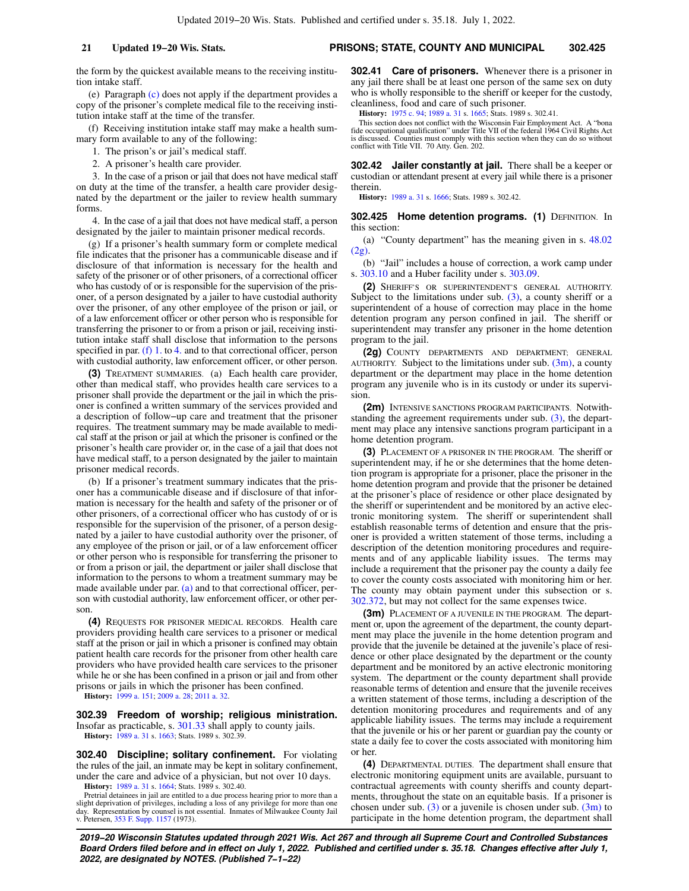the form by the quickest available means to the receiving institution intake staff.

(e) Paragraph [\(c\)](https://docs.legis.wisconsin.gov/document/statutes/302.388(2)(c)) does not apply if the department provides a copy of the prisoner's complete medical file to the receiving institution intake staff at the time of the transfer.

(f) Receiving institution intake staff may make a health summary form available to any of the following:

- 1. The prison's or jail's medical staff.
- 2. A prisoner's health care provider.

3. In the case of a prison or jail that does not have medical staff on duty at the time of the transfer, a health care provider designated by the department or the jailer to review health summary forms.

4. In the case of a jail that does not have medical staff, a person designated by the jailer to maintain prisoner medical records.

(g) If a prisoner's health summary form or complete medical file indicates that the prisoner has a communicable disease and if disclosure of that information is necessary for the health and safety of the prisoner or of other prisoners, of a correctional officer who has custody of or is responsible for the supervision of the prisoner, of a person designated by a jailer to have custodial authority over the prisoner, of any other employee of the prison or jail, or of a law enforcement officer or other person who is responsible for transferring the prisoner to or from a prison or jail, receiving institution intake staff shall disclose that information to the persons specified in par. [\(f\) 1.](https://docs.legis.wisconsin.gov/document/statutes/302.388(2)(f)1.) to [4.](https://docs.legis.wisconsin.gov/document/statutes/302.388(2)(f)4.) and to that correctional officer, person with custodial authority, law enforcement officer, or other person.

**(3)** TREATMENT SUMMARIES. (a) Each health care provider, other than medical staff, who provides health care services to a prisoner shall provide the department or the jail in which the prisoner is confined a written summary of the services provided and a description of follow−up care and treatment that the prisoner requires. The treatment summary may be made available to medical staff at the prison or jail at which the prisoner is confined or the prisoner's health care provider or, in the case of a jail that does not have medical staff, to a person designated by the jailer to maintain prisoner medical records.

(b) If a prisoner's treatment summary indicates that the prisoner has a communicable disease and if disclosure of that information is necessary for the health and safety of the prisoner or of other prisoners, of a correctional officer who has custody of or is responsible for the supervision of the prisoner, of a person designated by a jailer to have custodial authority over the prisoner, of any employee of the prison or jail, or of a law enforcement officer or other person who is responsible for transferring the prisoner to or from a prison or jail, the department or jailer shall disclose that information to the persons to whom a treatment summary may be made available under par. [\(a\)](https://docs.legis.wisconsin.gov/document/statutes/302.388(3)(a)) and to that correctional officer, person with custodial authority, law enforcement officer, or other person.

**(4)** REQUESTS FOR PRISONER MEDICAL RECORDS. Health care providers providing health care services to a prisoner or medical staff at the prison or jail in which a prisoner is confined may obtain patient health care records for the prisoner from other health care providers who have provided health care services to the prisoner while he or she has been confined in a prison or jail and from other prisons or jails in which the prisoner has been confined.

**History:** [1999 a. 151](https://docs.legis.wisconsin.gov/document/acts/1999/151); [2009 a. 28;](https://docs.legis.wisconsin.gov/document/acts/2009/28) [2011 a. 32](https://docs.legis.wisconsin.gov/document/acts/2011/32).

**302.39 Freedom of worship; religious ministration.** Insofar as practicable, s. [301.33](https://docs.legis.wisconsin.gov/document/statutes/301.33) shall apply to county jails.

**History:** [1989 a. 31](https://docs.legis.wisconsin.gov/document/acts/1989/31) s. [1663;](https://docs.legis.wisconsin.gov/document/acts/1989/31,%20s.%201663) Stats. 1989 s. 302.39.

**302.40 Discipline; solitary confinement.** For violating the rules of the jail, an inmate may be kept in solitary confinement, under the care and advice of a physician, but not over 10 days. **History:** [1989 a. 31](https://docs.legis.wisconsin.gov/document/acts/1989/31) s. [1664;](https://docs.legis.wisconsin.gov/document/acts/1989/31,%20s.%201664) Stats. 1989 s. 302.40.

Pretrial detainees in jail are entitled to a due process hearing prior to more than a slight deprivation of privileges, including a loss of any privilege for more than one day. Representation by counsel is not essential. Inmates of Milwaukee County Jail v. Petersen, [353 F. Supp. 1157](https://docs.legis.wisconsin.gov/document/courts/353%20F.%20Supp.%201157) (1973). **302.41 Care of prisoners.** Whenever there is a prisoner in any jail there shall be at least one person of the same sex on duty who is wholly responsible to the sheriff or keeper for the custody, cleanliness, food and care of such prisoner.

**History:** [1975 c. 94](https://docs.legis.wisconsin.gov/document/acts/1975/94); [1989 a. 31](https://docs.legis.wisconsin.gov/document/acts/1989/31) s. [1665](https://docs.legis.wisconsin.gov/document/acts/1989/31,%20s.%201665); Stats. 1989 s. 302.41.

This section does not conflict with the Wisconsin Fair Employment Act. A "bona fide occupational qualification" under Title VII of the federal 1964 Civil Rights Act is discussed. Counties must comply with this section when they can do so without conflict with Title VII. 70 Atty. Gen. 202.

**302.42 Jailer constantly at jail.** There shall be a keeper or custodian or attendant present at every jail while there is a prisoner therein.

**History:** [1989 a. 31](https://docs.legis.wisconsin.gov/document/acts/1989/31) s. [1666](https://docs.legis.wisconsin.gov/document/acts/1989/31,%20s.%201666); Stats. 1989 s. 302.42.

**302.425 Home detention programs. (1) DEFINITION. In** this section:

(a) "County department" has the meaning given in s. [48.02](https://docs.legis.wisconsin.gov/document/statutes/48.02(2g)) [\(2g\)](https://docs.legis.wisconsin.gov/document/statutes/48.02(2g)).

(b) "Jail" includes a house of correction, a work camp under s. [303.10](https://docs.legis.wisconsin.gov/document/statutes/303.10) and a Huber facility under s. [303.09.](https://docs.legis.wisconsin.gov/document/statutes/303.09)

**(2)** SHERIFF'S OR SUPERINTENDENT'S GENERAL AUTHORITY. Subject to the limitations under sub.  $(3)$ , a county sheriff or a superintendent of a house of correction may place in the home detention program any person confined in jail. The sheriff or superintendent may transfer any prisoner in the home detention program to the jail.

**(2g)** COUNTY DEPARTMENTS AND DEPARTMENT; GENERAL AUTHORITY. Subject to the limitations under sub.  $(3m)$ , a county department or the department may place in the home detention program any juvenile who is in its custody or under its supervision.

**(2m)** INTENSIVE SANCTIONS PROGRAM PARTICIPANTS. Notwithstanding the agreement requirements under sub.  $(3)$ , the department may place any intensive sanctions program participant in a home detention program.

**(3)** PLACEMENT OF A PRISONER IN THE PROGRAM. The sheriff or superintendent may, if he or she determines that the home detention program is appropriate for a prisoner, place the prisoner in the home detention program and provide that the prisoner be detained at the prisoner's place of residence or other place designated by the sheriff or superintendent and be monitored by an active electronic monitoring system. The sheriff or superintendent shall establish reasonable terms of detention and ensure that the prisoner is provided a written statement of those terms, including a description of the detention monitoring procedures and requirements and of any applicable liability issues. The terms may include a requirement that the prisoner pay the county a daily fee to cover the county costs associated with monitoring him or her. The county may obtain payment under this subsection or s. [302.372](https://docs.legis.wisconsin.gov/document/statutes/302.372), but may not collect for the same expenses twice.

**(3m)** PLACEMENT OF A JUVENILE IN THE PROGRAM. The department or, upon the agreement of the department, the county department may place the juvenile in the home detention program and provide that the juvenile be detained at the juvenile's place of residence or other place designated by the department or the county department and be monitored by an active electronic monitoring system. The department or the county department shall provide reasonable terms of detention and ensure that the juvenile receives a written statement of those terms, including a description of the detention monitoring procedures and requirements and of any applicable liability issues. The terms may include a requirement that the juvenile or his or her parent or guardian pay the county or state a daily fee to cover the costs associated with monitoring him or her.

**(4)** DEPARTMENTAL DUTIES. The department shall ensure that electronic monitoring equipment units are available, pursuant to contractual agreements with county sheriffs and county departments, throughout the state on an equitable basis. If a prisoner is chosen under sub.  $(3)$  or a juvenile is chosen under sub.  $(3m)$  to participate in the home detention program, the department shall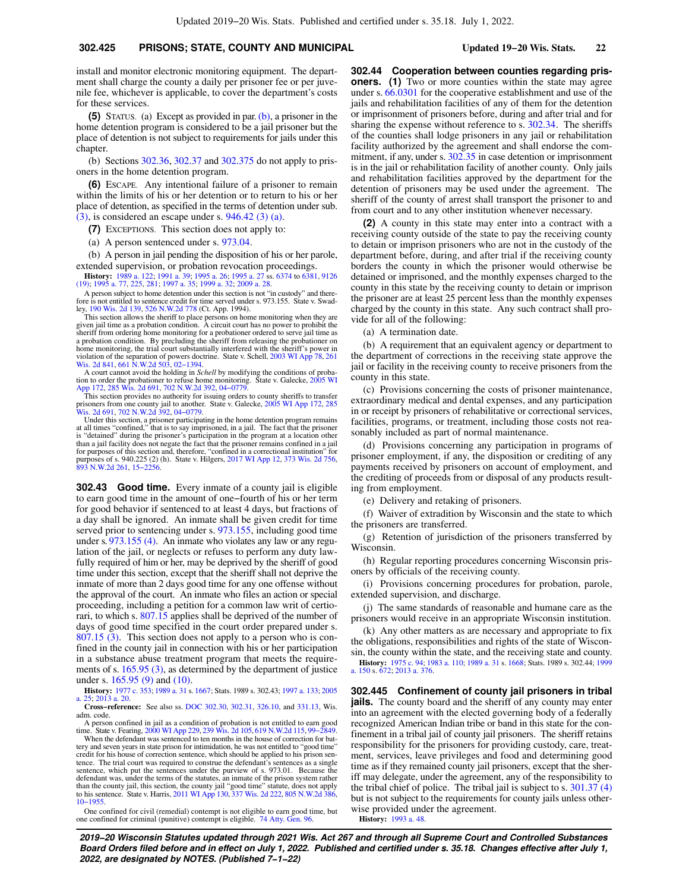### **302.425 PRISONS; STATE, COUNTY AND MUNICIPAL Updated 19−20 Wis. Stats. 22**

install and monitor electronic monitoring equipment. The department shall charge the county a daily per prisoner fee or per juvenile fee, whichever is applicable, to cover the department's costs for these services.

**(5)** STATUS. (a) Except as provided in par. [\(b\)](https://docs.legis.wisconsin.gov/document/statutes/302.425(5)(b)), a prisoner in the home detention program is considered to be a jail prisoner but the place of detention is not subject to requirements for jails under this chapter.

(b) Sections [302.36](https://docs.legis.wisconsin.gov/document/statutes/302.36), [302.37](https://docs.legis.wisconsin.gov/document/statutes/302.37) and [302.375](https://docs.legis.wisconsin.gov/document/statutes/302.375) do not apply to prisoners in the home detention program.

**(6)** ESCAPE. Any intentional failure of a prisoner to remain within the limits of his or her detention or to return to his or her place of detention, as specified in the terms of detention under sub.  $(3)$ , is considered an escape under s. 946.42 $(3)$  (a).

**(7)** EXCEPTIONS. This section does not apply to:

(a) A person sentenced under s. [973.04](https://docs.legis.wisconsin.gov/document/statutes/973.04).

(b) A person in jail pending the disposition of his or her parole, extended supervision, or probation revocation proceedings.

**History:** [1989 a. 122](https://docs.legis.wisconsin.gov/document/acts/1989/122); [1991 a. 39](https://docs.legis.wisconsin.gov/document/acts/1991/39); [1995 a. 26](https://docs.legis.wisconsin.gov/document/acts/1995/26); [1995 a. 27](https://docs.legis.wisconsin.gov/document/acts/1995/27) ss. [6374](https://docs.legis.wisconsin.gov/document/acts/1995/27,%20s.%206374) to [6381,](https://docs.legis.wisconsin.gov/document/acts/1995/27,%20s.%206381) [9126](https://docs.legis.wisconsin.gov/document/acts/1995/27,%20s.%209126) [\(19\)](https://docs.legis.wisconsin.gov/document/acts/1995/27,%20s.%209126); [1995 a. 77,](https://docs.legis.wisconsin.gov/document/acts/1995/77) [225,](https://docs.legis.wisconsin.gov/document/acts/1995/225) [281;](https://docs.legis.wisconsin.gov/document/acts/1995/281) [1997 a. 35;](https://docs.legis.wisconsin.gov/document/acts/1997/35) [1999 a. 32](https://docs.legis.wisconsin.gov/document/acts/1999/32); [2009 a. 28](https://docs.legis.wisconsin.gov/document/acts/2009/28).

A person subject to home detention under this section is not "in custody" and there-fore is not entitled to sentence credit for time served under s. 973.155. State v. Swadley, [190 Wis. 2d 139](https://docs.legis.wisconsin.gov/document/courts/190%20Wis.%202d%20139), [526 N.W.2d 778](https://docs.legis.wisconsin.gov/document/courts/526%20N.W.2d%20778) (Ct. App. 1994).<br>This section allows the sheriff to place persons on home monitoring when they are

sheriff from ordering home monitoring for a probationer ordered to serve jail time as<br>a probation condition. By precluding the sheriff from releasing the probationer on<br>home monitoring, the trial court substantially inter violation of the separation of powers doctrine. State v. Schell, [2003 WI App 78](https://docs.legis.wisconsin.gov/document/courts/2003%20WI%20App%2078), [261](https://docs.legis.wisconsin.gov/document/courts/261%20Wis.%202d%20841) [Wis. 2d 841,](https://docs.legis.wisconsin.gov/document/courts/261%20Wis.%202d%20841) [661 N.W.2d 503](https://docs.legis.wisconsin.gov/document/courts/661%20N.W.2d%20503), [02−1394](https://docs.legis.wisconsin.gov/document/wicourtofappeals/02-1394).

A court cannot avoid the holding in *Schell* by modifying the conditions of probation to order the probationer to refuse home monitoring. State v. Galecke, [2005 WI](https://docs.legis.wisconsin.gov/document/courts/2005%20WI%20App%20172) [App 172](https://docs.legis.wisconsin.gov/document/courts/2005%20WI%20App%20172), [285 Wis. 2d 691,](https://docs.legis.wisconsin.gov/document/courts/285%20Wis.%202d%20691) [702 N.W.2d 392](https://docs.legis.wisconsin.gov/document/courts/702%20N.W.2d%20392), [04−0779.](https://docs.legis.wisconsin.gov/document/wicourtofappeals/04-0779)

This section provides no authority for issuing orders to county sheriffs to transfer prisoners from one county jail to another. State v. Galecke, [2005 WI App 172](https://docs.legis.wisconsin.gov/document/courts/2005%20WI%20App%20172), [285](https://docs.legis.wisconsin.gov/document/courts/285%20Wis.%202d%20691) [Wis. 2d 691,](https://docs.legis.wisconsin.gov/document/courts/285%20Wis.%202d%20691) [702 N.W.2d 392](https://docs.legis.wisconsin.gov/document/courts/702%20N.W.2d%20392), 04–0779.

Under this section, a prisoner participating in the home detention program remains at all times "confined," that is to say imprisoned, in a jail. The fact that the prisoner is "detained" during the prisoner's participation in the program at a location other than a jail facility does not negate the fact that the prisoner remains confined in a jail for purposes of this section and, therefore, "confined in a correctional institution" for purposes of s. 940.225 (2) (h). State v. Hilgers, [2017 WI App 12,](https://docs.legis.wisconsin.gov/document/courts/2017%20WI%20App%2012) [373 Wis. 2d 756](https://docs.legis.wisconsin.gov/document/courts/373%20Wis.%202d%20756), [893 N.W.2d 261,](https://docs.legis.wisconsin.gov/document/courts/893%20N.W.2d%20261) [15−2256](https://docs.legis.wisconsin.gov/document/wicourtofappeals/15-2256).

**302.43 Good time.** Every inmate of a county jail is eligible to earn good time in the amount of one−fourth of his or her term for good behavior if sentenced to at least 4 days, but fractions of a day shall be ignored. An inmate shall be given credit for time served prior to sentencing under s. [973.155](https://docs.legis.wisconsin.gov/document/statutes/973.155), including good time under s. [973.155 \(4\)](https://docs.legis.wisconsin.gov/document/statutes/973.155(4)). An inmate who violates any law or any regulation of the jail, or neglects or refuses to perform any duty lawfully required of him or her, may be deprived by the sheriff of good time under this section, except that the sheriff shall not deprive the inmate of more than 2 days good time for any one offense without the approval of the court. An inmate who files an action or special proceeding, including a petition for a common law writ of certiorari, to which s. [807.15](https://docs.legis.wisconsin.gov/document/statutes/807.15) applies shall be deprived of the number of days of good time specified in the court order prepared under s. [807.15 \(3\).](https://docs.legis.wisconsin.gov/document/statutes/807.15(3)) This section does not apply to a person who is confined in the county jail in connection with his or her participation in a substance abuse treatment program that meets the requirements of s. [165.95 \(3\)](https://docs.legis.wisconsin.gov/document/statutes/165.95(3)), as determined by the department of justice under s. [165.95 \(9\)](https://docs.legis.wisconsin.gov/document/statutes/165.95(9)) and [\(10\)](https://docs.legis.wisconsin.gov/document/statutes/165.95(10)).

**History:** [1977 c. 353;](https://docs.legis.wisconsin.gov/document/acts/1977/353) [1989 a. 31](https://docs.legis.wisconsin.gov/document/acts/1989/31) s. [1667](https://docs.legis.wisconsin.gov/document/acts/1989/31,%20s.%201667); Stats. 1989 s. 302.43; [1997 a. 133;](https://docs.legis.wisconsin.gov/document/acts/1997/133) [2005](https://docs.legis.wisconsin.gov/document/acts/2005/25) [a. 25](https://docs.legis.wisconsin.gov/document/acts/2005/25); [2013 a. 20.](https://docs.legis.wisconsin.gov/document/acts/2013/20)

**Cross−reference:** See also ss. [DOC 302.30](https://docs.legis.wisconsin.gov/document/administrativecode/DOC%20302.30), [302.31,](https://docs.legis.wisconsin.gov/document/administrativecode/DOC%20302.31) [326.10,](https://docs.legis.wisconsin.gov/document/administrativecode/DOC%20326.10) and [331.13](https://docs.legis.wisconsin.gov/document/administrativecode/DOC%20331.13), Wis. adm. code.

A person confined in jail as a condition of probation is not entitled to earn good time. State v. Fearing, [2000 WI App 229](https://docs.legis.wisconsin.gov/document/courts/2000%20WI%20App%20229), [239 Wis. 2d 105,](https://docs.legis.wisconsin.gov/document/courts/239%20Wis.%202d%20105) [619 N.W.2d 115,](https://docs.legis.wisconsin.gov/document/courts/619%20N.W.2d%20115) [99−2849](https://docs.legis.wisconsin.gov/document/wicourtofappeals/99-2849). When the defendant was sentenced to ten months in the house of correction for battery and seven years in state prison for intimidation, he was not entitled to "good time" credit for his house of correction sentence, which should be applied to his prison sentence. The trial court was required to construe the defendant's sentences as a single<br>sentence, which put the sentences under the purview of s. 973.01. Because the<br>defendant was, under the terms of the statutes, an inmate than the county jail, this section, the county jail "good time" statute, does not apply<br>to his sentence. State v. Harris, [2011 WI App 130,](https://docs.legis.wisconsin.gov/document/courts/2011%20WI%20App%20130) [337 Wis. 2d 222](https://docs.legis.wisconsin.gov/document/courts/337%20Wis.%202d%20222), [805 N.W.2d 386](https://docs.legis.wisconsin.gov/document/courts/805%20N.W.2d%20386),<br>[10−1955](https://docs.legis.wisconsin.gov/document/wicourtofappeals/10-1955).

One confined for civil (remedial) contempt is not eligible to earn good time, but one confined for criminal (punitive) contempt is eligible. [74 Atty. Gen. 96](https://docs.legis.wisconsin.gov/document/oag/vol74-96).

**302.44 Cooperation between counties regarding prisoners.** (1) Two or more counties within the state may agree under s. [66.0301](https://docs.legis.wisconsin.gov/document/statutes/66.0301) for the cooperative establishment and use of the jails and rehabilitation facilities of any of them for the detention or imprisonment of prisoners before, during and after trial and for sharing the expense without reference to s. [302.34](https://docs.legis.wisconsin.gov/document/statutes/302.34). The sheriffs of the counties shall lodge prisoners in any jail or rehabilitation facility authorized by the agreement and shall endorse the commitment, if any, under s. [302.35](https://docs.legis.wisconsin.gov/document/statutes/302.35) in case detention or imprisonment is in the jail or rehabilitation facility of another county. Only jails and rehabilitation facilities approved by the department for the detention of prisoners may be used under the agreement. The sheriff of the county of arrest shall transport the prisoner to and from court and to any other institution whenever necessary.

**(2)** A county in this state may enter into a contract with a receiving county outside of the state to pay the receiving county to detain or imprison prisoners who are not in the custody of the department before, during, and after trial if the receiving county borders the county in which the prisoner would otherwise be detained or imprisoned, and the monthly expenses charged to the county in this state by the receiving county to detain or imprison the prisoner are at least 25 percent less than the monthly expenses charged by the county in this state. Any such contract shall provide for all of the following:

(a) A termination date.

(b) A requirement that an equivalent agency or department to the department of corrections in the receiving state approve the jail or facility in the receiving county to receive prisoners from the county in this state.

(c) Provisions concerning the costs of prisoner maintenance, extraordinary medical and dental expenses, and any participation in or receipt by prisoners of rehabilitative or correctional services, facilities, programs, or treatment, including those costs not reasonably included as part of normal maintenance.

(d) Provisions concerning any participation in programs of prisoner employment, if any, the disposition or crediting of any payments received by prisoners on account of employment, and the crediting of proceeds from or disposal of any products resulting from employment.

(e) Delivery and retaking of prisoners.

(f) Waiver of extradition by Wisconsin and the state to which the prisoners are transferred.

(g) Retention of jurisdiction of the prisoners transferred by Wisconsin.

(h) Regular reporting procedures concerning Wisconsin prisoners by officials of the receiving county.

(i) Provisions concerning procedures for probation, parole, extended supervision, and discharge.

(j) The same standards of reasonable and humane care as the prisoners would receive in an appropriate Wisconsin institution.

(k) Any other matters as are necessary and appropriate to fix the obligations, responsibilities and rights of the state of Wisconsin, the county within the state, and the receiving state and county.

**History:** [1975 c. 94](https://docs.legis.wisconsin.gov/document/acts/1975/94); [1983 a. 110;](https://docs.legis.wisconsin.gov/document/acts/1983/110) [1989 a. 31](https://docs.legis.wisconsin.gov/document/acts/1989/31) s. [1668;](https://docs.legis.wisconsin.gov/document/acts/1989/31,%20s.%201668) Stats. 1989 s. 302.44; [1999](https://docs.legis.wisconsin.gov/document/acts/1999/150) [a. 150](https://docs.legis.wisconsin.gov/document/acts/1999/150) s. [672;](https://docs.legis.wisconsin.gov/document/acts/1999/150,%20s.%20672) [2013 a. 376](https://docs.legis.wisconsin.gov/document/acts/2013/376).

**302.445 Confinement of county jail prisoners in tribal jails.** The county board and the sheriff of any county may enter into an agreement with the elected governing body of a federally recognized American Indian tribe or band in this state for the confinement in a tribal jail of county jail prisoners. The sheriff retains responsibility for the prisoners for providing custody, care, treatment, services, leave privileges and food and determining good time as if they remained county jail prisoners, except that the sheriff may delegate, under the agreement, any of the responsibility to the tribal chief of police. The tribal jail is subject to s.  $301.37(4)$ but is not subject to the requirements for county jails unless otherwise provided under the agreement. **History:** [1993 a. 48](https://docs.legis.wisconsin.gov/document/acts/1993/48).